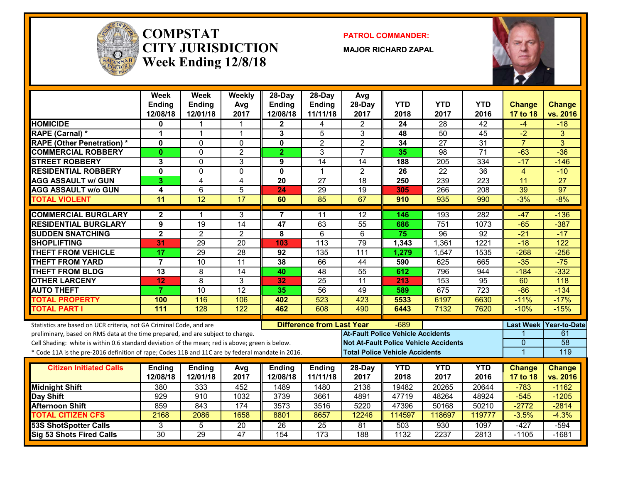

#### **COMPSTATCITY JURISDICTIONWeek Ending 12/8/18**

**PATROL COMMANDER:**

**MAJOR RICHARD ZAPAL**



|                                                                                                  | Week<br>Ending<br>12/08/18 | Week<br><b>Ending</b><br>12/01/18 | Weekly<br>Avg<br>2017   | 28-Day<br><b>Ending</b><br>12/08/18 | $28$ -Day<br><b>Ending</b><br>11/11/18 | Avg<br>28-Day<br>2017                        | <b>YTD</b><br>2018 | <b>YTD</b><br>2017 | <b>YTD</b><br>2016 | <b>Change</b><br>17 to 18 | <b>Change</b><br>vs. 2016 |
|--------------------------------------------------------------------------------------------------|----------------------------|-----------------------------------|-------------------------|-------------------------------------|----------------------------------------|----------------------------------------------|--------------------|--------------------|--------------------|---------------------------|---------------------------|
| <b>HOMICIDE</b>                                                                                  | 0                          | 1                                 |                         | $\mathbf{2}$                        | 4                                      | $\overline{2}$                               | 24                 | 28                 | $\overline{42}$    | -4                        | $-18$                     |
| RAPE (Carnal) *                                                                                  | 1                          | 1                                 | $\mathbf{1}$            | 3                                   | 5                                      | 3                                            | 48                 | $\overline{50}$    | 45                 | $-2$                      | 3                         |
| <b>RAPE (Other Penetration)*</b>                                                                 | $\mathbf{0}$               | $\Omega$                          | $\Omega$                | $\mathbf{0}$                        | $\overline{2}$                         | $\overline{2}$                               | 34                 | $\overline{27}$    | $\overline{31}$    | $\overline{7}$            | $\overline{3}$            |
| <b>COMMERCIAL ROBBERY</b>                                                                        | $\mathbf{0}$               | $\Omega$                          | $\overline{2}$          | $\overline{2}$                      | 3                                      | $\overline{7}$                               | 35                 | $\overline{98}$    | $\overline{71}$    | $-63$                     | $-36$                     |
| <b>STREET ROBBERY</b>                                                                            | 3                          | $\mathbf{0}$                      | 3                       | 9                                   | $\overline{14}$                        | 14                                           | 188                | 205                | 334                | $-17$                     | $-146$                    |
| <b>RESIDENTIAL ROBBERY</b>                                                                       | $\mathbf{0}$               | $\mathbf 0$                       | $\Omega$                | 0                                   | $\overline{1}$                         | $\overline{2}$                               | 26                 | $\overline{22}$    | $\overline{36}$    | $\overline{4}$            | $-10$                     |
| <b>AGG ASSAULT w/ GUN</b>                                                                        | 3                          | $\overline{4}$                    | $\overline{\mathbf{4}}$ | 20                                  | $\overline{27}$                        | 18                                           | 250                | 239                | $\overline{223}$   | $\overline{11}$           | $\overline{27}$           |
| <b>AGG ASSAULT w/o GUN</b>                                                                       | 4                          | 6                                 | 5                       | 24                                  | $\overline{29}$                        | $\overline{19}$                              | 305                | 266                | $\overline{208}$   | 39                        | $\overline{97}$           |
| <b>TOTAL VIOLENT</b>                                                                             | $\overline{11}$            | 12                                | 17                      | 60                                  | 85                                     | 67                                           | 910                | 935                | 990                | $-3%$                     | $-8%$                     |
| <b>COMMERCIAL BURGLARY</b>                                                                       | $\mathbf{2}$               | 1                                 | 3                       | 7                                   | 11                                     | 12                                           | 146                | 193                | 282                | $-47$                     | $-136$                    |
| <b>RESIDENTIAL BURGLARY</b>                                                                      | $\overline{9}$             | 19                                | 14                      | $\overline{47}$                     | 63                                     | $\overline{55}$                              | 686                | $\overline{751}$   | 1073               | $-65$                     | $-387$                    |
| <b>SUDDEN SNATCHING</b>                                                                          | $\overline{2}$             | $\overline{2}$                    | $\overline{2}$          | 8                                   | $\overline{6}$                         | $\overline{6}$                               | 75                 | $\overline{96}$    | $\overline{92}$    | $-21$                     | $-17$                     |
| <b>SHOPLIFTING</b>                                                                               | 31                         | 29                                | $\overline{20}$         | 103                                 | 113                                    | 79                                           | 1,343              | 1,361              | 1221               | $-18$                     | 122                       |
| <b>THEFT FROM VEHICLE</b>                                                                        | 17                         | $\overline{29}$                   | 28                      | 92                                  | 135                                    | $\overline{111}$                             | 1,279              | 1,547              | 1535               | $-268$                    | $-256$                    |
| <b>THEFT FROM YARD</b>                                                                           | 7                          | $\overline{10}$                   | $\overline{11}$         | $\overline{38}$                     | 66                                     | 44                                           | 590                | 625                | 665                | $-35$                     | $-75$                     |
| <b>THEFT FROM BLDG</b>                                                                           | $\overline{13}$            | $\overline{8}$                    | $\overline{14}$         | 40                                  | 48                                     | 55                                           | 612                | 796                | 944                | $-184$                    | $-332$                    |
| <b>OTHER LARCENY</b>                                                                             | 12                         | $\overline{8}$                    | 3                       | 32                                  | $\overline{25}$                        | $\overline{11}$                              | 213                | 153                | $\overline{95}$    | 60                        | 118                       |
| <b>AUTO THEFT</b>                                                                                | $\overline{7}$             | 10                                | $\overline{12}$         | 35                                  | $\overline{56}$                        | 49                                           | 589                | 675                | $\overline{723}$   | $-86$                     | $-134$                    |
| <b>TOTAL PROPERTY</b>                                                                            | 100                        | 116                               | 106                     | 402                                 | 523                                    | 423                                          | 5533               | 6197               | 6630               | $-11%$                    | $-17%$                    |
| <b>TOTAL PART I</b>                                                                              | 111                        | 128                               | 122                     | 462                                 | 608                                    | 490                                          | 6443               | 7132               | 7620               | $-10%$                    | $-15%$                    |
| Statistics are based on UCR criteria, not GA Criminal Code, and are                              |                            |                                   |                         |                                     | <b>Difference from Last Year</b>       |                                              | $-689$             |                    |                    | <b>Last Week</b>          | Year-to-Date              |
| preliminary, based on RMS data at the time prepared, and are subject to change.                  |                            |                                   |                         |                                     |                                        | <b>At-Fault Police Vehicle Accidents</b>     |                    |                    |                    |                           | 61                        |
| Cell Shading: white is within 0.6 standard deviation of the mean; red is above; green is below.  |                            |                                   |                         |                                     |                                        | <b>Not At-Fault Police Vehicle Accidents</b> |                    |                    |                    | $\mathbf{0}$              | $\overline{58}$           |
| * Code 11A is the pre-2016 definition of rape; Codes 11B and 11C are by federal mandate in 2016. |                            |                                   |                         |                                     |                                        | <b>Total Police Vehicle Accidents</b>        |                    |                    |                    | $\mathbf{1}$              | 119                       |
|                                                                                                  |                            |                                   |                         |                                     |                                        |                                              |                    |                    |                    |                           |                           |
| <b>Citizen Initiated Calls</b>                                                                   | <b>Ending</b><br>12/08/18  | <b>Ending</b><br>12/01/18         | Avg<br>2017             | <b>Ending</b><br>12/08/18           | Ending<br>11/11/18                     | 28-Day<br>2017                               | <b>YTD</b><br>2018 | <b>YTD</b><br>2017 | <b>YTD</b><br>2016 | <b>Change</b>             | <b>Change</b><br>vs. 2016 |
|                                                                                                  |                            |                                   |                         |                                     |                                        |                                              |                    |                    |                    | 17 to 18                  |                           |
| <b>Midnight Shift</b>                                                                            | 380                        | 333                               | 452                     | 1489                                | 1480<br>3661                           | 2136                                         | 19482              | 20265              | 20644              | $-783$<br>$-545$          | $-1162$                   |
| Day Shift<br><b>Afternoon Shift</b>                                                              | 929<br>859                 | 910<br>843                        | 1032<br>174             | 3739<br>3573                        | 3516                                   | 4891<br>5220                                 | 47719<br>47396     | 48264<br>50168     | 48924<br>50210     | $-2772$                   | $-1205$<br>$-2814$        |
| <b>TOTAL CITIZEN CFS</b>                                                                         | 2168                       | 2086                              | 1658                    | 8801                                | 8657                                   | 12246                                        | 114597             | 118697             | 119777             | $-3.5%$                   | $-4.3%$                   |
| <b>53S ShotSpotter Calls</b>                                                                     | 3                          | 5                                 | 20                      | 26                                  | 25                                     | 81                                           | 503                | 930                | 1097               | $-427$                    | $-594$                    |
| Sig 53 Shots Fired Calls                                                                         | $\overline{30}$            | 29                                | $\overline{47}$         | 154                                 | $\overline{173}$                       | 188                                          | 1132               | 2237               | 2813               | $-1105$                   | $-1681$                   |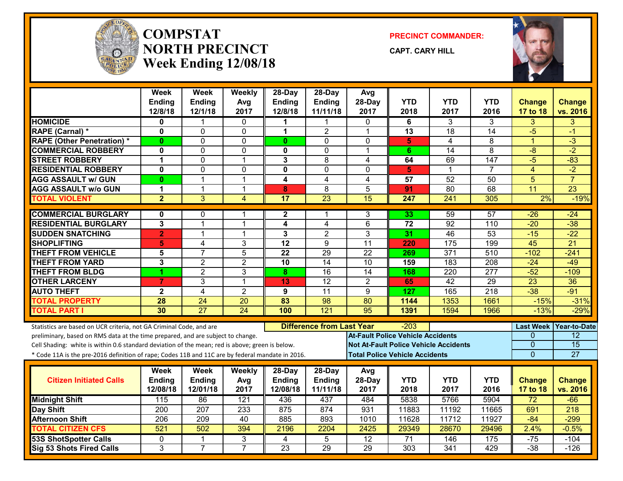

#### **COMPSTATNORTH PRECINCTWeek Ending 12/08/18**

**PRECINCT COMMANDER:**

**CAPT. CARY HILL**



|                                                                                                  | Week<br><b>Ending</b><br>12/8/18 | <b>Week</b><br><b>Ending</b><br>12/1/18 | Weekly<br>Avg<br>2017 | 28-Day<br><b>Ending</b><br>12/8/18 | $28-Day$<br><b>Ending</b><br>11/11/18 | Avg<br>28-Day<br>2017                    | <b>YTD</b><br>2018                    | YTD<br>2017                                  | <b>YTD</b><br>2016 | <b>Change</b><br>17 to 18 | <b>Change</b><br>vs. 2016 |
|--------------------------------------------------------------------------------------------------|----------------------------------|-----------------------------------------|-----------------------|------------------------------------|---------------------------------------|------------------------------------------|---------------------------------------|----------------------------------------------|--------------------|---------------------------|---------------------------|
| <b>HOMICIDE</b>                                                                                  | 0                                |                                         | $\mathbf{0}$          | 1                                  | 1                                     | $\mathbf{0}$                             | 6                                     | 3                                            | 3                  | $\overline{3}$            | 3                         |
| RAPE (Carnal) *                                                                                  | 0                                | $\Omega$                                | $\Omega$              | 1                                  | $\overline{2}$                        | $\mathbf{1}$                             | 13                                    | 18                                           | 14                 | $-5$                      | $-1$                      |
| <b>RAPE (Other Penetration) *</b>                                                                | $\bf{0}$                         | $\Omega$                                | 0                     | $\mathbf{0}$                       | $\Omega$                              | $\mathbf{0}$                             | $\overline{\mathbf{5}}$               | 4                                            | 8                  | $\overline{1}$            | $\overline{3}$            |
| <b>COMMERCIAL ROBBERY</b>                                                                        | 0                                | $\Omega$                                | $\mathbf 0$           | 0                                  | 0                                     | -1                                       | 6.                                    | $\overline{14}$                              | $\overline{8}$     | $-8$                      | $-2$                      |
| <b>STREET ROBBERY</b>                                                                            | 1                                | $\Omega$                                | $\mathbf{1}$          | 3                                  | 8                                     | 4                                        | 64                                    | 69                                           | $\overline{147}$   | $-5$                      | $-83$                     |
| <b>RESIDENTIAL ROBBERY</b>                                                                       | 0                                | $\mathbf 0$                             | 0                     | 0                                  | 0                                     | $\mathbf{0}$                             | 5                                     | 1                                            | 7                  | $\overline{4}$            | $-2$                      |
| <b>AGG ASSAULT w/ GUN</b>                                                                        | 0                                | 1                                       | 1                     | 4                                  | 4                                     | 4                                        | 57                                    | 52                                           | 50                 | 5                         | $\overline{7}$            |
| <b>AGG ASSAULT w/o GUN</b>                                                                       | 1                                | $\mathbf{1}$                            | $\mathbf{1}$          | 8                                  | 8                                     | 5                                        | 91                                    | 80                                           | 68                 | 11                        | $\overline{23}$           |
| <b>TOTAL VIOLENT</b>                                                                             | $\overline{2}$                   | 3                                       | $\overline{4}$        | $\overline{17}$                    | $\overline{23}$                       | $\overline{15}$                          | 247                                   | 241                                          | 305                | 2%                        | $-19%$                    |
| <b>COMMERCIAL BURGLARY</b>                                                                       | 0                                | $\mathbf{0}$                            | 1                     | $\mathbf{2}$                       | 1                                     | 3                                        | 33                                    | 59                                           | $\overline{57}$    | $-26$                     | $-24$                     |
| <b>RESIDENTIAL BURGLARY</b>                                                                      | 3                                | $\overline{1}$                          | 1                     | 4                                  | 4                                     | 6                                        | 72                                    | 92                                           | 110                | $-20$                     | $-38$                     |
| <b>SUDDEN SNATCHING</b>                                                                          | $\mathbf{2}$                     | $\overline{1}$                          | 1                     | 3                                  | $\overline{2}$                        | 3                                        | 31                                    | 46                                           | 53                 | $-15$                     | $-22$                     |
| <b>SHOPLIFTING</b>                                                                               | 5                                | 4                                       | 3                     | $\overline{12}$                    | $\overline{9}$                        | $\overline{11}$                          | 220                                   | 175                                          | 199                | 45                        | $\overline{21}$           |
| <b>THEFT FROM VEHICLE</b>                                                                        | 5                                | $\overline{7}$                          | 5                     | 22                                 | 29                                    | 22                                       | 269                                   | 371                                          | 510                | $-102$                    | $-241$                    |
| <b>THEFT FROM YARD</b>                                                                           | $\overline{3}$                   | $\overline{2}$                          | $\overline{2}$        | $\overline{10}$                    | $\overline{14}$                       | $\overline{10}$                          | 159                                   | 183                                          | 208                | $-24$                     | $-49$                     |
| <b>THEFT FROM BLDG</b>                                                                           |                                  | $\overline{2}$                          | $\overline{3}$        | 8                                  | $\overline{16}$                       | $\overline{14}$                          | 168                                   | 220                                          | $\overline{277}$   | $-52$                     | $-109$                    |
| <b>OTHER LARCENY</b>                                                                             | $\overline{7}$                   | 3                                       | $\overline{1}$        | 13                                 | $\overline{12}$                       | $\overline{2}$                           | 65                                    | 42                                           | 29                 | $\overline{23}$           | $\overline{36}$           |
| <b>AUTO THEFT</b>                                                                                | $\overline{\mathbf{2}}$          | 4                                       | $\overline{2}$        | 9                                  | 11                                    | 9                                        | 127                                   | 165                                          | $\overline{218}$   | $-38$                     | $-91$                     |
| <b>TOTAL PROPERTY</b>                                                                            | 28                               | $\overline{24}$                         | $\overline{20}$       | 83                                 | 98                                    | 80                                       | 1144                                  | 1353                                         | 1661               | $-15%$                    | $-31%$                    |
| <b>TOTAL PART I</b>                                                                              | 30                               | $\overline{27}$                         | 24                    | 100                                | 121                                   | 95                                       | 1391                                  | 1594                                         | 1966               | $-13%$                    | $-29%$                    |
| Statistics are based on UCR criteria, not GA Criminal Code, and are                              |                                  |                                         |                       |                                    | <b>Difference from Last Year</b>      |                                          | $-203$                                |                                              |                    |                           | Last Week Year-to-Date    |
| preliminary, based on RMS data at the time prepared, and are subject to change.                  |                                  |                                         |                       |                                    |                                       | <b>At-Fault Police Vehicle Accidents</b> |                                       |                                              |                    | $\Omega$                  | $\overline{12}$           |
| Cell Shading: white is within 0.6 standard deviation of the mean; red is above; green is below.  |                                  |                                         |                       |                                    |                                       |                                          |                                       | <b>Not At-Fault Police Vehicle Accidents</b> |                    | $\Omega$                  | $\overline{15}$           |
| * Code 11A is the pre-2016 definition of rape; Codes 11B and 11C are by federal mandate in 2016. |                                  |                                         |                       |                                    |                                       |                                          | <b>Total Police Vehicle Accidents</b> |                                              |                    | $\overline{0}$            | 27                        |
|                                                                                                  | Week                             | Week                                    | Weekly                | 28-Day                             | 28-Day                                | Avg                                      |                                       |                                              |                    |                           |                           |
| <b>Citizen Initiated Calls</b>                                                                   | Ending                           | <b>Ending</b>                           | Avg                   | <b>Ending</b>                      | <b>Ending</b>                         | 28-Day                                   | <b>YTD</b>                            | <b>YTD</b>                                   | <b>YTD</b>         | <b>Change</b>             | <b>Change</b>             |
|                                                                                                  | 12/08/18                         | 12/01/18                                | 2017                  | 12/08/18                           | 11/11/18                              | 2017                                     | 2018                                  | 2017                                         | 2016               | 17 to 18                  | vs. 2016                  |
| <b>Midnight Shift</b>                                                                            | 115                              | 86                                      | 121                   | 436                                | 437                                   | 484                                      | 5838                                  | 5766                                         | 5904               | $\overline{72}$           | $-66$                     |
| <b>Day Shift</b>                                                                                 | 200                              | 207                                     | 233                   | 875                                | 874                                   | 931                                      | 11883                                 | 11192                                        | 11665              | 691                       | $\overline{218}$          |
| <b>Afternoon Shift</b>                                                                           | $\frac{206}{ }$                  | $\overline{209}$                        | $\overline{40}$       | 885                                | 893                                   | 1010                                     | 11628                                 | 11712                                        | 11927              | $-84$                     | $-299$                    |
| <b>TOTAL CITIZEN CFS</b>                                                                         | 521                              | 502                                     | 394                   | 2196                               | 2204                                  | 2425                                     | 29349                                 | 28670                                        | 29496              | 2.4%                      | $-0.5%$                   |
| <b>53S ShotSpotter Calls</b>                                                                     | $\mathbf{0}$                     | -1                                      | 3                     | 4                                  | 5                                     | $\overline{12}$                          | 71                                    | 146                                          | 175                | $-75$                     | $-104$                    |
| Sig 53 Shots Fired Calls                                                                         | $\overline{3}$                   | $\overline{7}$                          | $\overline{7}$        | 23                                 | 29                                    | 29                                       | 303                                   | 341                                          | 429                | $-38$                     | $-126$                    |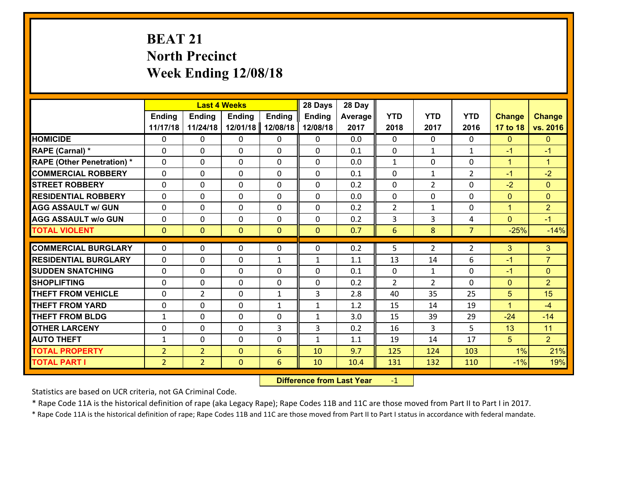# **BEAT 21 North Precinct Week Ending 12/08/18**

|                                   |                | <b>Last 4 Weeks</b> |               |               | 28 Days       | 28 Day  |                |                |                |                |                      |
|-----------------------------------|----------------|---------------------|---------------|---------------|---------------|---------|----------------|----------------|----------------|----------------|----------------------|
|                                   | <b>Ending</b>  | <b>Ending</b>       | <b>Ending</b> | <b>Ending</b> | <b>Ending</b> | Average | <b>YTD</b>     | <b>YTD</b>     | <b>YTD</b>     | <b>Change</b>  | <b>Change</b>        |
|                                   | 11/17/18       | 11/24/18            | 12/01/18      | 12/08/18      | 12/08/18      | 2017    | 2018           | 2017           | 2016           | 17 to 18       | vs. 2016             |
| <b>HOMICIDE</b>                   | $\Omega$       | 0                   | $\Omega$      | 0             | $\Omega$      | 0.0     | $\Omega$       | $\Omega$       | $\Omega$       | $\mathbf{0}$   | $\mathbf{0}$         |
| RAPE (Carnal) *                   | 0              | 0                   | $\mathbf{0}$  | 0             | 0             | 0.1     | $\mathbf{0}$   | $\mathbf{1}$   | $\mathbf{1}$   | $-1$           | $-1$                 |
| <b>RAPE (Other Penetration) *</b> | $\Omega$       | 0                   | $\mathbf{0}$  | $\Omega$      | $\Omega$      | 0.0     | $\mathbf{1}$   | $\Omega$       | $\Omega$       | $\mathbf{1}$   | $\blacktriangleleft$ |
| <b>COMMERCIAL ROBBERY</b>         | 0              | 0                   | 0             | 0             | 0             | 0.1     | $\mathbf{0}$   | $\mathbf{1}$   | $\overline{2}$ | $-1$           | $-2$                 |
| <b>STREET ROBBERY</b>             | $\Omega$       | 0                   | $\mathbf 0$   | 0             | 0             | 0.2     | $\mathbf 0$    | $\overline{2}$ | 0              | $-2$           | $\mathbf{0}$         |
| <b>RESIDENTIAL ROBBERY</b>        | $\Omega$       | $\Omega$            | $\mathbf 0$   | $\Omega$      | 0             | 0.0     | $\mathbf 0$    | $\Omega$       | $\Omega$       | $\mathbf{0}$   | $\overline{0}$       |
| <b>AGG ASSAULT w/ GUN</b>         | $\Omega$       | 0                   | $\mathbf 0$   | $\Omega$      | 0             | 0.2     | $\overline{2}$ | $\mathbf{1}$   | 0              | $\mathbf{1}$   | $\overline{2}$       |
| <b>AGG ASSAULT w/o GUN</b>        | 0              | 0                   | $\mathbf 0$   | 0             | 0             | 0.2     | 3              | 3              | 4              | $\mathbf{0}$   | $-1$                 |
| <b>TOTAL VIOLENT</b>              | $\mathbf{0}$   | $\overline{0}$      | $\mathbf{O}$  | $\mathbf{0}$  | $\mathbf{0}$  | 0.7     | $6\phantom{1}$ | 8              | $\overline{7}$ | $-25%$         | $-14%$               |
| <b>COMMERCIAL BURGLARY</b>        | $\Omega$       | 0                   | $\mathbf{0}$  | $\Omega$      | 0             | 0.2     | 5              | $\overline{2}$ | $\overline{2}$ | 3              | 3                    |
|                                   |                |                     |               |               |               |         |                |                |                |                |                      |
| <b>RESIDENTIAL BURGLARY</b>       | 0              | 0                   | $\mathbf 0$   | $\mathbf{1}$  | $\mathbf{1}$  | 1.1     | 13             | 14             | 6              | $-1$           | $\overline{7}$       |
| <b>SUDDEN SNATCHING</b>           | 0              | 0                   | $\mathbf 0$   | 0             | 0             | 0.1     | $\mathbf 0$    | $\mathbf{1}$   | 0              | $-1$           | $\mathbf{0}$         |
| <b>SHOPLIFTING</b>                | $\Omega$       | 0                   | $\mathbf 0$   | 0             | 0             | 0.2     | $\overline{2}$ | $\overline{2}$ | $\Omega$       | $\overline{0}$ | $\overline{2}$       |
| <b>THEFT FROM VEHICLE</b>         | $\Omega$       | $\overline{2}$      | $\mathbf 0$   | $\mathbf{1}$  | 3             | 2.8     | 40             | 35             | 25             | 5              | 15                   |
| <b>THEFT FROM YARD</b>            | 0              | 0                   | $\mathbf 0$   | $\mathbf{1}$  | $\mathbf{1}$  | 1.2     | 15             | 14             | 19             | $\mathbf{1}$   | $-4$                 |
| <b>THEFT FROM BLDG</b>            | $\mathbf{1}$   | 0                   | $\mathbf 0$   | 0             | $\mathbf{1}$  | 3.0     | 15             | 39             | 29             | $-24$          | $-14$                |
| <b>OTHER LARCENY</b>              | 0              | 0                   | $\mathbf 0$   | 3             | 3             | 0.2     | 16             | 3              | 5              | 13             | 11                   |
| <b>AUTO THEFT</b>                 | $\mathbf{1}$   | 0                   | $\mathbf{0}$  | 0             | $\mathbf{1}$  | 1.1     | 19             | 14             | 17             | 5              | 2 <sup>1</sup>       |
| <b>TOTAL PROPERTY</b>             | $\overline{2}$ | $\overline{2}$      | $\mathbf{O}$  | 6             | 10            | 9.7     | 125            | 124            | 103            | 1%             | 21%                  |
| <b>TOTAL PART I</b>               | $\overline{2}$ | $\overline{2}$      | $\mathbf{0}$  | 6             | 10            | 10.4    | 131            | 132            | 110            | $-1%$          | 19%                  |

 **Difference from Last Year**r -1

Statistics are based on UCR criteria, not GA Criminal Code.

\* Rape Code 11A is the historical definition of rape (aka Legacy Rape); Rape Codes 11B and 11C are those moved from Part II to Part I in 2017.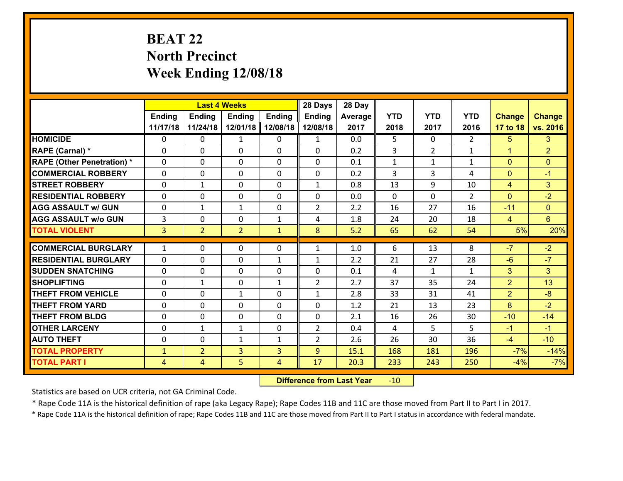# **BEAT 22 North Precinct Week Ending 12/08/18**

|                                   |                |                | <b>Last 4 Weeks</b> |               | 28 Days        | 28 Day  |              |                |               |                |                 |
|-----------------------------------|----------------|----------------|---------------------|---------------|----------------|---------|--------------|----------------|---------------|----------------|-----------------|
|                                   | <b>Ending</b>  | <b>Ending</b>  | <b>Ending</b>       | <b>Ending</b> | <b>Ending</b>  | Average | <b>YTD</b>   | <b>YTD</b>     | <b>YTD</b>    | <b>Change</b>  | <b>Change</b>   |
|                                   | 11/17/18       | 11/24/18       | 12/01/18            | 12/08/18      | 12/08/18       | 2017    | 2018         | 2017           | 2016          | 17 to 18       | vs. 2016        |
| <b>HOMICIDE</b>                   | $\Omega$       | 0              | 1                   | 0             | $\mathbf{1}$   | 0.0     | 5            | $\Omega$       | $\mathcal{L}$ | 5              | 3               |
| RAPE (Carnal) *                   | 0              | 0              | $\mathbf{0}$        | 0             | $\Omega$       | 0.2     | 3            | $\overline{2}$ | $\mathbf{1}$  | $\mathbf{1}$   | $\overline{2}$  |
| <b>RAPE (Other Penetration) *</b> | $\Omega$       | 0              | $\mathbf{0}$        | $\Omega$      | $\Omega$       | 0.1     | $\mathbf{1}$ | $\mathbf{1}$   | $\mathbf{1}$  | $\mathbf{0}$   | $\mathbf{0}$    |
| <b>COMMERCIAL ROBBERY</b>         | 0              | 0              | 0                   | 0             | 0              | 0.2     | 3            | 3              | 4             | $\mathbf{0}$   | $-1$            |
| <b>STREET ROBBERY</b>             | $\Omega$       | $\mathbf 1$    | $\mathbf 0$         | 0             | $\mathbf{1}$   | 0.8     | 13           | 9              | 10            | $\overline{4}$ | 3               |
| <b>RESIDENTIAL ROBBERY</b>        | $\Omega$       | $\Omega$       | $\mathbf 0$         | $\Omega$      | 0              | 0.0     | $\Omega$     | $\Omega$       | $\mathcal{L}$ | $\Omega$       | $-2$            |
| <b>AGG ASSAULT w/ GUN</b>         | 0              | 1              | $\mathbf{1}$        | 0             | $\overline{2}$ | 2.2     | 16           | 27             | 16            | $-11$          | $\overline{0}$  |
| <b>AGG ASSAULT w/o GUN</b>        | $\overline{3}$ | 0              | $\mathbf 0$         | $\mathbf{1}$  | 4              | 1.8     | 24           | 20             | 18            | $\overline{4}$ | $6\overline{6}$ |
| <b>TOTAL VIOLENT</b>              | $\overline{3}$ | $\overline{2}$ | $\overline{2}$      | $\mathbf{1}$  | 8              | 5.2     | 65           | 62             | 54            | 5%             | 20%             |
| <b>COMMERCIAL BURGLARY</b>        | $\mathbf{1}$   | 0              | $\mathbf{0}$        | $\Omega$      | $\mathbf{1}$   | 1.0     | 6            | 13             | 8             | $-7$           | $-2$            |
|                                   |                |                |                     |               |                |         |              |                |               |                | $-7$            |
| <b>RESIDENTIAL BURGLARY</b>       | 0              | 0              | $\mathbf 0$         | $\mathbf{1}$  | $\mathbf{1}$   | 2.2     | 21           | 27             | 28            | $-6$           |                 |
| <b>SUDDEN SNATCHING</b>           | 0              | 0              | $\mathbf 0$         | 0             | 0              | 0.1     | 4            | $\mathbf{1}$   | $\mathbf{1}$  | 3              | 3               |
| <b>SHOPLIFTING</b>                | 0              | 1              | $\mathbf 0$         | $\mathbf{1}$  | $\overline{2}$ | 2.7     | 37           | 35             | 24            | $\overline{2}$ | 13              |
| <b>THEFT FROM VEHICLE</b>         | $\Omega$       | 0              | 1                   | 0             | $\mathbf{1}$   | 2.8     | 33           | 31             | 41            | $\overline{2}$ | $-8$            |
| <b>THEFT FROM YARD</b>            | 0              | 0              | $\mathbf 0$         | $\Omega$      | 0              | 1.2     | 21           | 13             | 23            | 8              | $-2$            |
| <b>THEFT FROM BLDG</b>            | 0              | 0              | $\mathbf 0$         | 0             | 0              | 2.1     | 16           | 26             | 30            | $-10$          | $-14$           |
| <b>OTHER LARCENY</b>              | 0              | 1              | $\mathbf{1}$        | 0             | $\overline{2}$ | 0.4     | 4            | 5              | 5             | $-1$           | $-1$            |
| <b>AUTO THEFT</b>                 | $\mathbf{0}$   | 0              | $\mathbf{1}$        | $\mathbf{1}$  | $\overline{2}$ | 2.6     | 26           | 30             | 36            | $-4$           | $-10$           |
| <b>TOTAL PROPERTY</b>             | $\mathbf{1}$   | $\overline{2}$ | $\overline{3}$      | 3             | 9              | 15.1    | 168          | 181            | 196           | $-7%$          | $-14%$          |
| <b>TOTAL PART I</b>               | $\overline{4}$ | $\overline{4}$ | 5                   | 4             | 17             | 20.3    | 233          | 243            | 250           | $-4%$          | $-7%$           |

 **Difference from Last Year**r -10

Statistics are based on UCR criteria, not GA Criminal Code.

\* Rape Code 11A is the historical definition of rape (aka Legacy Rape); Rape Codes 11B and 11C are those moved from Part II to Part I in 2017.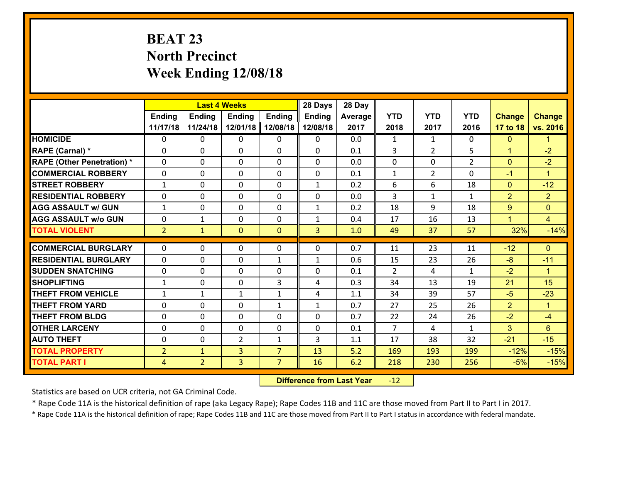# **BEAT 23 North Precinct Week Ending 12/08/18**

|                                   |                |                | <b>Last 4 Weeks</b> |                | 28 Days        | 28 Day  |                |                |                |                |                      |
|-----------------------------------|----------------|----------------|---------------------|----------------|----------------|---------|----------------|----------------|----------------|----------------|----------------------|
|                                   | Ending         | Ending         | Ending              | <b>Ending</b>  | <b>Ending</b>  | Average | <b>YTD</b>     | <b>YTD</b>     | <b>YTD</b>     | <b>Change</b>  | <b>Change</b>        |
|                                   | 11/17/18       | 11/24/18       | 12/01/18            | 12/08/18       | 12/08/18       | 2017    | 2018           | 2017           | 2016           | 17 to 18       | vs. 2016             |
| <b>HOMICIDE</b>                   | $\Omega$       | 0              | 0                   | $\Omega$       | 0              | 0.0     | $\mathbf{1}$   | $\mathbf{1}$   | 0              | $\mathbf{0}$   | 1.                   |
| RAPE (Carnal) *                   | 0              | 0              | $\mathbf{0}$        | 0              | 0              | 0.1     | 3              | $\overline{2}$ | 5              | $\mathbf{1}$   | $-2$                 |
| <b>RAPE (Other Penetration) *</b> | $\Omega$       | 0              | $\mathbf{0}$        | $\Omega$       | 0              | 0.0     | 0              | 0              | $\overline{2}$ | $\mathbf{0}$   | $-2$                 |
| <b>COMMERCIAL ROBBERY</b>         | 0              | 0              | $\mathbf{0}$        | $\Omega$       | 0              | 0.1     | $\mathbf{1}$   | $\overline{2}$ | $\Omega$       | $-1$           | $\blacktriangleleft$ |
| <b>STREET ROBBERY</b>             | $\mathbf{1}$   | 0              | $\mathbf{0}$        | $\Omega$       | $\mathbf{1}$   | 0.2     | 6              | 6              | 18             | $\mathbf{0}$   | $-12$                |
| <b>RESIDENTIAL ROBBERY</b>        | $\Omega$       | $\Omega$       | $\mathbf 0$         | $\Omega$       | 0              | 0.0     | $\overline{3}$ | $\mathbf{1}$   | $\mathbf{1}$   | $\overline{2}$ | $\overline{2}$       |
| <b>AGG ASSAULT w/ GUN</b>         | $\mathbf{1}$   | 0              | $\mathbf 0$         | $\Omega$       | $\mathbf{1}$   | 0.2     | 18             | 9              | 18             | 9              | $\overline{0}$       |
| <b>AGG ASSAULT w/o GUN</b>        | 0              | 1              | $\mathbf 0$         | 0              | $\mathbf{1}$   | 0.4     | 17             | 16             | 13             | $\overline{1}$ | $\overline{4}$       |
| <b>TOTAL VIOLENT</b>              | 2 <sup>1</sup> | $\mathbf{1}$   | $\overline{0}$      | $\overline{0}$ | $\overline{3}$ | 1.0     | 49             | 37             | 57             | 32%            | $-14%$               |
| <b>COMMERCIAL BURGLARY</b>        |                |                |                     |                |                |         |                |                |                |                |                      |
|                                   | $\Omega$       | 0              | $\mathbf{0}$        | 0              | 0              | 0.7     | 11             | 23             | 11             | $-12$          | $\mathbf{0}$         |
| <b>RESIDENTIAL BURGLARY</b>       | $\Omega$       | 0              | $\mathbf{0}$        | $\mathbf{1}$   | $\mathbf{1}$   | 0.6     | 15             | 23             | 26             | $-8$           | $-11$                |
| <b>SUDDEN SNATCHING</b>           | 0              | 0              | 0                   | 0              | 0              | 0.1     | $\mathcal{L}$  | 4              | $\mathbf{1}$   | $-2$           | $\blacktriangleleft$ |
| <b>SHOPLIFTING</b>                | $\mathbf{1}$   | $\Omega$       | $\mathbf 0$         | 3              | 4              | 0.3     | 34             | 13             | 19             | 21             | 15                   |
| <b>THEFT FROM VEHICLE</b>         | $\mathbf{1}$   | 1              | 1                   | $\mathbf{1}$   | 4              | 1.1     | 34             | 39             | 57             | $-5$           | $-23$                |
| <b>THEFT FROM YARD</b>            | 0              | 0              | $\mathbf 0$         | $\mathbf{1}$   | $\mathbf{1}$   | 0.7     | 27             | 25             | 26             | $\overline{2}$ | $\blacktriangleleft$ |
| <b>THEFT FROM BLDG</b>            | 0              | 0              | $\mathbf 0$         | 0              | 0              | 0.7     | 22             | 24             | 26             | $-2$           | $-4$                 |
| <b>OTHER LARCENY</b>              | $\mathbf 0$    | 0              | $\mathbf 0$         | 0              | 0              | 0.1     | $\overline{7}$ | 4              | $\mathbf{1}$   | 3              | $6\phantom{a}$       |
| <b>AUTO THEFT</b>                 | $\mathbf 0$    | 0              | $\overline{2}$      | $\mathbf{1}$   | 3              | 1.1     | 17             | 38             | 32             | $-21$          | $-15$                |
| <b>TOTAL PROPERTY</b>             | $\overline{2}$ | $\mathbf{1}$   | $\overline{3}$      | $\overline{7}$ | 13             | 5.2     | 169            | 193            | 199            | $-12%$         | $-15%$               |
| <b>TOTAL PART I</b>               | $\overline{4}$ | $\overline{2}$ | $\overline{3}$      | $\overline{7}$ | 16             | 6.2     | 218            | 230            | 256            | $-5%$          | $-15%$               |

 **Difference from Last Year**r -12

Statistics are based on UCR criteria, not GA Criminal Code.

\* Rape Code 11A is the historical definition of rape (aka Legacy Rape); Rape Codes 11B and 11C are those moved from Part II to Part I in 2017.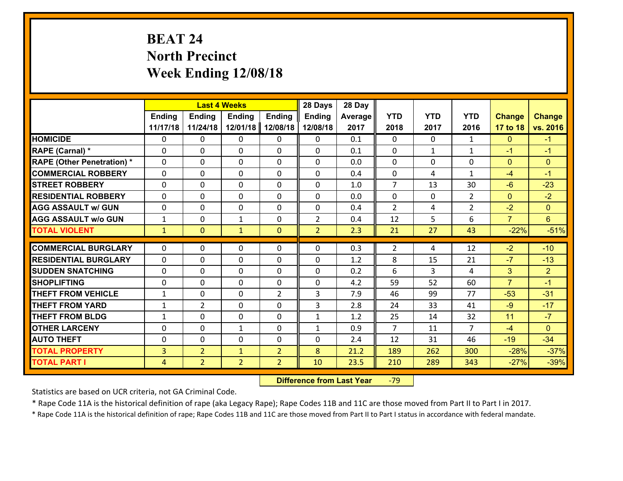# **BEAT 24 North Precinct Week Ending 12/08/18**

|                                   |                |                | <b>Last 4 Weeks</b> |                | 28 Days        | 28 Day  |                |              |                |                |                 |
|-----------------------------------|----------------|----------------|---------------------|----------------|----------------|---------|----------------|--------------|----------------|----------------|-----------------|
|                                   | <b>Ending</b>  | <b>Ending</b>  | <b>Ending</b>       | <b>Ending</b>  | <b>Ending</b>  | Average | <b>YTD</b>     | <b>YTD</b>   | <b>YTD</b>     | <b>Change</b>  | <b>Change</b>   |
|                                   | 11/17/18       | 11/24/18       | 12/01/18            | 12/08/18       | 12/08/18       | 2017    | 2018           | 2017         | 2016           | 17 to 18       | vs. 2016        |
| <b>HOMICIDE</b>                   | $\Omega$       | 0              | $\Omega$            | 0              | $\Omega$       | 0.1     | $\Omega$       | $\Omega$     | $\mathbf{1}$   | $\mathbf{0}$   | $-1$            |
| RAPE (Carnal) *                   | 0              | 0              | $\mathbf{0}$        | 0              | $\Omega$       | 0.1     | $\mathbf{0}$   | $\mathbf{1}$ | $\mathbf{1}$   | $-1$           | $-1$            |
| <b>RAPE (Other Penetration) *</b> | $\Omega$       | 0              | $\mathbf{0}$        | $\Omega$       | $\Omega$       | 0.0     | $\Omega$       | $\Omega$     | $\Omega$       | $\mathbf{0}$   | $\mathbf{0}$    |
| <b>COMMERCIAL ROBBERY</b>         | 0              | 0              | 0                   | 0              | $\Omega$       | 0.4     | $\mathbf{0}$   | 4            | $\mathbf{1}$   | $-4$           | $-1$            |
| <b>STREET ROBBERY</b>             | $\Omega$       | 0              | $\mathbf 0$         | $\Omega$       | 0              | 1.0     | $\overline{7}$ | 13           | 30             | $-6$           | $-23$           |
| <b>RESIDENTIAL ROBBERY</b>        | $\Omega$       | $\Omega$       | $\mathbf 0$         | $\Omega$       | 0              | 0.0     | $\Omega$       | $\mathbf 0$  | $\overline{2}$ | $\overline{0}$ | $-2$            |
| <b>AGG ASSAULT w/ GUN</b>         | $\Omega$       | 0              | $\mathbf 0$         | $\Omega$       | 0              | 0.4     | $\overline{2}$ | 4            | $\overline{2}$ | $-2$           | $\overline{0}$  |
| <b>AGG ASSAULT w/o GUN</b>        | $\mathbf{1}$   | 0              | $\mathbf{1}$        | 0              | $\overline{2}$ | 0.4     | 12             | 5            | 6              | $\overline{7}$ | $6\overline{6}$ |
| <b>TOTAL VIOLENT</b>              | $\mathbf{1}$   | $\overline{0}$ | $\mathbf{1}$        | $\mathbf{0}$   | $\overline{2}$ | 2.3     | 21             | 27           | 43             | $-22%$         | $-51%$          |
| <b>COMMERCIAL BURGLARY</b>        | $\Omega$       | 0              | $\mathbf{0}$        | $\Omega$       | $\Omega$       | 0.3     | $\overline{2}$ | 4            | 12             | $-2$           | $-10$           |
|                                   |                |                |                     |                |                |         |                |              |                |                |                 |
| <b>RESIDENTIAL BURGLARY</b>       | 0              | 0              | $\mathbf 0$         | 0              | 0              | 1.2     | 8              | 15           | 21             | $-7$           | $-13$           |
| <b>SUDDEN SNATCHING</b>           | 0              | 0              | $\mathbf 0$         | 0              | 0              | 0.2     | 6              | 3            | 4              | 3              | $\overline{2}$  |
| <b>SHOPLIFTING</b>                | 0              | 0              | $\mathbf 0$         | $\Omega$       | 0              | 4.2     | 59             | 52           | 60             | $\overline{7}$ | $-1$            |
| <b>THEFT FROM VEHICLE</b>         | $\mathbf{1}$   | 0              | $\mathbf 0$         | $\overline{2}$ | 3              | 7.9     | 46             | 99           | 77             | $-53$          | $-31$           |
| <b>THEFT FROM YARD</b>            | $\mathbf{1}$   | $\overline{2}$ | $\mathbf 0$         | 0              | 3              | 2.8     | 24             | 33           | 41             | $-9$           | $-17$           |
| <b>THEFT FROM BLDG</b>            | $\mathbf{1}$   | 0              | $\mathbf 0$         | 0              | $\mathbf{1}$   | 1.2     | 25             | 14           | 32             | 11             | $-7$            |
| <b>OTHER LARCENY</b>              | 0              | 0              | $\mathbf{1}$        | 0              | $\mathbf{1}$   | 0.9     | $\overline{7}$ | 11           | $\overline{7}$ | $-4$           | $\overline{0}$  |
| <b>AUTO THEFT</b>                 | $\mathbf{0}$   | 0              | $\mathbf{0}$        | 0              | 0              | 2.4     | 12             | 31           | 46             | $-19$          | $-34$           |
| <b>TOTAL PROPERTY</b>             | $\overline{3}$ | $\overline{2}$ | $\mathbf{1}$        | $\overline{2}$ | 8              | 21.2    | 189            | 262          | 300            | $-28%$         | $-37%$          |
| <b>TOTAL PART I</b>               | $\overline{4}$ | $\overline{2}$ | $\overline{2}$      | $\overline{2}$ | 10             | 23.5    | 210            | 289          | 343            | $-27%$         | $-39%$          |

 **Difference from Last Year**r -79

Statistics are based on UCR criteria, not GA Criminal Code.

\* Rape Code 11A is the historical definition of rape (aka Legacy Rape); Rape Codes 11B and 11C are those moved from Part II to Part I in 2017.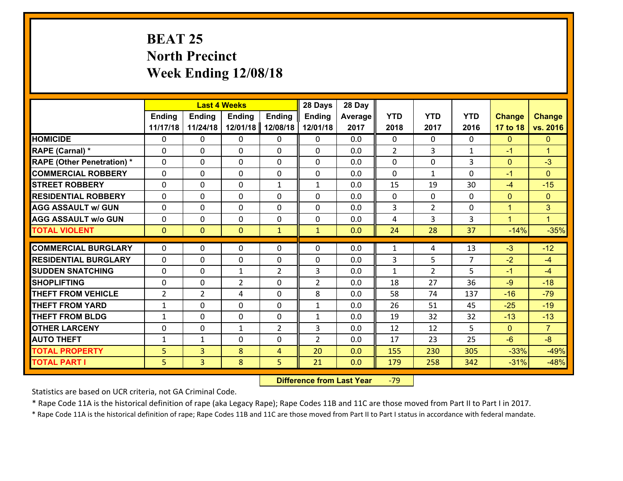# **BEAT 25 North Precinct Week Ending 12/08/18**

|                                   |                | <b>Last 4 Weeks</b> |                |                | 28 Days        | 28 Day  |                |                |                |                |                      |
|-----------------------------------|----------------|---------------------|----------------|----------------|----------------|---------|----------------|----------------|----------------|----------------|----------------------|
|                                   | Ending         | <b>Ending</b>       | Ending         | <b>Ending</b>  | <b>Ending</b>  | Average | <b>YTD</b>     | <b>YTD</b>     | <b>YTD</b>     | <b>Change</b>  | <b>Change</b>        |
|                                   | 11/17/18       | 11/24/18            | 12/01/18       | 12/08/18       | 12/01/18       | 2017    | 2018           | 2017           | 2016           | 17 to 18       | vs. 2016             |
| <b>HOMICIDE</b>                   | $\Omega$       | 0                   | 0              | 0              | 0              | 0.0     | $\Omega$       | $\Omega$       | 0              | $\mathbf{0}$   | $\mathbf{0}$         |
| RAPE (Carnal) *                   | 0              | 0                   | $\mathbf{0}$   | 0              | $\Omega$       | 0.0     | $\overline{2}$ | 3              | $\mathbf{1}$   | $-1$           | $\blacktriangleleft$ |
| <b>RAPE (Other Penetration) *</b> | $\Omega$       | 0                   | $\mathbf{0}$   | $\Omega$       | $\Omega$       | 0.0     | 0              | $\Omega$       | 3              | $\mathbf{0}$   | $-3$                 |
| <b>COMMERCIAL ROBBERY</b>         | 0              | 0                   | 0              | 0              | $\Omega$       | 0.0     | $\mathbf{0}$   | $\mathbf{1}$   | $\Omega$       | $-1$           | $\mathbf{0}$         |
| <b>STREET ROBBERY</b>             | $\Omega$       | 0                   | $\mathbf{0}$   | $\mathbf{1}$   | $\mathbf{1}$   | 0.0     | 15             | 19             | 30             | $-4$           | $-15$                |
| <b>RESIDENTIAL ROBBERY</b>        | $\Omega$       | $\Omega$            | $\mathbf 0$    | $\Omega$       | 0              | 0.0     | $\mathbf 0$    | $\mathbf{0}$   | $\Omega$       | $\mathbf{0}$   | $\mathbf{0}$         |
| <b>AGG ASSAULT w/ GUN</b>         | $\Omega$       | 0                   | $\mathbf 0$    | $\Omega$       | 0              | 0.0     | 3              | $\overline{2}$ | 0              | $\mathbf{1}$   | 3                    |
| <b>AGG ASSAULT w/o GUN</b>        | 0              | 0                   | $\mathbf 0$    | 0              | 0              | 0.0     | 4              | $\overline{3}$ | 3              | $\overline{1}$ | $\blacksquare$       |
| <b>TOTAL VIOLENT</b>              | $\mathbf{0}$   | $\overline{0}$      | $\mathbf{O}$   | $\mathbf{1}$   | $\mathbf{1}$   | 0.0     | 24             | 28             | 37             | $-14%$         | $-35%$               |
| <b>COMMERCIAL BURGLARY</b>        | $\Omega$       | 0                   | $\mathbf{0}$   | 0              | $\Omega$       | 0.0     |                | 4              | 13             | $-3$           | $-12$                |
|                                   |                |                     |                |                |                |         | 1              |                | $\overline{7}$ |                |                      |
| <b>RESIDENTIAL BURGLARY</b>       | $\Omega$       | 0                   | $\mathbf{0}$   | 0              | $\Omega$       | 0.0     | 3              | 5.             |                | $-2$           | $-4$                 |
| <b>SUDDEN SNATCHING</b>           | $\Omega$       | 0                   | 1              | $\overline{2}$ | 3              | 0.0     | $\mathbf{1}$   | $\overline{2}$ | 5              | $-1$           | $-4$                 |
| <b>SHOPLIFTING</b>                | $\Omega$       | $\Omega$            | $\overline{2}$ | $\Omega$       | $\overline{2}$ | 0.0     | 18             | 27             | 36             | $-9$           | $-18$                |
| <b>THEFT FROM VEHICLE</b>         | $\overline{2}$ | $\overline{2}$      | 4              | $\Omega$       | 8              | 0.0     | 58             | 74             | 137            | $-16$          | $-79$                |
| <b>THEFT FROM YARD</b>            | $\mathbf{1}$   | 0                   | $\mathbf 0$    | $\Omega$       | $\mathbf{1}$   | 0.0     | 26             | 51             | 45             | $-25$          | $-19$                |
| <b>THEFT FROM BLDG</b>            | $\mathbf{1}$   | 0                   | $\mathbf 0$    | 0              | $\mathbf{1}$   | 0.0     | 19             | 32             | 32             | $-13$          | $-13$                |
| <b>OTHER LARCENY</b>              | $\mathbf 0$    | 0                   | 1              | $\overline{2}$ | 3              | 0.0     | 12             | 12             | 5              | $\mathbf{0}$   | $\overline{7}$       |
| <b>AUTO THEFT</b>                 | $\mathbf{1}$   | 1                   | 0              | 0              | $\overline{2}$ | 0.0     | 17             | 23             | 25             | $-6$           | $-8$                 |
| <b>TOTAL PROPERTY</b>             | 5              | 3                   | 8              | 4              | 20             | 0.0     | 155            | 230            | 305            | $-33%$         | $-49%$               |
| <b>TOTAL PART I</b>               | 5              | $\overline{3}$      | 8              | 5              | 21             | 0.0     | 179            | 258            | 342            | $-31%$         | $-48%$               |

 **Difference from Last Year**r -79

Statistics are based on UCR criteria, not GA Criminal Code.

\* Rape Code 11A is the historical definition of rape (aka Legacy Rape); Rape Codes 11B and 11C are those moved from Part II to Part I in 2017.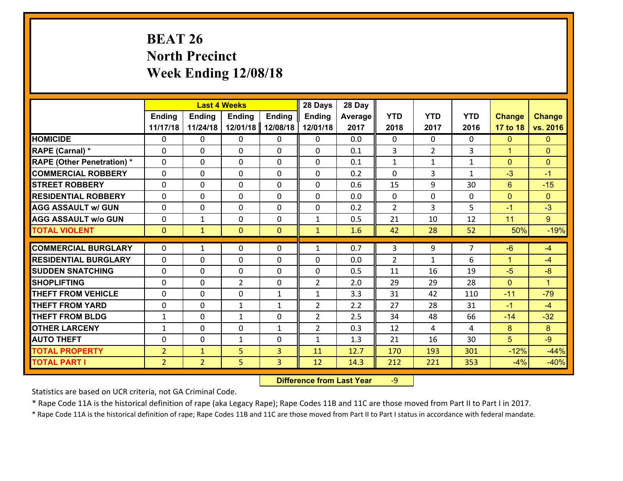# **BEAT 26 North Precinct Week Ending 12/08/18**

|                                   |                | <b>Last 4 Weeks</b> |                |                | 28 Days        | 28 Day  |                |                |              |               |                      |
|-----------------------------------|----------------|---------------------|----------------|----------------|----------------|---------|----------------|----------------|--------------|---------------|----------------------|
|                                   | <b>Ending</b>  | <b>Ending</b>       | <b>Ending</b>  | <b>Ending</b>  | <b>Ending</b>  | Average | <b>YTD</b>     | <b>YTD</b>     | <b>YTD</b>   | <b>Change</b> | <b>Change</b>        |
|                                   | 11/17/18       | 11/24/18            | 12/01/18       | 12/08/18       | 12/01/18       | 2017    | 2018           | 2017           | 2016         | 17 to 18      | vs. 2016             |
| <b>HOMICIDE</b>                   | 0              | 0                   | 0              | 0              | 0              | 0.0     | $\mathbf 0$    | $\mathbf{0}$   | 0            | $\mathbf{0}$  | $\mathbf{0}$         |
| RAPE (Carnal) *                   | 0              | 0                   | $\mathbf{0}$   | 0              | 0              | 0.1     | 3              | $\overline{2}$ | 3            | $\mathbf{1}$  | $\mathbf{0}$         |
| <b>RAPE (Other Penetration) *</b> | $\Omega$       | 0                   | $\Omega$       | $\Omega$       | $\Omega$       | 0.1     | $\mathbf{1}$   | $\mathbf{1}$   | $\mathbf{1}$ | $\mathbf{0}$  | $\mathbf{0}$         |
| <b>COMMERCIAL ROBBERY</b>         | $\Omega$       | 0                   | $\mathbf 0$    | $\Omega$       | 0              | 0.2     | $\Omega$       | 3              | $\mathbf{1}$ | $-3$          | $-1$                 |
| <b>STREET ROBBERY</b>             | 0              | 0                   | $\mathbf 0$    | 0              | 0              | 0.6     | 15             | 9              | 30           | $6^{\circ}$   | $-15$                |
| <b>RESIDENTIAL ROBBERY</b>        | $\Omega$       | 0                   | $\mathbf 0$    | 0              | 0              | 0.0     | $\mathbf{0}$   | 0              | $\Omega$     | $\mathbf{0}$  | $\mathbf{0}$         |
| <b>AGG ASSAULT w/ GUN</b>         | 0              | 0                   | $\mathbf 0$    | 0              | 0              | 0.2     | $\overline{2}$ | $\overline{3}$ | 5            | $-1$          | $-3$                 |
| <b>AGG ASSAULT w/o GUN</b>        | 0              | $\mathbf{1}$        | $\mathbf 0$    | 0              | $\mathbf{1}$   | 0.5     | 21             | 10             | 12           | 11            | 9                    |
| <b>TOTAL VIOLENT</b>              | $\mathbf{0}$   | $\mathbf{1}$        | $\mathbf{0}$   | $\overline{0}$ | $\mathbf{1}$   | 1.6     | 42             | 28             | 52           | 50%           | $-19%$               |
|                                   |                |                     |                |                |                |         |                |                |              |               |                      |
| <b>COMMERCIAL BURGLARY</b>        | $\Omega$       | 1                   | 0              | 0              | $\mathbf{1}$   | 0.7     | 3              | 9              | 7            | $-6$          | $-4$                 |
| <b>RESIDENTIAL BURGLARY</b>       | $\Omega$       | 0                   | $\mathbf{0}$   | $\Omega$       | $\Omega$       | 0.0     | $\overline{2}$ | 1              | 6            | $\mathbf{1}$  | $-4$                 |
| <b>SUDDEN SNATCHING</b>           | $\Omega$       | 0                   | $\mathbf 0$    | $\Omega$       | $\Omega$       | 0.5     | 11             | 16             | 19           | $-5$          | $-8$                 |
| <b>SHOPLIFTING</b>                | $\Omega$       | 0                   | $\overline{2}$ | $\Omega$       | $\overline{2}$ | 2.0     | 29             | 29             | 28           | $\mathbf{0}$  | $\blacktriangleleft$ |
| <b>THEFT FROM VEHICLE</b>         | $\Omega$       | 0                   | $\mathbf 0$    | $\mathbf{1}$   | $\mathbf{1}$   | 3.3     | 31             | 42             | 110          | $-11$         | $-79$                |
| <b>THEFT FROM YARD</b>            | 0              | 0                   | $\mathbf{1}$   | $\mathbf{1}$   | $\overline{2}$ | 2.2     | 27             | 28             | 31           | $-1$          | $-4$                 |
| <b>THEFT FROM BLDG</b>            | $\mathbf{1}$   | 0                   | $\mathbf{1}$   | 0              | $\overline{2}$ | 2.5     | 34             | 48             | 66           | $-14$         | $-32$                |
| <b>OTHER LARCENY</b>              | $\mathbf{1}$   | 0                   | $\mathbf 0$    | $\mathbf{1}$   | $\overline{2}$ | 0.3     | 12             | 4              | 4            | 8             | 8                    |
| <b>AUTO THEFT</b>                 | 0              | 0                   | 1              | 0              | $\mathbf{1}$   | 1.3     | 21             | 16             | 30           | 5             | $-9$                 |
| <b>TOTAL PROPERTY</b>             | $\overline{2}$ | $\mathbf{1}$        | 5              | 3              | 11             | 12.7    | 170            | 193            | 301          | $-12%$        | $-44%$               |
| <b>TOTAL PART I</b>               | 2 <sup>1</sup> | $\overline{2}$      | 5              | 3              | 12             | 14.3    | 212            | 221            | 353          | $-4%$         | $-40%$               |

 **Difference from Last Year**r -9

Statistics are based on UCR criteria, not GA Criminal Code.

\* Rape Code 11A is the historical definition of rape (aka Legacy Rape); Rape Codes 11B and 11C are those moved from Part II to Part I in 2017.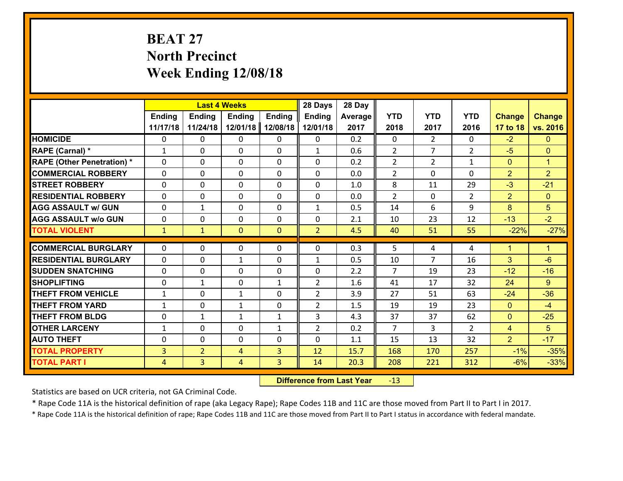# **BEAT 27 North Precinct Week Ending 12/08/18**

|                                   |                | <b>Last 4 Weeks</b> |                |                | 28 Days        | 28 Day  |                |                |                |                |                      |
|-----------------------------------|----------------|---------------------|----------------|----------------|----------------|---------|----------------|----------------|----------------|----------------|----------------------|
|                                   | <b>Ending</b>  | Ending              | <b>Ending</b>  | <b>Ending</b>  | <b>Ending</b>  | Average | <b>YTD</b>     | <b>YTD</b>     | <b>YTD</b>     | <b>Change</b>  | <b>Change</b>        |
|                                   | 11/17/18       | 11/24/18            | 12/01/18       | 12/08/18       | 12/01/18       | 2017    | 2018           | 2017           | 2016           | 17 to 18       | vs. 2016             |
| <b>HOMICIDE</b>                   | 0              | 0                   | $\mathbf{0}$   | 0              | 0              | 0.2     | $\Omega$       | $\overline{2}$ | $\Omega$       | $-2$           | $\mathbf{0}$         |
| RAPE (Carnal) *                   | $\mathbf{1}$   | 0                   | $\mathbf{0}$   | 0              | $\mathbf{1}$   | 0.6     | 2              | $\overline{7}$ | $\overline{2}$ | $-5$           | $\mathbf{0}$         |
| <b>RAPE (Other Penetration) *</b> | $\Omega$       | $\Omega$            | $\Omega$       | $\Omega$       | $\Omega$       | 0.2     | $\overline{2}$ | $\overline{2}$ | $\mathbf{1}$   | $\mathbf{0}$   | $\blacktriangleleft$ |
| <b>COMMERCIAL ROBBERY</b>         | 0              | 0                   | $\mathbf 0$    | 0              | 0              | 0.0     | $\overline{2}$ | $\mathbf{0}$   | $\Omega$       | $\overline{2}$ | $\overline{2}$       |
| <b>STREET ROBBERY</b>             | $\Omega$       | 0                   | $\mathbf 0$    | $\Omega$       | 0              | 1.0     | 8              | 11             | 29             | $-3$           | $-21$                |
| <b>RESIDENTIAL ROBBERY</b>        | $\Omega$       | $\Omega$            | $\mathbf 0$    | $\Omega$       | 0              | 0.0     | $\overline{2}$ | $\Omega$       | $\mathcal{L}$  | $\overline{2}$ | $\overline{0}$       |
| <b>AGG ASSAULT w/ GUN</b>         | $\Omega$       | $\mathbf 1$         | $\mathbf 0$    | $\Omega$       | $\mathbf{1}$   | 0.5     | 14             | 6              | 9              | 8              | $5\phantom{.}$       |
| <b>AGG ASSAULT w/o GUN</b>        | 0              | 0                   | $\mathbf 0$    | 0              | 0              | 2.1     | 10             | 23             | 12             | $-13$          | $-2$                 |
| <b>TOTAL VIOLENT</b>              | $\mathbf{1}$   | $\mathbf{1}$        | $\mathbf{0}$   | $\overline{0}$ | $\overline{2}$ | 4.5     | 40             | 51             | 55             | $-22%$         | $-27%$               |
| <b>COMMERCIAL BURGLARY</b>        | $\Omega$       | 0                   |                | 0              | $\Omega$       |         | 5              |                | 4              | $\mathbf{1}$   | $\blacklozenge$      |
|                                   |                |                     | 0              |                |                | 0.3     |                | 4              |                |                |                      |
| <b>RESIDENTIAL BURGLARY</b>       | $\Omega$       | 0                   | 1              | 0              | 1              | 0.5     | 10             | 7              | 16             | 3              | $-6$                 |
| <b>SUDDEN SNATCHING</b>           | $\Omega$       | 0                   | $\mathbf{0}$   | $\Omega$       | $\Omega$       | 2.2     | $\overline{7}$ | 19             | 23             | $-12$          | $-16$                |
| <b>SHOPLIFTING</b>                | 0              | $\mathbf{1}$        | $\mathbf 0$    | $\mathbf{1}$   | $\overline{2}$ | 1.6     | 41             | 17             | 32             | 24             | $9^{\circ}$          |
| <b>THEFT FROM VEHICLE</b>         | $\mathbf{1}$   | 0                   | $\mathbf{1}$   | $\Omega$       | $\overline{2}$ | 3.9     | 27             | 51             | 63             | $-24$          | $-36$                |
| <b>THEFT FROM YARD</b>            | $\mathbf{1}$   | 0                   | 1              | 0              | $\overline{2}$ | 1.5     | 19             | 19             | 23             | $\mathbf{0}$   | $-4$                 |
| <b>THEFT FROM BLDG</b>            | 0              | 1                   | $\mathbf{1}$   | $\mathbf{1}$   | 3              | 4.3     | 37             | 37             | 62             | $\mathbf{0}$   | $-25$                |
| <b>OTHER LARCENY</b>              | $\mathbf{1}$   | 0                   | $\mathbf 0$    | $\mathbf{1}$   | $\overline{2}$ | 0.2     | $\overline{7}$ | 3              | $\overline{2}$ | $\overline{4}$ | 5                    |
| <b>AUTO THEFT</b>                 | 0              | 0                   | $\mathbf 0$    | 0              | 0              | 1.1     | 15             | 13             | 32             | $\overline{2}$ | $-17$                |
| <b>TOTAL PROPERTY</b>             | $\overline{3}$ | $\overline{2}$      | 4              | 3              | 12             | 15.7    | 168            | 170            | 257            | $-1%$          | $-35%$               |
| <b>TOTAL PART I</b>               | $\overline{4}$ | $\overline{3}$      | $\overline{4}$ | 3              | 14             | 20.3    | 208            | 221            | 312            | $-6%$          | $-33%$               |

 **Difference from Last Year**r -13

Statistics are based on UCR criteria, not GA Criminal Code.

\* Rape Code 11A is the historical definition of rape (aka Legacy Rape); Rape Codes 11B and 11C are those moved from Part II to Part I in 2017.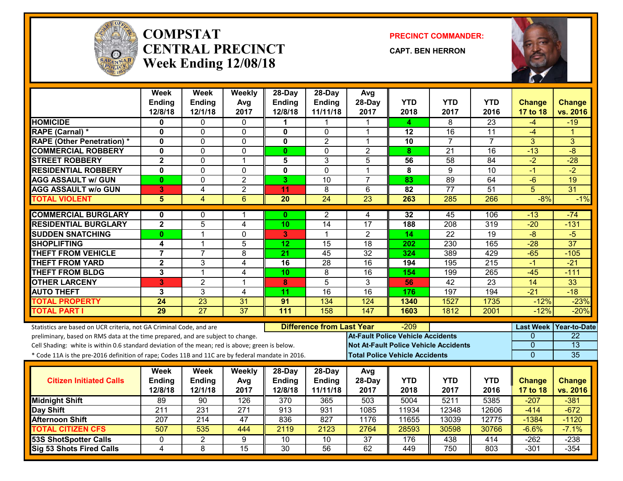

#### **COMPSTATCENTRAL PRECINCTWeek Ending 12/08/18**

**PRECINCT COMMANDER:**

**CAPT. BEN HERRON**



|                                                                                                                                                        | <b>Week</b>             | <b>Week</b>     | Weekly           | $28-Day$        | $28-Day$                         | Avg                                      |                 |                                              |                 |                              |                    |
|--------------------------------------------------------------------------------------------------------------------------------------------------------|-------------------------|-----------------|------------------|-----------------|----------------------------------|------------------------------------------|-----------------|----------------------------------------------|-----------------|------------------------------|--------------------|
|                                                                                                                                                        | <b>Ending</b>           | <b>Ending</b>   | Avg              | <b>Ending</b>   | Ending                           | 28-Day                                   | <b>YTD</b>      | <b>YTD</b>                                   | <b>YTD</b>      | <b>Change</b>                | <b>Change</b>      |
|                                                                                                                                                        | 12/8/18                 | 12/1/18         | 2017             | 12/8/18         | 11/11/18                         | 2017                                     | 2018            | 2017                                         | 2016            | 17 to 18                     | vs. 2016           |
| <b>HOMICIDE</b>                                                                                                                                        | 0                       | 0               | 0                |                 |                                  |                                          | 4               | 8                                            | $\overline{23}$ | -4                           | $-19$              |
| <b>RAPE (Carnal) *</b>                                                                                                                                 | $\mathbf{0}$            | 0               | $\mathbf 0$      | $\mathbf 0$     | $\Omega$                         | 1                                        | 12              | 16                                           | $\overline{11}$ | $-4$                         | 1                  |
| <b>RAPE (Other Penetration) *</b>                                                                                                                      | $\mathbf 0$             | $\overline{0}$  | $\mathbf 0$      | $\mathbf 0$     | $\overline{2}$                   | $\mathbf{1}$                             | $\overline{10}$ | $\overline{7}$                               | $\overline{7}$  | 3                            | 3                  |
| <b>COMMERCIAL ROBBERY</b>                                                                                                                              | $\mathbf 0$             | 0               | $\mathbf 0$      | $\mathbf{0}$    | $\mathbf 0$                      | $\overline{2}$                           | 8               | $\overline{21}$                              | 16              | $-13$                        | $-8$               |
| <b>STREET ROBBERY</b>                                                                                                                                  | $\overline{2}$          | $\overline{0}$  | $\overline{1}$   | 5               | $\overline{3}$                   | $\overline{5}$                           | 56              | $\overline{58}$                              | $\overline{84}$ | $\overline{-2}$              | $-28$              |
| <b>RESIDENTIAL ROBBERY</b>                                                                                                                             | $\mathbf 0$             | 0               | 0                | 0               | $\mathbf 0$                      | $\mathbf 1$                              | 8               | 9                                            | $\overline{10}$ | $-1$                         | $-2$               |
| <b>AGG ASSAULT w/ GUN</b>                                                                                                                              | $\mathbf{0}$            | 0               | $\overline{2}$   | 3               | $\overline{10}$                  | $\overline{7}$                           | 83              | 89                                           | 64              | $-\overline{6}$              | $\overline{19}$    |
| <b>AGG ASSAULT w/o GUN</b>                                                                                                                             | 3                       | 4               | $\overline{2}$   | 11              | 8                                | 6                                        | $\overline{82}$ | $\overline{77}$                              | $\overline{51}$ | 5                            | $\overline{31}$    |
| <b>TOTAL VIOLENT</b>                                                                                                                                   | 5                       | $\overline{4}$  | $\overline{6}$   | $\overline{20}$ | 24                               | 23                                       | 263             | 285                                          | 266             | $-8%$                        | $-1%$              |
| <b>COMMERCIAL BURGLARY</b>                                                                                                                             | 0                       | 0               | 1                | $\mathbf{0}$    | $\overline{2}$                   | 4                                        | 32              | 45                                           | 106             | $-13$                        | $-74$              |
| <b>RESIDENTIAL BURGLARY</b>                                                                                                                            | $\overline{\mathbf{2}}$ | 5               | 4                | 10              | 14                               | $\overline{17}$                          | 188             | 208                                          | 319             | $-20$                        | $-131$             |
| <b>SUDDEN SNATCHING</b>                                                                                                                                | $\mathbf{0}$            | $\mathbf{1}$    | 0                | 3 <sup>1</sup>  | $\blacktriangleleft$             | $\overline{2}$                           | 14              | $\overline{22}$                              | $\overline{19}$ | $-8$                         | $-5$               |
| <b>SHOPLIFTING</b>                                                                                                                                     | $\overline{\mathbf{4}}$ | $\mathbf{1}$    | 5                | 12              | 15                               | 18                                       | 202             | 230                                          | 165             | $-28$                        | $\overline{37}$    |
| <b>THEFT FROM VEHICLE</b>                                                                                                                              | $\overline{7}$          | $\overline{7}$  | 8                | $\overline{21}$ | 45                               | $\overline{32}$                          | 324             | 389                                          | 429             | $-65$                        | $-105$             |
| <b>THEFT FROM YARD</b>                                                                                                                                 | $\mathbf{2}$            | 3               | 4                | 16              | $\overline{28}$                  | 16                                       | 194             | 195                                          | 215             | $-1$                         | $-21$              |
| <b>THEFT FROM BLDG</b>                                                                                                                                 | $\mathbf{3}$            | $\mathbf{1}$    | 4                | 10              | 8                                | 16                                       | 154             | 199                                          | 265             | $-45$                        | $-111$             |
| <b>OTHER LARCENY</b>                                                                                                                                   | 3                       | $\overline{2}$  | 1                | 8               | $\overline{5}$                   | 3                                        | 56              | $\overline{42}$                              | $\overline{23}$ | 14                           | 33                 |
| <b>AUTO THEFT</b>                                                                                                                                      | 3                       | $\overline{3}$  | 4                | 11              | 16                               | 16                                       | 176             | 197                                          | 194             | $-21$                        | $-18$              |
| <b>TOTAL PROPERTY</b>                                                                                                                                  | 24                      | $\overline{23}$ | 31               | 91              | 134                              | 124                                      | 1340            | 1527                                         | 1735            | $-12%$                       | $-23%$             |
| <b>TOTAL PART I</b>                                                                                                                                    | $\overline{29}$         | $\overline{27}$ | $\overline{37}$  | 111             | 158                              | 147                                      | 1603            | 1812                                         | 2001            | $-12%$                       | $-20%$             |
|                                                                                                                                                        |                         |                 |                  |                 |                                  |                                          |                 |                                              |                 |                              |                    |
| Statistics are based on UCR criteria, not GA Criminal Code, and are<br>preliminary, based on RMS data at the time prepared, and are subject to change. |                         |                 |                  |                 | <b>Difference from Last Year</b> | <b>At-Fault Police Vehicle Accidents</b> | -209            |                                              |                 | <b>Last Week</b><br>$\Omega$ | Year-to-Date<br>22 |
| Cell Shading: white is within 0.6 standard deviation of the mean; red is above; green is below.                                                        |                         |                 |                  |                 |                                  |                                          |                 | <b>Not At-Fault Police Vehicle Accidents</b> |                 | $\Omega$                     | $\overline{13}$    |
| * Code 11A is the pre-2016 definition of rape; Codes 11B and 11C are by federal mandate in 2016.                                                       |                         |                 |                  |                 |                                  | <b>Total Police Vehicle Accidents</b>    |                 |                                              |                 | $\mathbf{0}$                 | 35                 |
|                                                                                                                                                        |                         |                 |                  |                 |                                  |                                          |                 |                                              |                 |                              |                    |
|                                                                                                                                                        | <b>Week</b>             | <b>Week</b>     | Weekly           | 28-Day          | $28$ -Day                        | Avg                                      |                 |                                              |                 |                              |                    |
| <b>Citizen Initiated Calls</b>                                                                                                                         | <b>Ending</b>           | <b>Ending</b>   | Avg              | <b>Ending</b>   | Ending                           | 28-Day                                   | <b>YTD</b>      | <b>YTD</b>                                   | <b>YTD</b>      | <b>Change</b>                | <b>Change</b>      |
|                                                                                                                                                        | 12/8/18                 | 12/1/18         | 2017             | 12/8/18         | 11/11/18                         | 2017                                     | 2018            | 2017                                         | 2016            | 17 to 18                     | vs. 2016           |
| <b>Midnight Shift</b>                                                                                                                                  | 89                      | 90              | 126              | 370             | 365                              | 503                                      | 5004            | 5211                                         | 5385            | $-207$                       | $-381$             |
| Day Shift                                                                                                                                              | $\overline{211}$        | 231             | $\overline{271}$ | 913             | 931                              | 1085                                     | 11934           | 12348                                        | 12606           | $-414$                       | $-672$             |
| <b>Afternoon Shift</b>                                                                                                                                 | 207                     | 214             | 47               | 836             | 827                              | 1176                                     | 11655           | 13039                                        | 12775           | $-1384$                      | $-1120$            |
| <b>TOTAL CITIZEN CFS</b>                                                                                                                               | 507                     | 535             | 444              | 2119            | 2123                             | 2764                                     | 28593           | 30598                                        | 30766           | $-6.6%$                      | $-7.1%$            |
| <b>53S ShotSpotter Calls</b>                                                                                                                           | 0                       | $\overline{2}$  | 9                | 10              | 10                               | $\overline{37}$                          | 176             | 438                                          | 414             | $-262$                       | $-238$             |
| <b>Sig 53 Shots Fired Calls</b>                                                                                                                        | $\overline{\mathbf{A}}$ | 8               | 15               | $\overline{30}$ | 56                               | 62                                       | 449             | 750                                          | 803             | $-301$                       | $-354$             |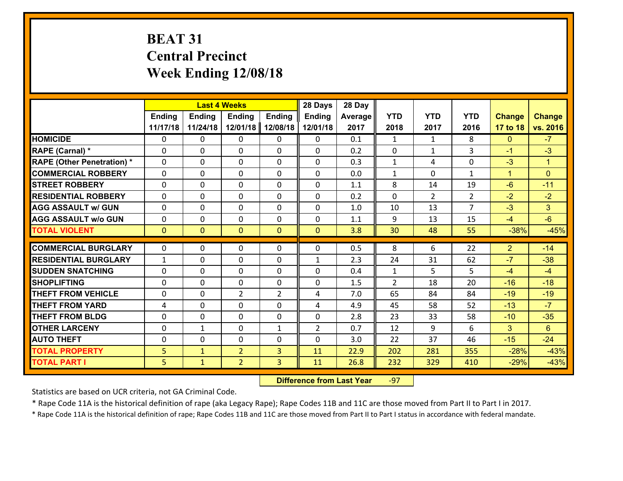# **BEAT 31 Central Precinct Week Ending 12/08/18**

|                                   |               |                | <b>Last 4 Weeks</b> |                | 28 Days        | 28 Day         |                |                |                |                |                      |
|-----------------------------------|---------------|----------------|---------------------|----------------|----------------|----------------|----------------|----------------|----------------|----------------|----------------------|
|                                   | <b>Ending</b> | <b>Ending</b>  | Ending              | <b>Ending</b>  | <b>Ending</b>  | <b>Average</b> | <b>YTD</b>     | <b>YTD</b>     | <b>YTD</b>     | <b>Change</b>  | <b>Change</b>        |
|                                   | 11/17/18      | 11/24/18       | 12/01/18            | 12/08/18       | 12/01/18       | 2017           | 2018           | 2017           | 2016           | 17 to 18       | vs. 2016             |
| <b>HOMICIDE</b>                   | 0             | 0              | 0                   | 0              | 0              | 0.1            | 1              | $\mathbf{1}$   | 8              | $\mathbf{0}$   | $-7$                 |
| RAPE (Carnal) *                   | 0             | $\Omega$       | $\mathbf 0$         | $\Omega$       | $\Omega$       | 0.2            | $\mathbf 0$    | $\mathbf{1}$   | 3              | $-1$           | $-3$                 |
| <b>RAPE (Other Penetration) *</b> | 0             | $\Omega$       | $\mathbf 0$         | $\Omega$       | $\Omega$       | 0.3            | $\mathbf{1}$   | 4              | $\Omega$       | $-3$           | $\blacktriangleleft$ |
| <b>COMMERCIAL ROBBERY</b>         | 0             | $\Omega$       | $\mathbf 0$         | $\Omega$       | $\Omega$       | 0.0            | $\mathbf{1}$   | $\Omega$       | $\mathbf{1}$   | $\mathbf{1}$   | $\mathbf{0}$         |
| <b>ISTREET ROBBERY</b>            | 0             | 0              | $\mathbf 0$         | 0              | 0              | 1.1            | 8              | 14             | 19             | $-6$           | $-11$                |
| <b>RESIDENTIAL ROBBERY</b>        | 0             | 0              | $\mathbf 0$         | $\Omega$       | 0              | 0.2            | $\mathbf 0$    | $\overline{2}$ | $\overline{2}$ | $-2$           | $-2$                 |
| <b>AGG ASSAULT w/ GUN</b>         | 0             | 0              | $\mathbf 0$         | $\Omega$       | 0              | 1.0            | 10             | 13             | $\overline{7}$ | $-3$           | 3                    |
| <b>AGG ASSAULT w/o GUN</b>        | 0             | 0              | $\mathbf 0$         | $\Omega$       | 0              | 1.1            | 9              | 13             | 15             | $-4$           | $-6$                 |
| <b>TOTAL VIOLENT</b>              | $\mathbf{0}$  | $\overline{0}$ | $\mathbf{0}$        | $\overline{0}$ | $\mathbf{0}$   | 3.8            | 30             | 48             | 55             | $-38%$         | $-45%$               |
| <b>COMMERCIAL BURGLARY</b>        | $\Omega$      | 0              | 0                   | 0              | 0              | 0.5            | 8              | 6              | 22             | $\overline{2}$ | $-14$                |
| <b>RESIDENTIAL BURGLARY</b>       | $\mathbf{1}$  | 0              | $\mathbf{0}$        | 0              | $\mathbf{1}$   | 2.3            | 24             | 31             | 62             | $-7$           | $-38$                |
| <b>SUDDEN SNATCHING</b>           | 0             | 0              | $\mathbf{0}$        | $\Omega$       | $\mathbf{0}$   | 0.4            | $\mathbf{1}$   | 5              | 5              | $-4$           | $-4$                 |
| <b>SHOPLIFTING</b>                | 0             | 0              | $\mathbf 0$         | 0              | 0              | 1.5            | $\overline{2}$ | 18             | 20             | $-16$          | $-18$                |
| <b>THEFT FROM VEHICLE</b>         | 0             | 0              | $\overline{2}$      | $\overline{2}$ | 4              | 7.0            | 65             | 84             | 84             | $-19$          | $-19$                |
| <b>THEFT FROM YARD</b>            | 4             | 0              | 0                   | $\Omega$       | 4              | 4.9            | 45             | 58             | 52             | $-13$          | $-7$                 |
| <b>THEFT FROM BLDG</b>            | 0             | 0              | $\mathbf 0$         | $\Omega$       | 0              | 2.8            | 23             | 33             | 58             | $-10$          | $-35$                |
| <b>OTHER LARCENY</b>              | 0             | $\mathbf{1}$   | 0                   | $\mathbf{1}$   | $\overline{2}$ | 0.7            | 12             | 9              | 6              | 3 <sup>5</sup> | $6\phantom{1}$       |
| <b>AUTO THEFT</b>                 | 0             | 0              | 0                   | $\Omega$       | 0              | 3.0            | 22             | 37             | 46             | $-15$          | $-24$                |
| <b>TOTAL PROPERTY</b>             | 5             | $\mathbf{1}$   | $\overline{2}$      | 3              | 11             | 22.9           | 202            | 281            | 355            | $-28%$         | $-43%$               |
| <b>TOTAL PART I</b>               | 5             | $\mathbf{1}$   | $\overline{2}$      | 3              | 11             | 26.8           | 232            | 329            | 410            | $-29%$         | $-43%$               |

 **Difference from Last Year**r -97

Statistics are based on UCR criteria, not GA Criminal Code.

\* Rape Code 11A is the historical definition of rape (aka Legacy Rape); Rape Codes 11B and 11C are those moved from Part II to Part I in 2017.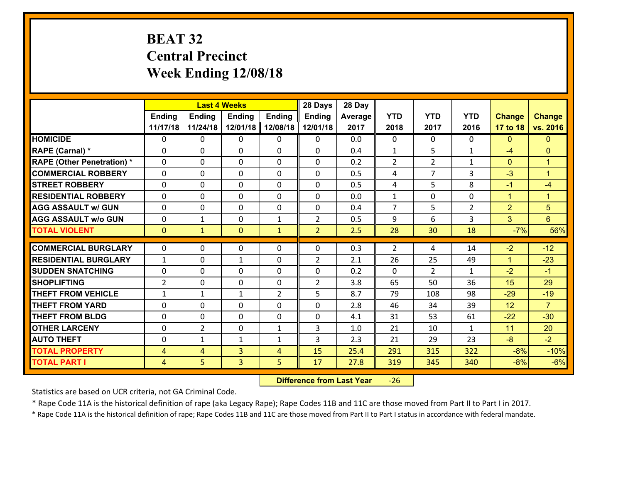# **BEAT 32 Central Precinct Week Ending 12/08/18**

|                                   |                |                | <b>Last 4 Weeks</b> |                | 28 Days        | 28 Day  |                |                |                |                |                |
|-----------------------------------|----------------|----------------|---------------------|----------------|----------------|---------|----------------|----------------|----------------|----------------|----------------|
|                                   | <b>Ending</b>  | <b>Ending</b>  | <b>Ending</b>       | <b>Ending</b>  | <b>Ending</b>  | Average | <b>YTD</b>     | <b>YTD</b>     | <b>YTD</b>     | <b>Change</b>  | <b>Change</b>  |
|                                   | 11/17/18       | 11/24/18       | 12/01/18            | 12/08/18       | 12/01/18       | 2017    | 2018           | 2017           | 2016           | 17 to 18       | vs. 2016       |
| <b>HOMICIDE</b>                   | $\Omega$       | 0              | 0                   | 0              | $\Omega$       | 0.0     | 0              | $\Omega$       | 0              | $\mathbf{0}$   | $\Omega$       |
| RAPE (Carnal) *                   | $\Omega$       | 0              | $\Omega$            | 0              | $\Omega$       | 0.4     | $\mathbf{1}$   | 5              | $\mathbf{1}$   | $-4$           | $\Omega$       |
| <b>RAPE (Other Penetration) *</b> | 0              | 0              | $\mathbf 0$         | 0              | 0              | 0.2     | $\overline{2}$ | $\overline{2}$ | $\mathbf{1}$   | $\mathbf{0}$   | $\overline{1}$ |
| <b>COMMERCIAL ROBBERY</b>         | 0              | 0              | $\mathbf 0$         | 0              | 0              | 0.5     | 4              | 7              | 3              | $-3$           | $\overline{1}$ |
| <b>STREET ROBBERY</b>             | $\mathbf{0}$   | 0              | $\mathbf 0$         | 0              | 0              | 0.5     | 4              | 5              | 8              | $-1$           | $-4$           |
| <b>RESIDENTIAL ROBBERY</b>        | 0              | 0              | $\mathbf 0$         | $\mathbf{0}$   | 0              | 0.0     | $\mathbf{1}$   | $\mathbf{0}$   | 0              | $\mathbf{1}$   | $\mathbf{1}$   |
| <b>AGG ASSAULT w/ GUN</b>         | 0              | 0              | $\mathbf 0$         | 0              | 0              | 0.4     | $\overline{7}$ | 5              | $\overline{2}$ | $\overline{2}$ | 5              |
| <b>AGG ASSAULT w/o GUN</b>        | 0              | $\mathbf{1}$   | 0                   | 1              | $\overline{2}$ | 0.5     | 9              | 6              | 3              | 3              | $6\phantom{1}$ |
| <b>TOTAL VIOLENT</b>              | $\mathbf{0}$   | $\mathbf{1}$   | $\mathbf{0}$        | $\mathbf{1}$   | $\overline{2}$ | 2.5     | 28             | 30             | 18             | $-7%$          | 56%            |
| <b>COMMERCIAL BURGLARY</b>        | $\mathbf{0}$   | 0              | $\mathbf{0}$        | 0              | 0              | 0.3     | 2              | 4              | 14             | $-2$           | $-12$          |
| <b>RESIDENTIAL BURGLARY</b>       | $\mathbf{1}$   | 0              | 1                   | 0              | $\overline{2}$ | 2.1     | 26             | 25             | 49             | $\mathbf{1}$   | $-23$          |
| <b>SUDDEN SNATCHING</b>           | $\mathbf{0}$   | 0              | $\mathbf 0$         | 0              | 0              | 0.2     | $\mathbf{0}$   | $\overline{2}$ | $\mathbf{1}$   | $-2$           | $-1$           |
| <b>SHOPLIFTING</b>                | $\overline{2}$ | 0              | $\mathbf 0$         | 0              | $\overline{2}$ | 3.8     | 65             | 50             | 36             | 15             | 29             |
| <b>THEFT FROM VEHICLE</b>         | $\mathbf{1}$   | 1              | 1                   | $\overline{2}$ | 5              | 8.7     | 79             | 108            | 98             | $-29$          | $-19$          |
| <b>THEFT FROM YARD</b>            | 0              | 0              | $\mathbf 0$         | 0              | 0              | 2.8     | 46             | 34             | 39             | 12             | $\overline{7}$ |
| <b>THEFT FROM BLDG</b>            | 0              | 0              | $\mathbf 0$         | $\mathbf{0}$   | 0              | 4.1     | 31             | 53             | 61             | $-22$          | $-30$          |
| <b>OTHER LARCENY</b>              | 0              | $\overline{2}$ | $\mathbf 0$         | $\mathbf{1}$   | 3              | 1.0     | 21             | 10             | $\mathbf{1}$   | 11             | 20             |
| <b>AUTO THEFT</b>                 | 0              | $\mathbf{1}$   | $\mathbf{1}$        | $\mathbf{1}$   | 3              | 2.3     | 21             | 29             | 23             | $-8$           | $-2$           |
| <b>TOTAL PROPERTY</b>             | $\overline{4}$ | 4              | 3                   | $\overline{4}$ | 15             | 25.4    | 291            | 315            | 322            | $-8%$          | $-10%$         |
| <b>TOTAL PART I</b>               | $\overline{4}$ | 5              | 3                   | 5              | 17             | 27.8    | 319            | 345            | 340            | $-8%$          | $-6%$          |

 **Difference from Last Year**‐26

Statistics are based on UCR criteria, not GA Criminal Code.

\* Rape Code 11A is the historical definition of rape (aka Legacy Rape); Rape Codes 11B and 11C are those moved from Part II to Part I in 2017.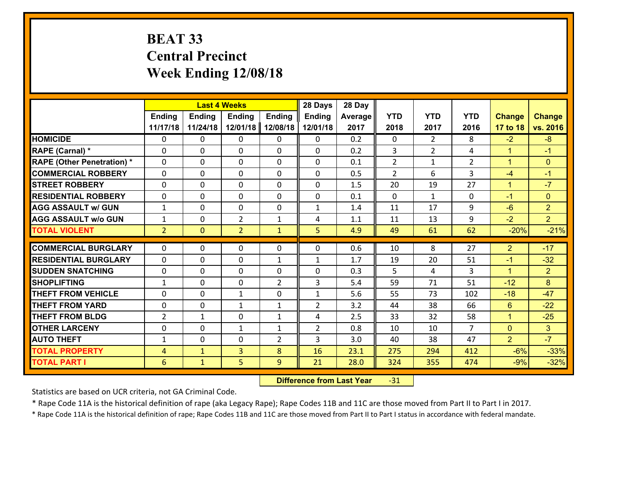# **BEAT 33 Central Precinct Week Ending 12/08/18**

|                                   | <b>Last 4 Weeks</b><br><b>Ending</b><br><b>Ending</b><br><b>Ending</b><br><b>Ending</b> |                |                |                | 28 Days        | 28 Day  |                |                |                |                |                |
|-----------------------------------|-----------------------------------------------------------------------------------------|----------------|----------------|----------------|----------------|---------|----------------|----------------|----------------|----------------|----------------|
|                                   |                                                                                         |                |                |                | <b>Ending</b>  | Average | <b>YTD</b>     | <b>YTD</b>     | <b>YTD</b>     | <b>Change</b>  | <b>Change</b>  |
|                                   | 11/17/18                                                                                | 11/24/18       | 12/01/18       | 12/08/18       | 12/01/18       | 2017    | 2018           | 2017           | 2016           | 17 to 18       | vs. 2016       |
| <b>HOMICIDE</b>                   | $\Omega$                                                                                | 0              | $\Omega$       | 0              | $\Omega$       | 0.2     | $\Omega$       | $\overline{2}$ | 8              | $-2$           | $-8$           |
| RAPE (Carnal) *                   | 0                                                                                       | 0              | $\mathbf{0}$   | 0              | $\Omega$       | 0.2     | 3              | $\overline{2}$ | 4              | $\mathbf{1}$   | $-1$           |
| <b>RAPE (Other Penetration) *</b> | $\Omega$                                                                                | 0              | $\mathbf{0}$   | $\Omega$       | $\Omega$       | 0.1     | $\overline{2}$ | $\mathbf{1}$   | $\overline{2}$ | $\mathbf{1}$   | $\mathbf{0}$   |
| <b>COMMERCIAL ROBBERY</b>         | 0                                                                                       | 0              | 0              | 0              | $\Omega$       | 0.5     | 2              | 6              | 3              | $-4$           | $-1$           |
| <b>STREET ROBBERY</b>             | $\Omega$                                                                                | 0              | $\mathbf 0$    | $\Omega$       | 0              | 1.5     | 20             | 19             | 27             | $\mathbf{1}$   | $-7$           |
| <b>RESIDENTIAL ROBBERY</b>        | $\Omega$                                                                                | $\Omega$       | $\mathbf 0$    | $\Omega$       | 0              | 0.1     | $\Omega$       | $\mathbf{1}$   | $\Omega$       | $-1$           | $\mathbf{0}$   |
| <b>AGG ASSAULT w/ GUN</b>         | $\mathbf{1}$                                                                            | 0              | $\mathbf 0$    | 0              | $\mathbf{1}$   | 1.4     | 11             | 17             | 9              | $-6$           | $\overline{2}$ |
| <b>AGG ASSAULT w/o GUN</b>        | $\mathbf{1}$                                                                            | 0              | $\overline{2}$ | $\mathbf{1}$   | 4              | 1.1     | 11             | 13             | 9              | $-2$           | 2 <sup>1</sup> |
| <b>TOTAL VIOLENT</b>              | 2 <sup>1</sup>                                                                          | $\overline{0}$ | $\overline{2}$ | $\mathbf{1}$   | 5              | 4.9     | 49             | 61             | 62             | $-20%$         | $-21%$         |
| <b>COMMERCIAL BURGLARY</b>        | $\Omega$                                                                                | 0              | $\mathbf{0}$   | $\Omega$       | $\Omega$       | 0.6     | 10             | 8              | 27             | $\overline{2}$ | $-17$          |
| <b>RESIDENTIAL BURGLARY</b>       | 0                                                                                       | 0              | $\mathbf 0$    | $\mathbf{1}$   | $\mathbf{1}$   | 1.7     | 19             | 20             | 51             | $-1$           | $-32$          |
| <b>SUDDEN SNATCHING</b>           | 0                                                                                       | 0              | $\mathbf 0$    | 0              | 0              | 0.3     | 5              | 4              | 3              | $\mathbf{1}$   | $\overline{2}$ |
| <b>SHOPLIFTING</b>                | $\mathbf{1}$                                                                            | 0              | $\mathbf 0$    | $\overline{2}$ | 3              | 5.4     | 59             | 71             | 51             | $-12$          | 8              |
| <b>THEFT FROM VEHICLE</b>         | $\Omega$                                                                                | 0              | 1              | 0              | $\mathbf{1}$   | 5.6     | 55             | 73             | 102            | $-18$          | $-47$          |
| <b>THEFT FROM YARD</b>            | 0                                                                                       | 0              | 1              | $\mathbf{1}$   | $\overline{2}$ | 3.2     | 44             | 38             | 66             | $6\phantom{1}$ | $-22$          |
| <b>THEFT FROM BLDG</b>            | $\overline{2}$                                                                          | 1              | $\mathbf 0$    | $\mathbf{1}$   | 4              | 2.5     | 33             | 32             | 58             | $\mathbf{1}$   | $-25$          |
| <b>OTHER LARCENY</b>              | 0                                                                                       | 0              | $\mathbf{1}$   | $\mathbf{1}$   | $\overline{2}$ | 0.8     | 10             | 10             | $\overline{7}$ | $\mathbf{0}$   | 3 <sup>1</sup> |
| <b>AUTO THEFT</b>                 | $\mathbf{1}$                                                                            | 0              | $\mathbf{0}$   | 2              | 3              | 3.0     | 40             | 38             | 47             | $\overline{2}$ | $-7$           |
| <b>TOTAL PROPERTY</b>             | $\overline{4}$                                                                          | $\mathbf{1}$   | $\overline{3}$ | 8              | 16             | 23.1    | 275            | 294            | 412            | $-6%$          | $-33%$         |
| <b>TOTAL PART I</b>               | 6                                                                                       | $\mathbf{1}$   | 5              | 9              | 21             | 28.0    | 324            | 355            | 474            | $-9%$          | $-32%$         |
|                                   |                                                                                         |                |                |                |                |         |                |                |                |                |                |

 **Difference from Last Year**r -31

Statistics are based on UCR criteria, not GA Criminal Code.

\* Rape Code 11A is the historical definition of rape (aka Legacy Rape); Rape Codes 11B and 11C are those moved from Part II to Part I in 2017.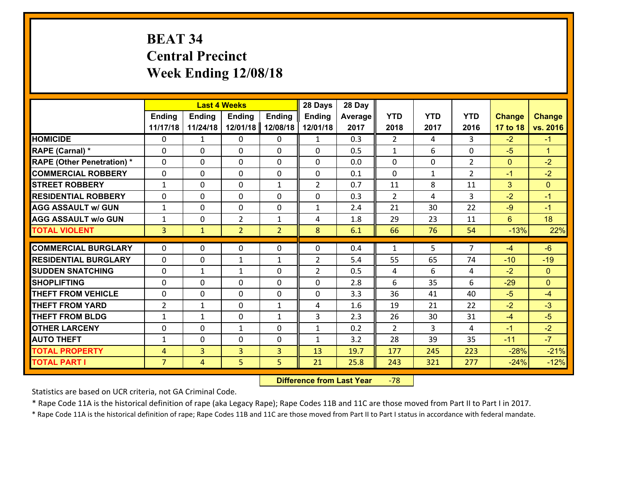# **BEAT 34 Central Precinct Week Ending 12/08/18**

|                                   | <b>Last 4 Weeks</b><br><b>Ending</b><br><b>Ending</b><br><b>Ending</b><br><b>Ending</b> |                |                |                | 28 Days        | 28 Day  |                |              |                |               |                      |
|-----------------------------------|-----------------------------------------------------------------------------------------|----------------|----------------|----------------|----------------|---------|----------------|--------------|----------------|---------------|----------------------|
|                                   |                                                                                         |                |                |                | <b>Ending</b>  | Average | <b>YTD</b>     | <b>YTD</b>   | <b>YTD</b>     | <b>Change</b> | <b>Change</b>        |
|                                   | 11/17/18                                                                                | 11/24/18       | 12/01/18       | 12/08/18       | 12/01/18       | 2017    | 2018           | 2017         | 2016           | 17 to 18      | vs. 2016             |
| <b>HOMICIDE</b>                   | $\Omega$                                                                                | $\mathbf{1}$   | 0              | 0              | 1              | 0.3     | $\overline{2}$ | 4            | 3              | $-2$          | $-1$                 |
| RAPE (Carnal) *                   | $\Omega$                                                                                | 0              | $\mathbf{0}$   | $\Omega$       | $\Omega$       | 0.5     | $\mathbf{1}$   | 6            | $\Omega$       | $-5$          | $\blacktriangleleft$ |
| <b>RAPE (Other Penetration) *</b> | 0                                                                                       | 0              | $\mathbf 0$    | 0              | 0              | 0.0     | 0              | 0            | $\overline{2}$ | $\mathbf{0}$  | $-2$                 |
| <b>COMMERCIAL ROBBERY</b>         | 0                                                                                       | 0              | $\mathbf 0$    | 0              | 0              | 0.1     | $\mathbf 0$    | $\mathbf{1}$ | $\overline{2}$ | $-1$          | $-2$                 |
| <b>STREET ROBBERY</b>             | $\mathbf{1}$                                                                            | 0              | $\mathbf 0$    | $\mathbf{1}$   | $\overline{2}$ | 0.7     | 11             | 8            | 11             | 3             | $\overline{0}$       |
| <b>RESIDENTIAL ROBBERY</b>        | 0                                                                                       | 0              | $\mathbf 0$    | 0              | 0              | 0.3     | 2              | 4            | 3              | $-2$          | $-1$                 |
| <b>AGG ASSAULT w/ GUN</b>         | $\mathbf{1}$                                                                            | 0              | $\mathbf 0$    | 0              | $\mathbf{1}$   | 2.4     | 21             | 30           | 22             | $-9$          | $-1$                 |
| <b>AGG ASSAULT w/o GUN</b>        | $\mathbf{1}$                                                                            | 0              | $\overline{2}$ | $\mathbf{1}$   | 4              | 1.8     | 29             | 23           | 11             | $6^{\circ}$   | 18                   |
| <b>TOTAL VIOLENT</b>              | $\overline{3}$                                                                          | $\mathbf{1}$   | $\overline{2}$ | $\overline{2}$ | 8              | 6.1     | 66             | 76           | 54             | $-13%$        | 22%                  |
|                                   |                                                                                         |                |                |                |                |         |                |              |                |               |                      |
| <b>COMMERCIAL BURGLARY</b>        | $\Omega$                                                                                | 0              | $\mathbf{0}$   | 0              | $\Omega$       | 0.4     | $\mathbf{1}$   | 5            | $\overline{7}$ | $-4$          | $-6$                 |
| <b>RESIDENTIAL BURGLARY</b>       | 0                                                                                       | 0              | 1              | $\mathbf{1}$   | $\overline{2}$ | 5.4     | 55             | 65           | 74             | $-10$         | $-19$                |
| <b>SUDDEN SNATCHING</b>           | 0                                                                                       | $\mathbf{1}$   | 1              | 0              | $\overline{2}$ | 0.5     | 4              | 6            | 4              | $-2$          | $\overline{0}$       |
| <b>SHOPLIFTING</b>                | 0                                                                                       | 0              | $\mathbf 0$    | 0              | 0              | 2.8     | 6              | 35           | 6              | $-29$         | $\overline{0}$       |
| <b>THEFT FROM VEHICLE</b>         | 0                                                                                       | 0              | $\mathbf 0$    | 0              | 0              | 3.3     | 36             | 41           | 40             | $-5$          | $-4$                 |
| <b>THEFT FROM YARD</b>            | $\overline{2}$                                                                          | $\mathbf{1}$   | $\mathbf 0$    | $\mathbf{1}$   | 4              | 1.6     | 19             | 21           | 22             | $-2$          | $-3$                 |
| <b>THEFT FROM BLDG</b>            | $\mathbf{1}$                                                                            | 1              | $\mathbf 0$    | $\mathbf{1}$   | 3              | 2.3     | 26             | 30           | 31             | $-4$          | $-5$                 |
| <b>OTHER LARCENY</b>              | $\mathbf 0$                                                                             | 0              | $\mathbf{1}$   | 0              | $\mathbf{1}$   | 0.2     | $\overline{2}$ | 3            | 4              | $-1$          | $-2$                 |
| <b>AUTO THEFT</b>                 | $\mathbf{1}$                                                                            | 0              | $\mathbf 0$    | $\mathbf 0$    | $\mathbf{1}$   | 3.2     | 28             | 39           | 35             | $-11$         | $-7$                 |
| <b>TOTAL PROPERTY</b>             | $\overline{4}$                                                                          | $\overline{3}$ | $\overline{3}$ | 3              | 13             | 19.7    | 177            | 245          | 223            | $-28%$        | $-21%$               |
| <b>TOTAL PART I</b>               | $\overline{7}$                                                                          | $\overline{4}$ | 5              | 5              | 21             | 25.8    | 243            | 321          | 277            | $-24%$        | $-12%$               |

 **Difference from Last Year**r -78

Statistics are based on UCR criteria, not GA Criminal Code.

\* Rape Code 11A is the historical definition of rape (aka Legacy Rape); Rape Codes 11B and 11C are those moved from Part II to Part I in 2017.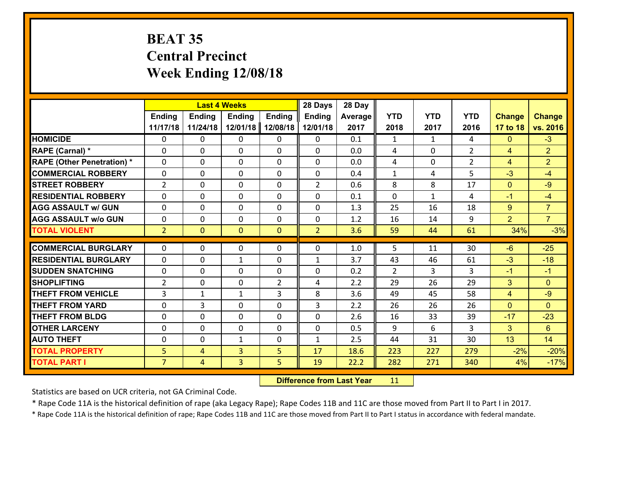# **BEAT 35 Central Precinct Week Ending 12/08/18**

|                                              |                     | <b>Last 4 Weeks</b><br>Ending<br><b>Ending</b><br><b>Ending</b><br><b>Ending</b> |              |                |                | 28 Day       |               |              |                |                |                  |
|----------------------------------------------|---------------------|----------------------------------------------------------------------------------|--------------|----------------|----------------|--------------|---------------|--------------|----------------|----------------|------------------|
|                                              |                     |                                                                                  |              |                | <b>Ending</b>  | Average      | <b>YTD</b>    | <b>YTD</b>   | <b>YTD</b>     | <b>Change</b>  | <b>Change</b>    |
|                                              | 11/17/18            | 11/24/18                                                                         | 12/01/18     | 12/08/18       | 12/01/18       | 2017         | 2018          | 2017         | 2016           | 17 to 18       | vs. 2016         |
| <b>HOMICIDE</b>                              | 0                   | 0                                                                                | 0            | 0              | 0              | 0.1          | 1             | $\mathbf{1}$ | 4              | $\mathbf{0}$   | $-3$             |
| RAPE (Carnal) *                              | 0                   | 0                                                                                | $\mathbf{0}$ | 0              | $\Omega$       | 0.0          | 4             | $\mathbf{0}$ | $\overline{2}$ | 4              | $\overline{2}$   |
| <b>RAPE (Other Penetration) *</b>            | $\Omega$            | 0                                                                                | $\mathbf{0}$ | $\Omega$       | $\Omega$       | 0.0          | 4             | 0            | $\overline{2}$ | 4              | $\overline{2}$   |
| <b>COMMERCIAL ROBBERY</b>                    | 0                   | 0                                                                                | $\mathbf 0$  | $\Omega$       | 0              | 0.4          | $\mathbf{1}$  | 4            | 5              | $-3$           | $-4$             |
| <b>ISTREET ROBBERY</b>                       | 2                   | 0                                                                                | $\mathbf 0$  | 0              | $\overline{2}$ | 0.6          | 8             | 8            | 17             | $\mathbf{0}$   | $-9$             |
| <b>RESIDENTIAL ROBBERY</b>                   | $\Omega$            | 0                                                                                | 0            | 0              | 0              | 0.1          | $\mathbf{0}$  | $\mathbf{1}$ | 4              | $-1$           | $-4$             |
| <b>AGG ASSAULT w/ GUN</b>                    | 0                   | 0                                                                                | $\mathbf 0$  | 0              | 0              | 1.3          | 25            | 16           | 18             | 9              | $\overline{7}$   |
| <b>AGG ASSAULT w/o GUN</b>                   | 0                   | 0                                                                                | $\mathbf 0$  | $\mathbf{0}$   | $\mathbf 0$    | 1.2          | 16            | 14           | 9              | $\overline{2}$ | $\overline{7}$   |
| <b>TOTAL VIOLENT</b>                         | $\overline{2}$      | $\overline{0}$                                                                   | $\mathbf{0}$ | $\mathbf{0}$   | $\overline{2}$ | 3.6          | 59            | 44           | 61             | 34%            | $-3%$            |
| <b>COMMERCIAL BURGLARY</b>                   | $\Omega$            | 0                                                                                | $\mathbf{0}$ | 0              | $\Omega$       |              | 5.            | 11           |                |                |                  |
|                                              |                     |                                                                                  |              |                |                |              |               |              |                |                |                  |
|                                              |                     |                                                                                  |              |                |                | 1.0          |               |              | 30             | $-6$           | $-25$            |
| <b>RESIDENTIAL BURGLARY</b>                  | $\Omega$            | 0                                                                                | 1            | 0              | $\mathbf{1}$   | 3.7          | 43            | 46           | 61             | $-3$           | $-18$            |
| <b>ISUDDEN SNATCHING</b>                     | $\Omega$            | 0                                                                                | $\mathbf 0$  | $\Omega$       | $\Omega$       | 0.2          | $\mathcal{P}$ | 3            | 3              | $-1$           | $-1$             |
| <b>SHOPLIFTING</b>                           | $\overline{2}$      | 0                                                                                | $\mathbf{0}$ | $\overline{2}$ | 4              | 2.2          | 29            | 26           | 29             | 3              | $\Omega$         |
| <b>THEFT FROM VEHICLE</b>                    | 3                   | 1                                                                                | 1            | 3              | 8              | 3.6          | 49            | 45           | 58             | 4              | $-9$             |
| <b>THEFT FROM YARD</b>                       | 0                   | 3                                                                                | $\mathbf 0$  | 0              | 3              | 2.2          | 26            | 26           | 26             | $\mathbf{0}$   | $\Omega$         |
| <b>THEFT FROM BLDG</b>                       | 0                   | 0                                                                                | $\mathbf 0$  | 0              | 0              | 2.6          | 16            | 33<br>6      | 39<br>3        | $-17$          | $-23$            |
| <b>OTHER LARCENY</b>                         | 0<br>$\mathbf{0}$   | 0<br>0                                                                           | $\mathbf 0$  | 0<br>0         | 0              | 0.5          | 9             |              |                | 3              | 6                |
| <b>AUTO THEFT</b>                            |                     |                                                                                  | 1            |                | $\mathbf{1}$   | 2.5          | 44            | 31           | 30             | 13             | 14               |
| <b>TOTAL PROPERTY</b><br><b>TOTAL PART I</b> | 5<br>$\overline{7}$ | 4<br>$\overline{4}$                                                              | 3<br>3       | 5<br>5         | 17<br>19       | 18.6<br>22.2 | 223<br>282    | 227<br>271   | 279<br>340     | $-2%$<br>4%    | $-20%$<br>$-17%$ |

 **Difference from Last Year**r 11

Statistics are based on UCR criteria, not GA Criminal Code.

\* Rape Code 11A is the historical definition of rape (aka Legacy Rape); Rape Codes 11B and 11C are those moved from Part II to Part I in 2017.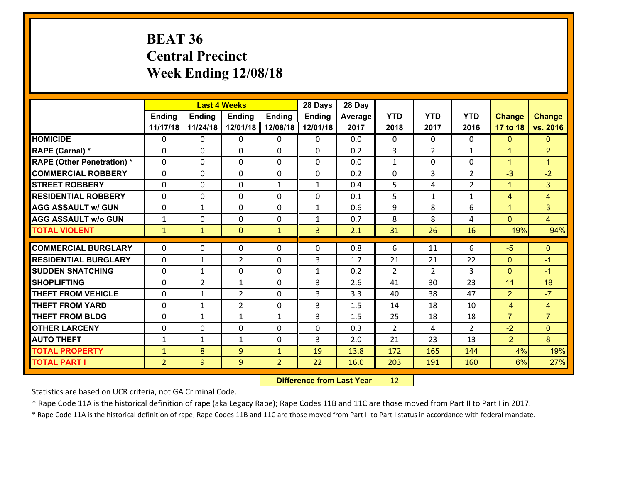# **BEAT 36 Central Precinct Week Ending 12/08/18**

|                                              |                                | <b>Last 4 Weeks</b><br><b>Ending</b><br><b>Ending</b><br><b>Ending</b><br><b>Ending</b> |                |                                |               | 28 Day       |                |                |                |                |                      |
|----------------------------------------------|--------------------------------|-----------------------------------------------------------------------------------------|----------------|--------------------------------|---------------|--------------|----------------|----------------|----------------|----------------|----------------------|
|                                              |                                |                                                                                         |                |                                | <b>Ending</b> | Average      | <b>YTD</b>     | <b>YTD</b>     | <b>YTD</b>     | <b>Change</b>  | <b>Change</b>        |
|                                              | 11/17/18                       | 11/24/18                                                                                | 12/01/18       | 12/08/18                       | 12/01/18      | 2017         | 2018           | 2017           | 2016           | 17 to 18       | vs. 2016             |
| <b>HOMICIDE</b>                              | 0                              | 0                                                                                       | 0              | 0                              | 0             | 0.0          | $\mathbf 0$    | $\mathbf{0}$   | $\Omega$       | $\mathbf{0}$   | $\mathbf{0}$         |
| RAPE (Carnal) *                              | $\Omega$                       | 0                                                                                       | $\mathbf{0}$   | 0                              | $\Omega$      | 0.2          | 3              | $\overline{2}$ | $\mathbf{1}$   | $\mathbf{1}$   | $\overline{2}$       |
| <b>RAPE (Other Penetration) *</b>            | $\Omega$                       | 0                                                                                       | $\Omega$       | $\Omega$                       | $\Omega$      | 0.0          | $\mathbf{1}$   | $\Omega$       | $\Omega$       | $\mathbf{1}$   | $\blacktriangleleft$ |
| <b>COMMERCIAL ROBBERY</b>                    | $\Omega$                       | $\Omega$                                                                                | $\mathbf 0$    | $\Omega$                       | 0             | 0.2          | 0              | 3              | $\overline{2}$ | $-3$           | $-2$                 |
| <b>STREET ROBBERY</b>                        | 0                              | 0                                                                                       | $\mathbf 0$    | $\mathbf{1}$                   | $\mathbf{1}$  | 0.4          | 5              | 4              | $\overline{2}$ | $\mathbf{1}$   | 3                    |
| <b>RESIDENTIAL ROBBERY</b>                   | $\Omega$                       | 0                                                                                       | $\mathbf 0$    | 0                              | 0             | 0.1          | 5              | $\mathbf{1}$   | $\mathbf{1}$   | 4              | $\overline{4}$       |
| <b>AGG ASSAULT w/ GUN</b>                    | 0                              | $\mathbf{1}$                                                                            | $\mathbf 0$    | 0                              | $\mathbf{1}$  | 0.6          | 9              | 8              | 6              | $\mathbf{1}$   | 3                    |
| <b>AGG ASSAULT w/o GUN</b>                   | $\mathbf{1}$                   | 0                                                                                       | $\mathbf 0$    | 0                              | $\mathbf{1}$  | 0.7          | 8              | 8              | 4              | $\mathbf{0}$   | $\overline{4}$       |
| <b>TOTAL VIOLENT</b>                         | $\mathbf{1}$                   | $\mathbf{1}$                                                                            | $\mathbf{0}$   | $\mathbf{1}$                   | 3             | 2.1          | 31             | 26             | 16             | 19%            | 94%                  |
| <b>COMMERCIAL BURGLARY</b>                   | $\Omega$                       | 0                                                                                       | 0              | 0                              | 0             | 0.8          | 6              | 11             | 6              | $-5$           | $\mathbf{0}$         |
| <b>RESIDENTIAL BURGLARY</b>                  | $\Omega$                       | 1                                                                                       | $\overline{2}$ | $\Omega$                       | 3             | 1.7          | 21             | 21             | 22             | $\mathbf{0}$   | $-1$                 |
| <b>SUDDEN SNATCHING</b>                      | $\Omega$                       | 1                                                                                       | $\mathbf 0$    | $\Omega$                       | $\mathbf{1}$  | 0.2          | $\mathcal{L}$  | $\overline{2}$ | 3              | $\Omega$       | $-1$                 |
| <b>SHOPLIFTING</b>                           | $\Omega$                       | $\overline{2}$                                                                          | 1              | $\Omega$                       | 3             | 2.6          | 41             | 30             | 23             | 11             | 18                   |
|                                              |                                |                                                                                         |                |                                |               |              |                |                |                |                |                      |
|                                              |                                |                                                                                         |                |                                |               |              |                |                |                |                |                      |
| <b>THEFT FROM VEHICLE</b>                    | $\mathbf{0}$                   | 1                                                                                       | $\overline{2}$ | 0                              | 3             | 3.3          | 40             | 38             | 47             | $\overline{2}$ | $-7$                 |
| <b>THEFT FROM YARD</b>                       | 0                              | $\mathbf{1}$                                                                            | $\overline{2}$ | 0                              | 3             | 1.5          | 14             | 18             | 10             | $-4$           | $\overline{4}$       |
| <b>THEFT FROM BLDG</b>                       | 0                              | $\mathbf{1}$                                                                            | $\mathbf{1}$   | $\mathbf{1}$                   | 3             | 1.5          | 25             | 18             | 18             | $\overline{7}$ | $\overline{7}$       |
| <b>OTHER LARCENY</b>                         | 0                              | 0                                                                                       | $\mathbf 0$    | 0                              | 0             | 0.3          | $\overline{2}$ | 4              | $\overline{2}$ | $-2$           | $\overline{0}$       |
| <b>AUTO THEFT</b>                            | $\mathbf{1}$                   | 1                                                                                       | 1              | 0                              | 3             | 2.0          | 21             | 23             | 13             | $-2$           | 8                    |
| <b>TOTAL PROPERTY</b><br><b>TOTAL PART I</b> | $\mathbf{1}$<br>$\overline{2}$ | 8<br>9                                                                                  | 9<br>9         | $\mathbf{1}$<br>$\overline{2}$ | 19<br>22      | 13.8<br>16.0 | 172<br>203     | 165<br>191     | 144<br>160     | 4%<br>6%       | 19%<br>27%           |

 **Difference from Last Year**r 12

Statistics are based on UCR criteria, not GA Criminal Code.

\* Rape Code 11A is the historical definition of rape (aka Legacy Rape); Rape Codes 11B and 11C are those moved from Part II to Part I in 2017.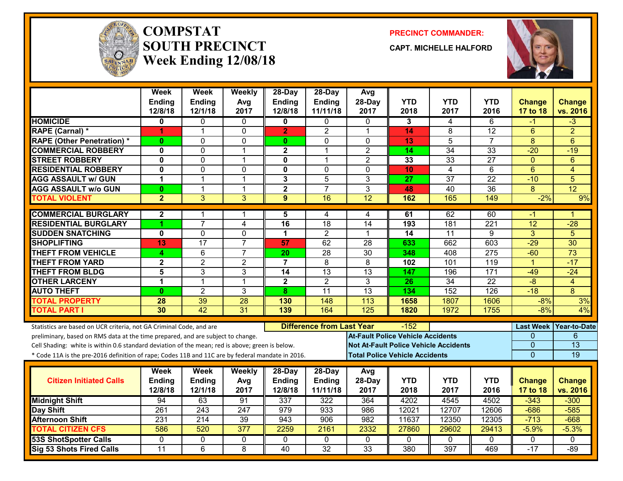

#### **COMPSTATSOUTH PRECINCTWeek Ending 12/08/18**

**PRECINCT COMMANDER:**

**CAPT. MICHELLE HALFORD**



|                                                                                                  | <b>Week</b><br>Ending   | <b>Week</b><br>Ending | Weekly<br>Avg   | 28-Day<br><b>Ending</b> | 28-Day<br>Ending                 | Avg<br>28-Day                                | <b>YTD</b>                               | <b>YTD</b>      | YTD              | <b>Change</b>    | <b>Change</b>   |
|--------------------------------------------------------------------------------------------------|-------------------------|-----------------------|-----------------|-------------------------|----------------------------------|----------------------------------------------|------------------------------------------|-----------------|------------------|------------------|-----------------|
|                                                                                                  | 12/8/18                 | 12/1/18               | 2017            | 12/8/18                 | 11/11/18                         | 2017                                         | 2018                                     | 2017            | 2016             | 17 to 18         | vs. 2016        |
| <b>HOMICIDE</b>                                                                                  | 0                       | 0                     | $\Omega$        | 0                       | 0                                | 0                                            | 3                                        | 4               | 6                | -1               | $\overline{3}$  |
| <b>RAPE (Carnal) *</b>                                                                           | 1                       | $\mathbf{1}$          | $\mathbf{0}$    | $\overline{2}$          | $\overline{2}$                   | $\overline{1}$                               | 14                                       | 8               | 12               | 6                | $\overline{2}$  |
| <b>RAPE (Other Penetration) *</b>                                                                | $\bf{0}$                | 0                     | $\mathbf{0}$    | $\mathbf{0}$            | $\mathbf{0}$                     | $\mathbf{0}$                                 | 13                                       | $\overline{5}$  | $\overline{7}$   | 8                | 6               |
| <b>COMMERCIAL ROBBERY</b>                                                                        | $\overline{\mathbf{0}}$ | $\Omega$              | $\mathbf{1}$    | $\overline{2}$          | $\mathbf{1}$                     | $\overline{2}$                               | 14                                       | $\overline{34}$ | 33               | $-20$            | $-19$           |
| <b>STREET ROBBERY</b>                                                                            | $\mathbf 0$             | 0                     | $\mathbf{1}$    | 0                       | $\mathbf{1}$                     | $\overline{2}$                               | 33                                       | 33              | 27               | $\mathbf{0}$     | 6               |
| <b>RESIDENTIAL ROBBERY</b>                                                                       | $\mathbf 0$             | 0                     | $\mathbf 0$     | 0                       | $\Omega$                         | $\Omega$                                     | 10                                       | 4               | 6                | $6\phantom{1}$   | $\overline{4}$  |
| <b>AGG ASSAULT w/ GUN</b>                                                                        | 1                       | $\mathbf{1}$          | $\mathbf{1}$    | $\overline{\mathbf{3}}$ | $\overline{5}$                   | 3                                            | 27                                       | $\overline{37}$ | $\overline{22}$  | $-10$            | 5               |
| <b>AGG ASSAULT w/o GUN</b>                                                                       | $\bf{0}$                | $\mathbf{1}$          | $\mathbf{1}$    | $\overline{\mathbf{2}}$ | $\overline{7}$                   | 3                                            | 48                                       | $\overline{40}$ | 36               | 8                | 12              |
| <b>TOTAL VIOLENT</b>                                                                             | $\overline{2}$          | 3                     | 3               | $\boldsymbol{9}$        | 16                               | $\overline{12}$                              | 162                                      | 165             | 149              | $-2%$            | 9%              |
| <b>COMMERCIAL BURGLARY</b>                                                                       | $\mathbf{2}$            | 1                     | -1              | 5                       | 4                                | 4                                            | 61                                       | 62              | 60               | -1               | 1               |
| <b>RESIDENTIAL BURGLARY</b>                                                                      |                         | $\overline{7}$        | $\overline{4}$  | 16                      | 18                               | 14                                           | 193                                      | 181             | 221              | 12               | $-28$           |
| <b>SUDDEN SNATCHING</b>                                                                          | $\mathbf 0$             | $\overline{0}$        | $\overline{0}$  | 1                       | $\overline{2}$                   | $\mathbf{1}$                                 | $\overline{14}$                          | 11              | $\overline{9}$   | $\overline{3}$   | $\overline{5}$  |
| <b>SHOPLIFTING</b>                                                                               | 13                      | 17                    | $\overline{7}$  | 57                      | 62                               | 28                                           | 633                                      | 662             | 603              | $-29$            | 30              |
| <b>THEFT FROM VEHICLE</b>                                                                        | 4                       | 6                     | $\overline{7}$  | 20                      | 28                               | 30                                           | 348                                      | 408             | 275              | $-60$            | $\overline{73}$ |
| <b>THEFT FROM YARD</b>                                                                           | $\overline{\mathbf{2}}$ | $\overline{2}$        | $\overline{2}$  | $\overline{7}$          | 8                                | 8                                            | 102                                      | 101             | $\overline{119}$ | $\overline{1}$   | $-17$           |
| <b>THEFT FROM BLDG</b>                                                                           | 5                       | 3                     | 3               | 14                      | 13                               | 13                                           | 147                                      | 196             | 171              | $-49$            | $-24$           |
| <b>OTHER LARCENY</b>                                                                             | 1                       | $\mathbf{1}$          | $\mathbf{1}$    | $\overline{\mathbf{2}}$ | $\overline{2}$                   | 3                                            | $\overline{26}$                          | $\overline{34}$ | $\overline{22}$  | $-\frac{8}{3}$   | $\overline{4}$  |
| <b>AUTO THEFT</b>                                                                                | $\mathbf{0}$            | $\overline{2}$        | 3               | 8                       | $\overline{11}$                  | $\overline{13}$                              | 134                                      | 152             | $\overline{126}$ | $-18$            | 8               |
| <b>TOTAL PROPERTY</b>                                                                            | 28                      | 39                    | 28              | 130                     | 148                              | 113                                          | 1658                                     | 1807            | 1606             | $-8%$            | 3%              |
| <b>TOTAL PART I</b>                                                                              | 30                      | 42                    | $\overline{31}$ | 139                     | 164                              | 125                                          | 1820                                     | 1972            | 1755             | $-8%$            | 4%              |
| Statistics are based on UCR criteria, not GA Criminal Code, and are                              |                         |                       |                 |                         | <b>Difference from Last Year</b> |                                              | $-152$                                   |                 |                  | <b>Last Week</b> | Year-to-Date    |
| preliminary, based on RMS data at the time prepared, and are subject to change.                  |                         |                       |                 |                         |                                  |                                              | <b>At-Fault Police Vehicle Accidents</b> |                 |                  | 0                | 6               |
| Cell Shading: white is within 0.6 standard deviation of the mean; red is above; green is below.  |                         |                       |                 |                         |                                  | <b>Not At-Fault Police Vehicle Accidents</b> |                                          |                 |                  | 0                | $\overline{13}$ |
| * Code 11A is the pre-2016 definition of rape; Codes 11B and 11C are by federal mandate in 2016. |                         |                       |                 |                         |                                  |                                              | <b>Total Police Vehicle Accidents</b>    |                 |                  | $\overline{0}$   | 19              |
|                                                                                                  | Week                    | <b>Week</b>           | Weekly          | 28-Day                  | $28-Day$                         | Avg                                          |                                          |                 |                  |                  |                 |
| <b>Citizen Initiated Calls</b>                                                                   | <b>Ending</b>           | Ending                | Avg             | Ending                  | Ending                           | 28-Day                                       | <b>YTD</b>                               | YTD             | <b>YTD</b>       | <b>Change</b>    | <b>Change</b>   |
|                                                                                                  | 12/8/18                 | 12/1/18               | 2017            | 12/8/18                 | 11/11/18                         | 2017                                         | 2018                                     | 2017            | 2016             | 17 to 18         | vs. 2016        |
| <b>Midnight Shift</b>                                                                            | 94                      | 63                    | 91              | 337                     | 322                              | 364                                          | 4202                                     | 4545            | 4502             | $-343$           | $-300$          |
| <b>Day Shift</b>                                                                                 | 261                     | 243                   | 247             | 979                     | 933                              | 986                                          | 12021                                    | 12707           | 12606            | $-686$           | $-585$          |
| <b>Afternoon Shift</b>                                                                           | 231                     | 214                   | 39              | 943                     | 906                              | 982                                          | 11637                                    | 12350           | 12305            | $-713$           | $-668$          |
| <b>TOTAL CITIZEN CFS</b>                                                                         | 586                     | 520                   | 377             | 2259                    | 2161                             | 2332                                         | 27860                                    | 29602           | 29413            | $-5.9%$          | $-5.3%$         |
| <b>53S ShotSpotter Calls</b>                                                                     | 0                       | 0                     | 0               | 0                       | 0                                | $\Omega$                                     | 0                                        | $\mathbf{0}$    | 0                | 0                | $\mathbf{0}$    |
| <b>Sig 53 Shots Fired Calls</b>                                                                  | $\overline{11}$         | $\overline{6}$        | $\overline{8}$  | 40                      | $\overline{32}$                  | 33                                           | 380                                      | 397             | 469              | $-17$            | $-89$           |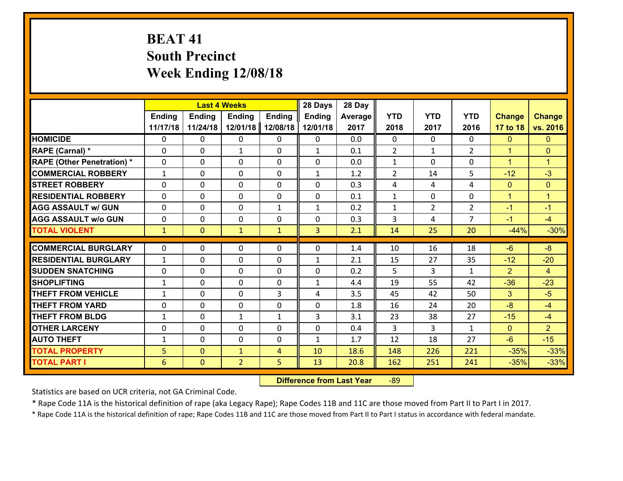# **BEAT 41 South Precinct Week Ending 12/08/18**

|                                   |              | <b>Last 4 Weeks</b><br><b>Ending</b><br><b>Ending</b><br><b>Ending</b><br><b>Ending</b> |                |              |               | 28 Day  |                |                |                |                      |                      |
|-----------------------------------|--------------|-----------------------------------------------------------------------------------------|----------------|--------------|---------------|---------|----------------|----------------|----------------|----------------------|----------------------|
|                                   |              |                                                                                         |                |              | <b>Ending</b> | Average | <b>YTD</b>     | <b>YTD</b>     | <b>YTD</b>     | <b>Change</b>        | <b>Change</b>        |
|                                   | 11/17/18     | 11/24/18                                                                                | 12/01/18       | 12/08/18     | 12/01/18      | 2017    | 2018           | 2017           | 2016           | 17 to 18             | vs. 2016             |
| <b>HOMICIDE</b>                   | 0            | 0                                                                                       | 0              | 0            | 0             | 0.0     | $\mathbf 0$    | $\Omega$       | $\Omega$       | $\mathbf{0}$         | $\mathbf{0}$         |
| <b>RAPE (Carnal) *</b>            | $\Omega$     | 0                                                                                       | $\mathbf{1}$   | 0            | $\mathbf{1}$  | 0.1     | 2              | $\mathbf{1}$   | $\overline{2}$ | $\mathbf{1}$         | $\mathbf{0}$         |
| <b>RAPE (Other Penetration) *</b> | $\Omega$     | 0                                                                                       | $\Omega$       | $\Omega$     | $\Omega$      | 0.0     | $\mathbf{1}$   | 0              | $\Omega$       | $\blacktriangleleft$ | $\blacktriangleleft$ |
| <b>COMMERCIAL ROBBERY</b>         | $\mathbf{1}$ | 0                                                                                       | $\mathbf 0$    | $\Omega$     | $\mathbf{1}$  | 1.2     | $\overline{2}$ | 14             | 5              | $-12$                | $-3$                 |
| <b>STREET ROBBERY</b>             | 0            | 0                                                                                       | $\mathbf 0$    | 0            | 0             | 0.3     | 4              | 4              | 4              | $\overline{0}$       | $\mathbf{0}$         |
| <b>RESIDENTIAL ROBBERY</b>        | $\Omega$     | 0                                                                                       | $\mathbf 0$    | 0            | 0             | 0.1     | $\mathbf 1$    | 0              | 0              | $\mathbf{1}$         | $\mathbf{1}$         |
| <b>AGG ASSAULT w/ GUN</b>         | 0            | 0                                                                                       | $\mathbf 0$    | $\mathbf{1}$ | $\mathbf{1}$  | 0.2     | $\mathbf 1$    | $\overline{2}$ | $\overline{2}$ | $-1$                 | $-1$                 |
| <b>AGG ASSAULT w/o GUN</b>        | 0            | 0                                                                                       | $\mathbf 0$    | 0            | 0             | 0.3     | 3              | 4              | $\overline{7}$ | $-1$                 | $-4$                 |
| <b>TOTAL VIOLENT</b>              | $\mathbf{1}$ | $\overline{0}$                                                                          | $\mathbf{1}$   | $\mathbf{1}$ | 3             | 2.1     | 14             | 25             | 20             | $-44%$               | $-30%$               |
| <b>COMMERCIAL BURGLARY</b>        | $\Omega$     | 0                                                                                       | $\mathbf{0}$   |              | $\Omega$      | 1.4     |                | 16             | 18             | $-6$                 | $-8$                 |
|                                   |              |                                                                                         |                | 0            |               |         | 10             |                |                |                      |                      |
| <b>RESIDENTIAL BURGLARY</b>       | $\mathbf{1}$ | 0                                                                                       | $\mathbf 0$    | 0            | $\mathbf{1}$  | 2.1     | 15             | 27             | 35             | $-12$                | $-20$                |
| <b>SUDDEN SNATCHING</b>           | $\Omega$     | 0                                                                                       | $\mathbf 0$    | $\Omega$     | $\Omega$      | 0.2     | 5              | 3              | $\mathbf{1}$   | $\overline{2}$       | $\overline{4}$       |
| <b>SHOPLIFTING</b>                | $\mathbf{1}$ | 0                                                                                       | $\mathbf 0$    | $\Omega$     | $\mathbf{1}$  | 4.4     | 19             | 55             | 42             | $-36$                | $-23$                |
| <b>THEFT FROM VEHICLE</b>         | $\mathbf{1}$ | 0                                                                                       | 0              | 3            | 4             | 3.5     | 45             | 42             | 50             | 3                    | $-5$                 |
| <b>THEFT FROM YARD</b>            | 0            | 0                                                                                       | $\mathbf 0$    | 0            | 0             | 1.8     | 16             | 24             | 20             | $-8$                 | $-4$                 |
| <b>THEFT FROM BLDG</b>            | $\mathbf{1}$ | 0                                                                                       | $\mathbf{1}$   | $\mathbf{1}$ | 3             | 3.1     | 23             | 38             | 27             | $-15$                | $-4$                 |
| <b>OTHER LARCENY</b>              | 0            | 0                                                                                       | $\mathbf 0$    | 0            | 0             | 0.4     | 3              | 3              | $\mathbf{1}$   | $\overline{0}$       | $\overline{2}$       |
| <b>AUTO THEFT</b>                 | $\mathbf{1}$ | 0                                                                                       | $\mathbf 0$    | 0            | $\mathbf{1}$  | 1.7     | 12             | 18             | 27             | $-6$                 | $-15$                |
| <b>TOTAL PROPERTY</b>             | 5            | $\overline{0}$                                                                          | $\mathbf{1}$   | 4            | 10            | 18.6    | 148            | 226            | 221            | $-35%$               | $-33%$               |
| <b>TOTAL PART I</b>               | 6            | $\mathbf{0}$                                                                            | $\overline{2}$ | 5            | 13            | 20.8    | 162            | 251            | 241            | $-35%$               | $-33%$               |

 **Difference from Last Year**r -89

Statistics are based on UCR criteria, not GA Criminal Code.

\* Rape Code 11A is the historical definition of rape (aka Legacy Rape); Rape Codes 11B and 11C are those moved from Part II to Part I in 2017.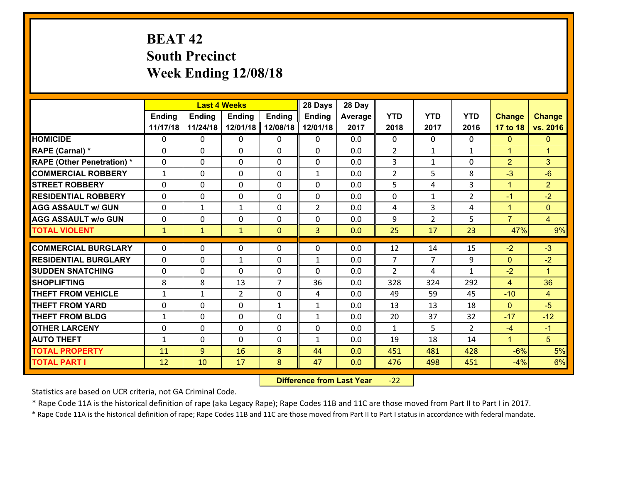# **BEAT 42 South Precinct Week Ending 12/08/18**

|                                   |              | <b>Last 4 Weeks</b><br>Ending<br>Ending<br><b>Ending</b> |                |                |                | 28 Day  |                |                |                |                |                      |
|-----------------------------------|--------------|----------------------------------------------------------|----------------|----------------|----------------|---------|----------------|----------------|----------------|----------------|----------------------|
|                                   |              | <b>Ending</b>                                            |                |                | <b>Ending</b>  | Average | <b>YTD</b>     | <b>YTD</b>     | <b>YTD</b>     | <b>Change</b>  | <b>Change</b>        |
|                                   | 11/17/18     | 11/24/18                                                 | 12/01/18       | 12/08/18       | 12/01/18       | 2017    | 2018           | 2017           | 2016           | 17 to 18       | vs. 2016             |
| <b>HOMICIDE</b>                   | $\Omega$     | 0                                                        | 0              | 0              | 0              | 0.0     | $\Omega$       | $\Omega$       | 0              | $\mathbf{0}$   | $\mathbf{0}$         |
| RAPE (Carnal) *                   | 0            | 0                                                        | $\mathbf{0}$   | 0              | $\Omega$       | 0.0     | $\overline{2}$ | $\mathbf{1}$   | $\mathbf{1}$   | $\mathbf{1}$   | $\blacktriangleleft$ |
| <b>RAPE (Other Penetration) *</b> | 0            | 0                                                        | $\mathbf{0}$   | $\Omega$       | $\Omega$       | 0.0     | 3              | $\mathbf{1}$   | $\Omega$       | $\overline{2}$ | 3                    |
| <b>COMMERCIAL ROBBERY</b>         | $\mathbf{1}$ | 0                                                        | $\mathbf{0}$   | $\Omega$       | $\mathbf{1}$   | 0.0     | $\overline{2}$ | 5              | 8              | $-3$           | $-6$                 |
| <b>STREET ROBBERY</b>             | $\Omega$     | 0                                                        | $\mathbf{0}$   | $\Omega$       | $\Omega$       | 0.0     | 5              | 4              | 3              | $\mathbf{1}$   | $\overline{2}$       |
| <b>RESIDENTIAL ROBBERY</b>        | $\Omega$     | 0                                                        | $\mathbf 0$    | $\Omega$       | 0              | 0.0     | 0              | $\mathbf{1}$   | $\overline{2}$ | $-1$           | $-2$                 |
| <b>AGG ASSAULT w/ GUN</b>         | $\Omega$     | 1                                                        | $\mathbf{1}$   | 0              | $\overline{2}$ | 0.0     | 4              | $\overline{3}$ | 4              | $\mathbf{1}$   | $\overline{0}$       |
| <b>AGG ASSAULT w/o GUN</b>        | 0            | 0                                                        | $\mathbf 0$    | 0              | 0              | 0.0     | 9              | $\overline{2}$ | 5              | $\overline{7}$ | $\overline{4}$       |
| <b>TOTAL VIOLENT</b>              | $\mathbf{1}$ | $\mathbf{1}$                                             | $\mathbf{1}$   | $\mathbf{0}$   | 3              | 0.0     | 25             | 17             | 23             | 47%            | 9%                   |
| <b>COMMERCIAL BURGLARY</b>        | $\Omega$     | 0                                                        | $\mathbf{0}$   | 0              | $\Omega$       | 0.0     | 12             | 14             | 15             | $-2$           | $-3$                 |
|                                   |              |                                                          |                |                |                |         | 7              |                |                |                |                      |
| <b>RESIDENTIAL BURGLARY</b>       | $\Omega$     | 0                                                        | $\mathbf{1}$   | 0              | $\mathbf{1}$   | 0.0     |                | 7              | 9              | $\mathbf{0}$   | $-2$                 |
| <b>SUDDEN SNATCHING</b>           | 0            | 0                                                        | $\mathbf 0$    | 0              | $\Omega$       | 0.0     | $\overline{2}$ | 4              | $\mathbf{1}$   | $-2$           | $\blacktriangleleft$ |
| <b>SHOPLIFTING</b>                | 8            | 8                                                        | 13             | $\overline{7}$ | 36             | 0.0     | 328            | 324            | 292            | $\overline{4}$ | 36                   |
| <b>THEFT FROM VEHICLE</b>         | $\mathbf{1}$ | 1                                                        | $\overline{2}$ | $\Omega$       | 4              | 0.0     | 49             | 59             | 45             | $-10$          | $\overline{4}$       |
| <b>THEFT FROM YARD</b>            | 0            | 0                                                        | $\mathbf 0$    | $\mathbf{1}$   | $\mathbf{1}$   | 0.0     | 13             | 13             | 18             | $\overline{0}$ | $-5$                 |
| <b>THEFT FROM BLDG</b>            | $\mathbf{1}$ | 0                                                        | $\mathbf 0$    | 0              | $\mathbf{1}$   | 0.0     | 20             | 37             | 32             | $-17$          | $-12$                |
| <b>OTHER LARCENY</b>              | $\mathbf 0$  | 0                                                        | $\mathbf 0$    | 0              | 0              | 0.0     | $\mathbf{1}$   | 5              | $\overline{2}$ | $-4$           | $-1$                 |
| <b>AUTO THEFT</b>                 | $\mathbf{1}$ | 0                                                        | 0              | 0              | $\mathbf{1}$   | 0.0     | 19             | 18             | 14             | $\mathbf{1}$   | 5 <sup>5</sup>       |
| <b>TOTAL PROPERTY</b>             | 11           | 9                                                        | 16             | 8              | 44             | 0.0     | 451            | 481            | 428            | $-6%$          | 5%                   |
| <b>TOTAL PART I</b>               | 12           | 10                                                       | 17             | 8              | 47             | 0.0     | 476            | 498            | 451            | $-4%$          | 6%                   |

 **Difference from Last Year**r -22

Statistics are based on UCR criteria, not GA Criminal Code.

\* Rape Code 11A is the historical definition of rape (aka Legacy Rape); Rape Codes 11B and 11C are those moved from Part II to Part I in 2017.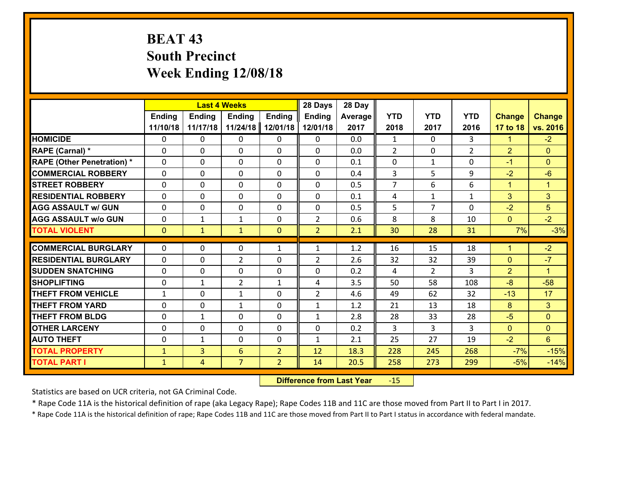# **BEAT 43 South Precinct Week Ending 12/08/18**

|                                              |                              | <b>Last 4 Weeks</b><br>Ending<br><b>Ending</b><br><b>Ending</b><br><b>Ending</b> |                     |                                  |                | 28 Day       |                |                |                |                |                      |
|----------------------------------------------|------------------------------|----------------------------------------------------------------------------------|---------------------|----------------------------------|----------------|--------------|----------------|----------------|----------------|----------------|----------------------|
|                                              |                              |                                                                                  |                     |                                  | <b>Ending</b>  | Average      | <b>YTD</b>     | <b>YTD</b>     | <b>YTD</b>     | <b>Change</b>  | <b>Change</b>        |
|                                              | 11/10/18                     | 11/17/18                                                                         | 11/24/18            | 12/01/18                         | 12/01/18       | 2017         | 2018           | 2017           | 2016           | 17 to 18       | vs. 2016             |
| <b>HOMICIDE</b>                              | $\Omega$                     | 0                                                                                | 0                   | $\Omega$                         | 0              | 0.0          | $\mathbf{1}$   | $\Omega$       | 3              | 1.             | $-2$                 |
| RAPE (Carnal) *                              | $\mathbf{0}$                 | $\mathbf{0}$                                                                     | $\mathbf{0}$        | 0                                | $\Omega$       | 0.0          | $\overline{2}$ | $\mathbf{0}$   | $\overline{2}$ | $\overline{2}$ | $\mathbf{0}$         |
| <b>RAPE (Other Penetration) *</b>            | $\mathbf{0}$                 | 0                                                                                | $\mathbf{0}$        | $\Omega$                         | $\Omega$       | 0.1          | $\mathbf{0}$   | $\mathbf{1}$   | 0              | $-1$           | $\mathbf{0}$         |
| <b>COMMERCIAL ROBBERY</b>                    | $\mathbf{0}$                 | 0                                                                                | 0                   | $\Omega$                         | $\Omega$       | 0.4          | 3              | 5              | 9              | $-2$           | $-6$                 |
| <b>STREET ROBBERY</b>                        | $\mathbf{0}$                 | 0                                                                                | $\mathbf{0}$        | 0                                | $\Omega$       | 0.5          | $\overline{7}$ | 6              | 6              | $\mathbf{1}$   | $\mathbf{1}$         |
| <b>RESIDENTIAL ROBBERY</b>                   | $\Omega$                     | 0                                                                                | $\mathbf 0$         | 0                                | 0              | 0.1          | 4              | $\mathbf{1}$   | $\mathbf{1}$   | 3              | 3                    |
| <b>AGG ASSAULT w/ GUN</b>                    | 0                            | 0                                                                                | $\mathbf 0$         | 0                                | 0              | 0.5          | 5              | $\overline{7}$ | 0              | $-2$           | $5\overline{)}$      |
| <b>AGG ASSAULT W/o GUN</b>                   | 0                            | $\mathbf{1}$                                                                     | $\mathbf{1}$        | $\mathbf 0$                      | $\overline{2}$ | 0.6          | 8              | 8              | 10             | $\overline{0}$ | $-2$                 |
| <b>TOTAL VIOLENT</b>                         | $\mathbf{0}$                 | $\mathbf{1}$                                                                     | $\mathbf{1}$        | $\mathbf{0}$                     | $\overline{2}$ | 2.1          | 30             | 28             | 31             | 7%             | $-3%$                |
| <b>COMMERCIAL BURGLARY</b>                   | $\mathbf{0}$                 | 0                                                                                |                     |                                  |                |              |                |                |                |                |                      |
|                                              |                              |                                                                                  |                     |                                  |                |              |                |                |                |                |                      |
|                                              |                              |                                                                                  | 0                   | $\mathbf{1}$                     | 1              | 1.2          | 16             | 15             | 18             | 1              | $-2$                 |
| <b>RESIDENTIAL BURGLARY</b>                  | $\Omega$                     | 0                                                                                | $\overline{2}$      | 0                                | $\overline{2}$ | 2.6          | 32             | 32             | 39             | $\mathbf{0}$   | $-7$                 |
| <b>SUDDEN SNATCHING</b>                      | $\mathbf{0}$                 | 0                                                                                | $\mathbf 0$         | 0                                | $\Omega$       | 0.2          | 4              | $\overline{2}$ | 3              | $\overline{2}$ | $\blacktriangleleft$ |
| <b>SHOPLIFTING</b>                           | 0                            | $\mathbf{1}$                                                                     | $\overline{2}$      | $\mathbf{1}$                     | 4              | 3.5          | 50             | 58             | 108            | $-8$           | $-58$                |
| <b>THEFT FROM VEHICLE</b>                    | $\mathbf{1}$                 | 0                                                                                | 1                   | $\Omega$                         | $\overline{2}$ | 4.6          | 49             | 62             | 32             | $-13$          | 17                   |
| <b>THEFT FROM YARD</b>                       | 0                            | 0                                                                                | $\mathbf{1}$        | 0                                | $\mathbf{1}$   | 1.2          | 21             | 13             | 18             | 8              | 3 <sup>1</sup>       |
| <b>THEFT FROM BLDG</b>                       | $\mathbf{0}$                 | $\mathbf{1}$                                                                     | 0                   | 0                                | $\mathbf{1}$   | 2.8          | 28             | 33             | 28             | $-5$           | $\mathbf{0}$         |
| <b>OTHER LARCENY</b>                         | 0                            | 0                                                                                | $\mathbf 0$         | 0                                | 0              | 0.2          | 3              | 3              | $\overline{3}$ | $\mathbf{0}$   | $\overline{0}$       |
| <b>AUTO THEFT</b>                            | 0                            | $\mathbf{1}$                                                                     | 0                   | $\mathbf{0}$                     | $\mathbf{1}$   | 2.1          | 25             | 27             | 19             | $-2$           | 6                    |
| <b>TOTAL PROPERTY</b><br><b>TOTAL PART I</b> | $\mathbf{1}$<br>$\mathbf{1}$ | $\overline{3}$<br>$\overline{4}$                                                 | 6<br>$\overline{7}$ | $\overline{2}$<br>$\overline{2}$ | 12<br>14       | 18.3<br>20.5 | 228<br>258     | 245<br>273     | 268<br>299     | $-7%$<br>$-5%$ | $-15%$<br>$-14%$     |

 **Difference from Last Year**r -15

Statistics are based on UCR criteria, not GA Criminal Code.

\* Rape Code 11A is the historical definition of rape (aka Legacy Rape); Rape Codes 11B and 11C are those moved from Part II to Part I in 2017.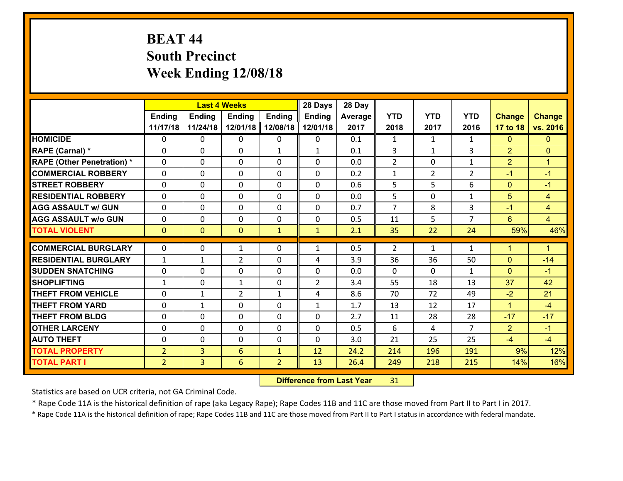# **BEAT 44 South Precinct Week Ending 12/08/18**

|                                              |                                  | <b>Last 4 Weeks</b><br><b>Ending</b><br>Ending<br><b>Ending</b><br><b>Ending</b> |                      |                                |                   | 28 Day       |                |                |                |                |                      |
|----------------------------------------------|----------------------------------|----------------------------------------------------------------------------------|----------------------|--------------------------------|-------------------|--------------|----------------|----------------|----------------|----------------|----------------------|
|                                              |                                  |                                                                                  |                      |                                | <b>Ending</b>     | Average      | <b>YTD</b>     | <b>YTD</b>     | <b>YTD</b>     | <b>Change</b>  | <b>Change</b>        |
|                                              | 11/17/18                         | 11/24/18                                                                         | 12/01/18             | 12/08/18                       | 12/01/18          | 2017         | 2018           | 2017           | 2016           | 17 to 18       | vs. 2016             |
| <b>HOMICIDE</b>                              | 0                                | 0                                                                                | $\mathbf{0}$         | 0                              | 0                 | 0.1          | 1              | $\mathbf{1}$   | $\mathbf{1}$   | $\mathbf{0}$   | $\mathbf{0}$         |
| RAPE (Carnal) *                              | $\Omega$                         | 0                                                                                | $\mathbf{0}$         | $\mathbf{1}$                   | $\mathbf{1}$      | 0.1          | 3              | $\mathbf{1}$   | 3              | $\overline{2}$ | $\mathbf{0}$         |
| <b>RAPE (Other Penetration) *</b>            | $\Omega$                         | $\Omega$                                                                         | $\Omega$             | $\Omega$                       | $\Omega$          | 0.0          | $\overline{2}$ | $\Omega$       | $\mathbf{1}$   | $\overline{2}$ | $\blacktriangleleft$ |
| <b>COMMERCIAL ROBBERY</b>                    | 0                                | 0                                                                                | $\mathbf 0$          | 0                              | 0                 | 0.2          | $\mathbf{1}$   | $\overline{2}$ | $\overline{2}$ | $-1$           | $-1$                 |
| <b>STREET ROBBERY</b>                        | $\Omega$                         | 0                                                                                | $\mathbf 0$          | $\Omega$                       | 0                 | 0.6          | 5              | 5              | 6              | $\mathbf{0}$   | $-1$                 |
| <b>RESIDENTIAL ROBBERY</b>                   | $\Omega$                         | $\Omega$                                                                         | $\mathbf 0$          | $\Omega$                       | $\Omega$          | 0.0          | 5              | $\Omega$       | $\mathbf{1}$   | 5              | $\overline{4}$       |
| <b>AGG ASSAULT w/ GUN</b>                    | $\Omega$                         | 0                                                                                | $\mathbf 0$          | $\Omega$                       | $\Omega$          | 0.7          | $\overline{7}$ | 8              | 3              | $-1$           | $\overline{4}$       |
| <b>AGG ASSAULT w/o GUN</b>                   | 0                                | 0                                                                                | $\mathbf 0$          | 0                              | 0                 | 0.5          | 11             | 5              | $\overline{7}$ | $6^{\circ}$    | $\overline{4}$       |
| <b>TOTAL VIOLENT</b>                         | $\mathbf{0}$                     | $\overline{0}$                                                                   | $\mathbf{0}$         | $\mathbf{1}$                   | $\mathbf{1}$      | 2.1          | 35             | 22             | 24             | 59%            | 46%                  |
| <b>COMMERCIAL BURGLARY</b>                   | $\Omega$                         | 0                                                                                | 1                    | 0                              | $\mathbf{1}$      | 0.5          | 2              | $\mathbf{1}$   | $\mathbf{1}$   | $\mathbf{1}$   | $\blacktriangleleft$ |
| <b>RESIDENTIAL BURGLARY</b>                  | $\mathbf{1}$                     |                                                                                  | $\overline{2}$       | 0                              | 4                 | 3.9          | 36             | 36             | 50             | $\mathbf{0}$   | $-14$                |
| <b>SUDDEN SNATCHING</b>                      | $\mathbf{0}$                     | 1<br>0                                                                           | $\mathbf{0}$         | $\Omega$                       | $\Omega$          | 0.0          | $\Omega$       | $\Omega$       | $\mathbf{1}$   | $\mathbf{0}$   | $-1$                 |
| <b>SHOPLIFTING</b>                           | $\mathbf{1}$                     | 0                                                                                | $\mathbf{1}$         | 0                              | $\overline{2}$    | 3.4          | 55             | 18             | 13             | 37             | 42                   |
| <b>THEFT FROM VEHICLE</b>                    | $\Omega$                         | 1                                                                                | $\overline{2}$       | $\mathbf{1}$                   | 4                 | 8.6          | 70             | 72             | 49             | $-2$           | 21                   |
| <b>THEFT FROM YARD</b>                       | 0                                |                                                                                  | $\mathbf 0$          | $\Omega$                       |                   | 1.7          | 13             | 12             | 17             | $\mathbf{1}$   | $-4$                 |
| <b>THEFT FROM BLDG</b>                       | 0                                | 1<br>0                                                                           | $\mathbf 0$          | 0                              | $\mathbf{1}$<br>0 | 2.7          | 11             | 28             | 28             | $-17$          | $-17$                |
|                                              |                                  |                                                                                  |                      | 0                              | 0                 | 0.5          |                |                | $\overline{7}$ |                |                      |
|                                              |                                  |                                                                                  |                      |                                |                   |              | 6              | $\overline{4}$ |                | $\overline{2}$ | $-1$                 |
| <b>OTHER LARCENY</b>                         | 0                                | 0                                                                                | $\mathbf 0$          |                                |                   |              |                |                |                |                |                      |
| <b>AUTO THEFT</b>                            | 0                                | 0                                                                                | $\mathbf 0$          | 0                              | 0                 | 3.0          | 21             | 25             | 25             | $-4$           | $-4$                 |
| <b>TOTAL PROPERTY</b><br><b>TOTAL PART I</b> | $\overline{2}$<br>2 <sup>1</sup> | $\overline{3}$<br>$\overline{3}$                                                 | $6\overline{6}$<br>6 | $\mathbf{1}$<br>$\overline{2}$ | 12<br>13          | 24.2<br>26.4 | 214<br>249     | 196<br>218     | 191<br>215     | 9%<br>14%      | 12%<br>16%           |

 **Difference from Last Year**r 31

Statistics are based on UCR criteria, not GA Criminal Code.

\* Rape Code 11A is the historical definition of rape (aka Legacy Rape); Rape Codes 11B and 11C are those moved from Part II to Part I in 2017.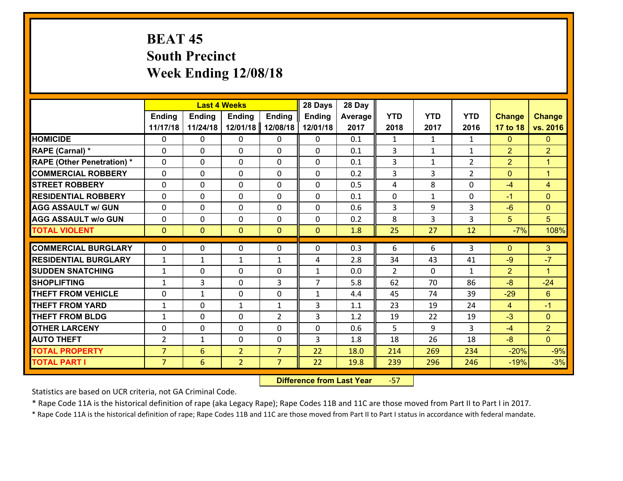# **BEAT 45 South Precinct Week Ending 12/08/18**

|                                   |                | <b>Last 4 Weeks</b><br>Ending<br><b>Ending</b><br><b>Ending</b><br><b>Ending</b> |                |                |                | 28 Day  |                |                |                |                |                      |
|-----------------------------------|----------------|----------------------------------------------------------------------------------|----------------|----------------|----------------|---------|----------------|----------------|----------------|----------------|----------------------|
|                                   |                |                                                                                  |                |                | <b>Ending</b>  | Average | <b>YTD</b>     | <b>YTD</b>     | <b>YTD</b>     | <b>Change</b>  | <b>Change</b>        |
|                                   | 11/17/18       | 11/24/18                                                                         | 12/01/18       | 12/08/18       | 12/01/18       | 2017    | 2018           | 2017           | 2016           | 17 to 18       | vs. 2016             |
| <b>HOMICIDE</b>                   | $\Omega$       | 0                                                                                | 0              | $\Omega$       | 0              | 0.1     | $\mathbf{1}$   | $\mathbf{1}$   | $\mathbf{1}$   | $\mathbf{0}$   | $\mathbf{0}$         |
| RAPE (Carnal) *                   | $\mathbf{0}$   | 0                                                                                | $\mathbf{0}$   | 0              | $\Omega$       | 0.1     | 3              | $\mathbf{1}$   | $\mathbf{1}$   | $\overline{2}$ | $\overline{2}$       |
| <b>RAPE (Other Penetration) *</b> | $\mathbf{0}$   | 0                                                                                | $\mathbf{0}$   | $\Omega$       | $\Omega$       | 0.1     | 3              | $\mathbf{1}$   | $\overline{2}$ | $\overline{2}$ | $\blacktriangleleft$ |
| <b>COMMERCIAL ROBBERY</b>         | $\mathbf{0}$   | 0                                                                                | 0              | $\Omega$       | $\Omega$       | 0.2     | 3              | 3              | $\overline{2}$ | $\mathbf{0}$   | $\blacktriangleleft$ |
| <b>STREET ROBBERY</b>             | $\mathbf{0}$   | 0                                                                                | $\mathbf{0}$   | 0              | $\Omega$       | 0.5     | 4              | 8              | 0              | -4             | 4                    |
| <b>RESIDENTIAL ROBBERY</b>        | $\Omega$       | 0                                                                                | $\mathbf 0$    | 0              | 0              | 0.1     | 0              | $\mathbf{1}$   | 0              | $-1$           | $\Omega$             |
| <b>AGG ASSAULT w/ GUN</b>         | 0              | 0                                                                                | $\mathbf 0$    | 0              | 0              | 0.6     | $\overline{3}$ | 9              | 3              | $-6$           | $\overline{0}$       |
| <b>AGG ASSAULT W/o GUN</b>        | 0              | 0                                                                                | $\mathbf 0$    | 0              | 0              | 0.2     | 8              | $\overline{3}$ | $\overline{3}$ | 5              | 5                    |
| <b>TOTAL VIOLENT</b>              | $\mathbf{0}$   | $\overline{0}$                                                                   | $\mathbf{0}$   | $\overline{0}$ | $\mathbf{0}$   | 1.8     | 25             | 27             | 12             | $-7%$          | 108%                 |
| <b>COMMERCIAL BURGLARY</b>        | $\mathbf{0}$   | 0                                                                                | 0              | 0              | $\Omega$       | 0.3     | 6              | 6              | 3              | $\mathbf{0}$   | 3                    |
| <b>RESIDENTIAL BURGLARY</b>       | $\mathbf{1}$   | 1                                                                                | 1              | $\mathbf{1}$   | 4              | 2.8     | 34             | 43             | 41             | $-9$           | $-7$                 |
| <b>SUDDEN SNATCHING</b>           | 1              | 0                                                                                | 0              | 0              | $\mathbf{1}$   | 0.0     | $\mathcal{P}$  | $\Omega$       | $\mathbf{1}$   | $\overline{2}$ | 1                    |
| <b>SHOPLIFTING</b>                | $\mathbf{1}$   | 3                                                                                | $\mathbf 0$    | 3              | $\overline{7}$ | 5.8     | 62             | 70             | 86             | $-8$           | $-24$                |
| <b>THEFT FROM VEHICLE</b>         | $\Omega$       | $\mathbf{1}$                                                                     | $\mathbf 0$    | $\Omega$       | $\mathbf{1}$   | 4.4     | 45             | 74             | 39             | $-29$          | 6                    |
| <b>THEFT FROM YARD</b>            | $\mathbf{1}$   | 0                                                                                | $\mathbf{1}$   | $\mathbf{1}$   | 3              | 1.1     | 23             | 19             | 24             | $\overline{4}$ | $-1$                 |
| <b>THEFT FROM BLDG</b>            | $\mathbf{1}$   | 0                                                                                | $\mathbf 0$    | $\overline{2}$ | 3              | 1.2     | 19             | 22             | 19             | $-3$           | $\mathbf{0}$         |
| <b>OTHER LARCENY</b>              | 0              | 0                                                                                | $\mathbf 0$    | 0              | 0              | 0.6     | 5              | 9              | $\overline{3}$ | $-4$           | $\overline{2}$       |
| <b>AUTO THEFT</b>                 | $\overline{2}$ | $\mathbf{1}$                                                                     | 0              | $\mathbf{0}$   | 3              | 1.8     | 18             | 26             | 18             | $-8$           | $\overline{0}$       |
| <b>TOTAL PROPERTY</b>             | $\overline{7}$ | 6                                                                                | $\overline{2}$ | $\overline{7}$ | 22             | 18.0    | 214            | 269            | 234            | $-20%$         | $-9%$                |
| <b>TOTAL PART I</b>               | $\overline{7}$ | 6                                                                                | $\overline{2}$ | $\overline{7}$ | 22             | 19.8    | 239            | 296            | 246            | $-19%$         | $-3%$                |

 **Difference from Last Year**‐57

Statistics are based on UCR criteria, not GA Criminal Code.

\* Rape Code 11A is the historical definition of rape (aka Legacy Rape); Rape Codes 11B and 11C are those moved from Part II to Part I in 2017.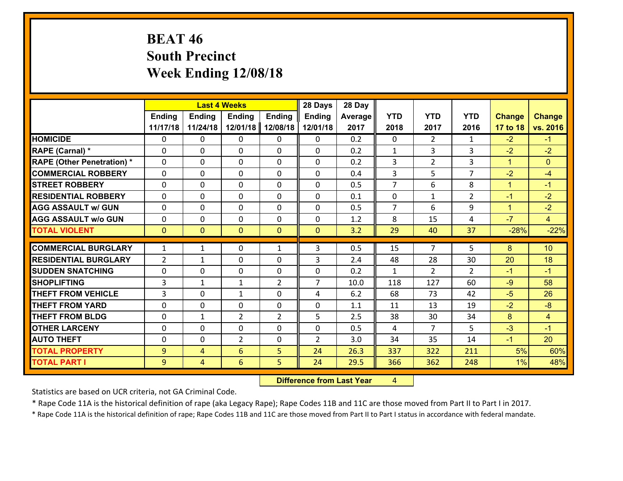# **BEAT 46 South Precinct Week Ending 12/08/18**

|                                   |                | <b>Last 4 Weeks</b><br><b>Ending</b><br><b>Ending</b><br><b>Ending</b><br><b>Ending</b> |                |                |                | 28 Day  |                |                |                |               |                 |
|-----------------------------------|----------------|-----------------------------------------------------------------------------------------|----------------|----------------|----------------|---------|----------------|----------------|----------------|---------------|-----------------|
|                                   |                |                                                                                         |                |                | <b>Ending</b>  | Average | <b>YTD</b>     | <b>YTD</b>     | <b>YTD</b>     | <b>Change</b> | <b>Change</b>   |
|                                   | 11/17/18       | 11/24/18                                                                                | 12/01/18       | 12/08/18       | 12/01/18       | 2017    | 2018           | 2017           | 2016           | 17 to 18      | vs. 2016        |
| <b>HOMICIDE</b>                   | 0              | 0                                                                                       | $\Omega$       | 0              | 0              | 0.2     | $\Omega$       | $\overline{2}$ | $\mathbf{1}$   | $-2$          | $-1$            |
| RAPE (Carnal) *                   | 0              | 0                                                                                       | $\mathbf{0}$   | 0              | 0              | 0.2     | $\mathbf{1}$   | 3              | 3              | $-2$          | $-2$            |
| <b>RAPE (Other Penetration) *</b> | $\Omega$       | 0                                                                                       | $\mathbf{0}$   | $\Omega$       | 0              | 0.2     | 3              | $\overline{2}$ | 3              | $\mathbf{1}$  | $\mathbf{0}$    |
| <b>COMMERCIAL ROBBERY</b>         | 0              | 0                                                                                       | 0              | 0              | 0              | 0.4     | 3              | 5              | $\overline{7}$ | $-2$          | $-4$            |
| <b>STREET ROBBERY</b>             | $\Omega$       | 0                                                                                       | $\mathbf 0$    | $\Omega$       | 0              | 0.5     | $\overline{7}$ | 6              | 8              | $\mathbf{1}$  | $-1$            |
| <b>RESIDENTIAL ROBBERY</b>        | $\Omega$       | $\Omega$                                                                                | $\mathbf 0$    | $\Omega$       | 0              | 0.1     | $\mathbf 0$    | $\mathbf{1}$   | $\overline{2}$ | $-1$          | $-2$            |
| <b>AGG ASSAULT w/ GUN</b>         | $\Omega$       | 0                                                                                       | $\mathbf 0$    | $\Omega$       | 0              | 0.5     | $\overline{7}$ | 6              | 9              | $\mathbf{1}$  | $-2$            |
| <b>AGG ASSAULT w/o GUN</b>        | 0              | 0                                                                                       | $\mathbf 0$    | 0              | 0              | 1.2     | 8              | 15             | 4              | $-7$          | $\overline{4}$  |
| <b>TOTAL VIOLENT</b>              | $\mathbf{0}$   | $\overline{0}$                                                                          | $\mathbf{O}$   | $\mathbf{0}$   | $\mathbf{0}$   | 3.2     | 29             | 40             | 37             | $-28%$        | $-22%$          |
| <b>COMMERCIAL BURGLARY</b>        | $\mathbf{1}$   | 1                                                                                       | $\mathbf{0}$   | $\mathbf{1}$   | 3              | 0.5     | 15             | $\overline{7}$ | 5              | 8             | 10 <sup>°</sup> |
| <b>RESIDENTIAL BURGLARY</b>       | $\overline{2}$ | 1                                                                                       | $\mathbf 0$    | 0              | 3              | 2.4     | 48             | 28             | 30             | 20            | 18              |
| <b>SUDDEN SNATCHING</b>           | 0              | 0                                                                                       | $\mathbf 0$    | 0              | 0              | 0.2     | $\mathbf{1}$   | $\overline{2}$ | $\overline{2}$ | $-1$          | $-1$            |
| <b>SHOPLIFTING</b>                | 3              | 1                                                                                       | 1              | $\overline{2}$ | $\overline{7}$ | 10.0    | 118            | 127            | 60             | $-9$          | 58              |
| <b>THEFT FROM VEHICLE</b>         | 3              | 0                                                                                       | 1              | 0              | 4              | 6.2     | 68             | 73             | 42             | $-5$          | 26              |
| <b>THEFT FROM YARD</b>            | 0              | 0                                                                                       | $\mathbf 0$    | 0              | 0              | 1.1     | 11             | 13             | 19             | $-2$          | $-8$            |
| <b>THEFT FROM BLDG</b>            | 0              | 1                                                                                       | $\overline{2}$ | $\overline{2}$ | 5              | 2.5     | 38             | 30             | 34             | 8             | $\overline{4}$  |
| <b>OTHER LARCENY</b>              | 0              | 0                                                                                       | $\mathbf 0$    | 0              | 0              | 0.5     | 4              | $\overline{7}$ | 5              | $-3$          | $-1$            |
| <b>AUTO THEFT</b>                 | $\mathbf{0}$   | 0                                                                                       | $\overline{2}$ | 0              | $\overline{2}$ | 3.0     | 34             | 35             | 14             | $-1$          | 20              |
| <b>TOTAL PROPERTY</b>             | 9              | 4                                                                                       | 6              | 5              | 24             | 26.3    | 337            | 322            | 211            | 5%            | 60%             |
| <b>TOTAL PART I</b>               | 9              |                                                                                         | 6              | 5              | 24             | 29.5    | 366            | 362            | 248            | 1%            | 48%             |
|                                   |                | $\overline{4}$                                                                          |                |                |                |         |                |                |                |               |                 |

 **Difference from Last Year**r 4

Statistics are based on UCR criteria, not GA Criminal Code.

\* Rape Code 11A is the historical definition of rape (aka Legacy Rape); Rape Codes 11B and 11C are those moved from Part II to Part I in 2017.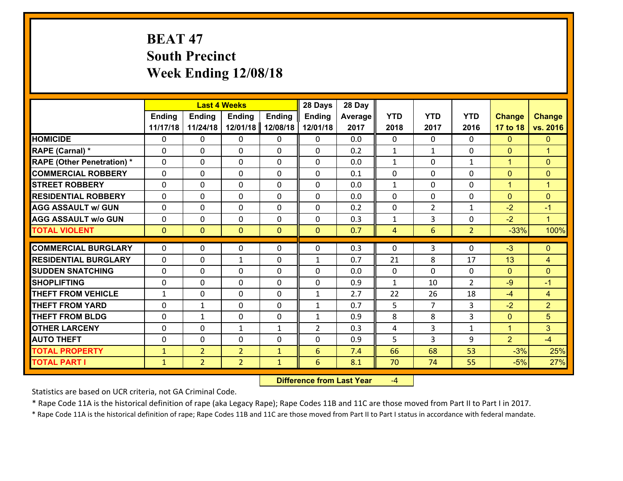# **BEAT 47 South Precinct Week Ending 12/08/18**

|                                              |                              |                                  | <b>Last 4 Weeks</b>              |                              | 28 Days             | 28 Day     |                |                |                |                |                      |
|----------------------------------------------|------------------------------|----------------------------------|----------------------------------|------------------------------|---------------------|------------|----------------|----------------|----------------|----------------|----------------------|
|                                              | <b>Ending</b>                | <b>Ending</b>                    | <b>Ending</b>                    | <b>Ending</b>                | <b>Ending</b>       | Average    | <b>YTD</b>     | <b>YTD</b>     | <b>YTD</b>     | <b>Change</b>  | <b>Change</b>        |
|                                              | 11/17/18                     | 11/24/18                         | 12/01/18                         | 12/08/18                     | 12/01/18            | 2017       | 2018           | 2017           | 2016           | 17 to 18       | vs. 2016             |
| <b>HOMICIDE</b>                              | 0                            | 0                                | $\mathbf{0}$                     | 0                            | 0                   | 0.0        | $\Omega$       | $\Omega$       | $\Omega$       | $\mathbf{0}$   | $\mathbf{0}$         |
| RAPE (Carnal) *                              | $\Omega$                     | 0                                | $\mathbf{0}$                     | 0                            | $\Omega$            | 0.2        | 1              | $\mathbf{1}$   | $\Omega$       | $\mathbf{0}$   | $\blacktriangleleft$ |
| <b>RAPE (Other Penetration) *</b>            | $\Omega$                     | $\Omega$                         | $\Omega$                         | $\Omega$                     | $\Omega$            | 0.0        | $\mathbf{1}$   | $\Omega$       | $\mathbf{1}$   | $\mathbf{1}$   | $\mathbf{0}$         |
| <b>COMMERCIAL ROBBERY</b>                    | 0                            | 0                                | $\mathbf 0$                      | 0                            | 0                   | 0.1        | 0              | $\mathbf 0$    | 0              | $\mathbf{0}$   | $\mathbf{0}$         |
| <b>STREET ROBBERY</b>                        | $\Omega$                     | 0                                | $\mathbf 0$                      | $\Omega$                     | 0                   | 0.0        | $\mathbf{1}$   | $\Omega$       | $\Omega$       | $\mathbf{1}$   | $\blacktriangleleft$ |
| <b>RESIDENTIAL ROBBERY</b>                   | $\Omega$                     | $\Omega$                         | $\mathbf 0$                      | $\Omega$                     | 0                   | 0.0        | $\Omega$       | $\Omega$       | 0              | $\overline{0}$ | $\mathbf{0}$         |
| <b>AGG ASSAULT w/ GUN</b>                    | $\Omega$                     | 0                                | $\mathbf 0$                      | $\Omega$                     | 0                   | 0.2        | 0              | $\overline{2}$ | $\mathbf{1}$   | $-2$           | $-1$                 |
| <b>AGG ASSAULT w/o GUN</b>                   | 0                            | 0                                | $\mathbf 0$                      | 0                            | 0                   | 0.3        | $\mathbf{1}$   | 3              | 0              | $-2$           | $\mathbf{1}$         |
| <b>TOTAL VIOLENT</b>                         | $\mathbf{0}$                 | $\overline{0}$                   | $\mathbf{0}$                     | $\mathbf{0}$                 | $\mathbf{0}$        | 0.7        | $\overline{4}$ | 6              | $\overline{2}$ | $-33%$         | 100%                 |
| <b>COMMERCIAL BURGLARY</b>                   | $\Omega$                     | 0                                | 0                                | 0                            | 0                   | 0.3        | $\mathbf{0}$   | 3              | $\Omega$       | $-3$           | $\mathbf{0}$         |
| <b>RESIDENTIAL BURGLARY</b>                  | $\Omega$                     | 0                                | 1                                | 0                            | 1                   | 0.7        | 21             | 8              | 17             | 13             | 4                    |
| <b>SUDDEN SNATCHING</b>                      | $\Omega$                     | 0                                | $\mathbf{0}$                     | $\Omega$                     | $\Omega$            | 0.0        | $\Omega$       | $\Omega$       | $\Omega$       | $\mathbf{0}$   | $\mathbf{0}$         |
| <b>SHOPLIFTING</b>                           | 0                            | 0                                | $\mathbf 0$                      | 0                            | 0                   | 0.9        | $\mathbf{1}$   | 10             | $\overline{2}$ | $-9$           | $-1$                 |
| <b>THEFT FROM VEHICLE</b>                    | $\mathbf{1}$                 | 0                                | $\mathbf{0}$                     | $\Omega$                     | $\mathbf{1}$        | 2.7        | 22             | 26             | 18             | $-4$           | $\overline{4}$       |
| <b>THEFT FROM YARD</b>                       | 0                            | 1                                | $\mathbf 0$                      | $\Omega$                     | $\mathbf{1}$        | 0.7        | 5              | $\overline{7}$ | 3              | $-2$           | $\overline{2}$       |
| <b>THEFT FROM BLDG</b>                       | 0                            | 1                                | $\mathbf 0$                      | 0                            | $\mathbf{1}$        | 0.9        | 8              | 8              | 3              | $\overline{0}$ | $5\phantom{.}$       |
| <b>OTHER LARCENY</b>                         | 0                            | 0                                | $\mathbf{1}$                     | $\mathbf{1}$                 | $\overline{2}$      | 0.3        | 4              | 3              | $\mathbf{1}$   | $\mathbf{1}$   | 3                    |
| <b>AUTO THEFT</b>                            | $\mathbf{0}$                 | 0                                | $\mathbf 0$                      | 0                            | 0                   | 0.9        | 5              | 3              | 9              | $\overline{2}$ | $-4$                 |
|                                              |                              |                                  |                                  |                              |                     |            |                |                |                |                |                      |
|                                              |                              |                                  |                                  |                              |                     |            |                |                |                |                |                      |
| <b>TOTAL PROPERTY</b><br><b>TOTAL PART I</b> | $\mathbf{1}$<br>$\mathbf{1}$ | $\overline{2}$<br>$\overline{2}$ | $\overline{2}$<br>$\overline{2}$ | $\mathbf{1}$<br>$\mathbf{1}$ | $6\phantom{1}$<br>6 | 7.4<br>8.1 | 66<br>70       | 68<br>74       | 53<br>55       | $-3%$<br>$-5%$ | 25%<br>27%           |

 **Difference from Last Year**‐4

Statistics are based on UCR criteria, not GA Criminal Code.

\* Rape Code 11A is the historical definition of rape (aka Legacy Rape); Rape Codes 11B and 11C are those moved from Part II to Part I in 2017.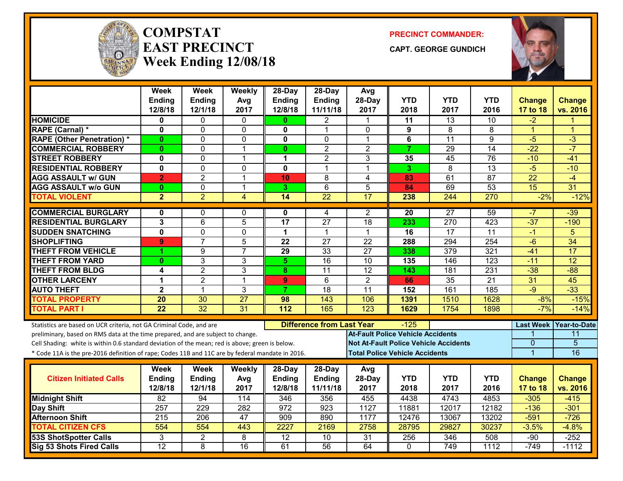

#### **COMPSTATEAST PRECINCTWeek Ending 12/08/18**

**PRECINCT COMMANDER:**

**CAPT. GEORGE GUNDICH**



|                                                                                                  | <b>Week</b><br><b>Ending</b> | <b>Week</b><br>Ending | Weekly<br>Avg   | 28-Day<br><b>Ending</b> | 28-Day<br>Ending                           | Avg<br>28-Day    | <b>YTD</b>                               | <b>YTD</b>                                   | <b>YTD</b>      | <b>Change</b>  | <b>Change</b>          |
|--------------------------------------------------------------------------------------------------|------------------------------|-----------------------|-----------------|-------------------------|--------------------------------------------|------------------|------------------------------------------|----------------------------------------------|-----------------|----------------|------------------------|
|                                                                                                  | 12/8/18                      | 12/1/18               | 2017            | 12/8/18                 | 11/11/18                                   | 2017             | 2018                                     | 2017                                         | 2016            | 17 to 18       | vs. 2016               |
| <b>HOMICIDE</b>                                                                                  | 0                            | 0                     | $\mathbf{0}$    | $\mathbf{0}$            | 2                                          | $\mathbf 1$      | 11                                       | $\overline{13}$                              | 10              | $-2$           |                        |
| RAPE (Carnal) *                                                                                  | $\mathbf 0$                  | 0                     | $\mathbf{0}$    | 0                       | 1                                          | $\Omega$         | 9                                        | 8                                            | 8               | $\mathbf{1}$   | $\blacktriangleleft$   |
| <b>RAPE (Other Penetration) *</b>                                                                | $\mathbf{0}$                 | 0                     | $\Omega$        | $\mathbf{0}$            | $\mathbf{0}$                               | $\mathbf 1$      | $\bf 6$                                  | $\overline{11}$                              | $\overline{9}$  | $-5$           | $-3$                   |
| <b>COMMERCIAL ROBBERY</b>                                                                        | $\bf{0}$                     | 0                     | $\overline{1}$  | $\mathbf{0}$            | $\overline{2}$                             | $\overline{2}$   | $\overline{7}$                           | $\overline{29}$                              | $\overline{14}$ | $-22$          | $-7$                   |
| <b>STREET ROBBERY</b>                                                                            | $\mathbf 0$                  | 0                     | $\overline{1}$  | $\blacktriangleleft$    | $\overline{2}$                             | 3                | 35                                       | $\overline{45}$                              | $\overline{76}$ | $-10$          | $-41$                  |
| <b>RESIDENTIAL ROBBERY</b>                                                                       | $\overline{\mathbf{0}}$      | $\Omega$              | $\mathbf{0}$    | $\mathbf{0}$            | 1                                          | 1                | 3                                        | $\overline{8}$                               | $\overline{13}$ | $-5$           | $-10$                  |
| <b>AGG ASSAULT w/ GUN</b>                                                                        | $\overline{2}$               | $\overline{2}$        | $\overline{1}$  | 10                      | 8                                          | $\overline{4}$   | 83                                       | 61                                           | 87              | 22             | $-4$                   |
| <b>AGG ASSAULT w/o GUN</b>                                                                       | $\mathbf{0}$                 | 0                     | $\overline{1}$  | 3                       | 6                                          | 5                | 84                                       | 69                                           | 53              | 15             | 31                     |
| <b>TOTAL VIOLENT</b>                                                                             | $\overline{2}$               | $\overline{2}$        | $\overline{4}$  | 14                      | $\overline{22}$                            | 17               | 238                                      | 244                                          | 270             | $-2%$          | $-12%$                 |
| <b>COMMERCIAL BURGLARY</b>                                                                       | 0                            | 0                     | 0               | 0                       | 4                                          | 2                | 20                                       | $\overline{27}$                              | 59              | -7             | $-39$                  |
| <b>RESIDENTIAL BURGLARY</b>                                                                      | $\overline{3}$               | $\overline{6}$        | $\overline{5}$  | $\overline{17}$         | $\overline{27}$                            | 18               | 233                                      | 270                                          | 423             | $-37$          | $-190$                 |
| <b>SUDDEN SNATCHING</b>                                                                          | $\pmb{0}$                    | 0                     | $\mathbf 0$     | $\mathbf 1$             | $\blacktriangleleft$                       | 1                | 16                                       | $\overline{17}$                              | 11              | $-1$           | 5                      |
| <b>SHOPLIFTING</b>                                                                               | 9                            | $\overline{7}$        | 5               | 22                      | 27                                         | $\overline{22}$  | 288                                      | 294                                          | 254             | $-6$           | $\overline{34}$        |
| <b>THEFT FROM VEHICLE</b>                                                                        | 4                            | $\overline{9}$        | $\overline{7}$  | 29                      | 33                                         | $\overline{27}$  | 338                                      | $\overline{379}$                             | 321             | $-41$          | 17                     |
| <b>THEFT FROM YARD</b>                                                                           | $\bf{0}$                     | $\overline{3}$        | $\overline{3}$  | $\overline{5}$          | 16                                         | 10               | 135                                      | 146                                          | 123             | $-11$          | $\overline{12}$        |
| <b>THEFT FROM BLDG</b>                                                                           | 4                            | $\overline{2}$        | 3               | 8                       | 11                                         | 12               | 143                                      | 181                                          | 231             | $-38$          | $-88$                  |
| <b>OTHER LARCENY</b>                                                                             | 1                            | $\overline{2}$        | $\overline{1}$  | 9 <sup>°</sup>          | 6                                          | $\overline{2}$   | 66                                       | 35                                           | $\overline{21}$ | 31             | 45                     |
| <b>AUTO THEFT</b>                                                                                | $\overline{\mathbf{2}}$      | 1                     | 3               | $\overline{7}$          | 18                                         | 11               | 152                                      | 161                                          | 185             | $-9$           | $-33$                  |
| <b>TOTAL PROPERTY</b>                                                                            | $\overline{20}$              | $\overline{30}$       | $\overline{27}$ | 98                      | 143                                        | 106              | 1391                                     | 1510                                         | 1628            | $-8%$          | $-15%$                 |
| <b>TOTAL PART I</b>                                                                              | $\overline{22}$              | $\overline{32}$       | 31              | 112                     | 165                                        | $\overline{123}$ | 1629                                     | 1754                                         | 1898            | $-7%$          | $-14%$                 |
| Statistics are based on UCR criteria, not GA Criminal Code, and are                              |                              |                       |                 |                         | <b>Difference from Last Year</b><br>$-125$ |                  |                                          |                                              |                 |                | Last Week Year-to-Date |
| preliminary, based on RMS data at the time prepared, and are subject to change.                  |                              |                       |                 |                         |                                            |                  | <b>At-Fault Police Vehicle Accidents</b> |                                              |                 |                | 11                     |
| Cell Shading: white is within 0.6 standard deviation of the mean; red is above; green is below.  |                              |                       |                 |                         |                                            |                  |                                          | <b>Not At-Fault Police Vehicle Accidents</b> |                 | $\overline{0}$ | $\overline{5}$         |
| * Code 11A is the pre-2016 definition of rape; Codes 11B and 11C are by federal mandate in 2016. |                              |                       |                 |                         |                                            |                  | <b>Total Police Vehicle Accidents</b>    |                                              |                 | $\overline{1}$ | 16                     |
|                                                                                                  | Week                         | Week                  | <b>Weekly</b>   | 28-Day                  | 28-Day                                     | Avg              |                                          |                                              |                 |                |                        |
| <b>Citizen Initiated Calls</b>                                                                   | <b>Ending</b>                | Ending                | Avg             | <b>Ending</b>           | <b>Ending</b>                              | 28-Day           | <b>YTD</b>                               | <b>YTD</b>                                   | <b>YTD</b>      | <b>Change</b>  | <b>Change</b>          |
|                                                                                                  | 12/8/18                      | 12/1/18               | 2017            | 12/8/18                 | 11/11/18                                   | 2017             | 2018                                     | 2017                                         | 2016            | 17 to 18       | vs. 2016               |
| <b>Midnight Shift</b>                                                                            | $\overline{82}$              | 94                    | 114             | 346                     | 356                                        | 455              | 4438                                     | 4743                                         | 4853            | $-305$         | $-415$                 |
| Day Shift                                                                                        | 257                          | 229                   | 282             | 972                     | 923                                        | 1127             | 11881                                    | 12017                                        | 12182           | $-136$         | $-301$                 |
| <b>Afternoon Shift</b>                                                                           | 215                          | 206                   | 47              | 909                     | 890                                        | 1177             | 12476                                    | 13067                                        | 13202           | $-591$         | $-726$                 |
| <b>TOTAL CITIZEN CFS</b>                                                                         | 554                          | 554                   | 443             | 2227                    | 2169                                       | 2758             | 28795                                    | 29827                                        | 30237           | $-3.5%$        | $-4.8%$                |
| <b>53S ShotSpotter Calls</b>                                                                     | 3                            | $\overline{2}$        | 8               | $\overline{12}$         | 10                                         | 31               | 256                                      | 346                                          | 508             | $-90$          | $-252$                 |
| Sig 53 Shots Fired Calls                                                                         | $\overline{12}$              | 8                     | $\overline{16}$ | 61                      | $\overline{56}$                            | 64               | $\mathbf{0}$                             | 749                                          | 1112            | $-749$         | $-1112$                |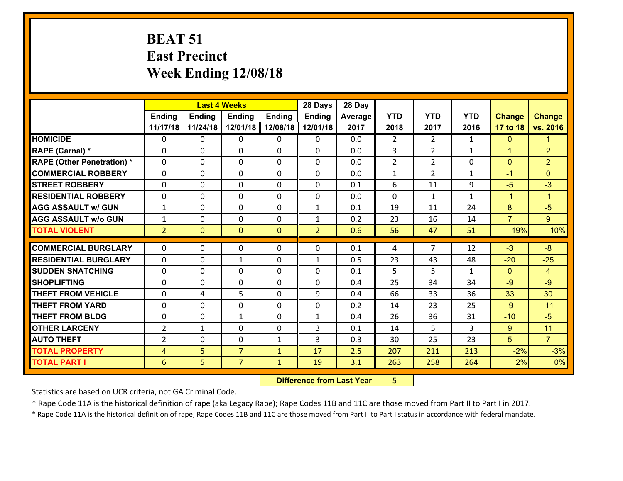### **BEAT 51 East Precinct Week Ending 12/08/18**

|                                   |                | <b>Last 4 Weeks</b> |                |               |                | 28 Day         |                |                       |              |                      |                |
|-----------------------------------|----------------|---------------------|----------------|---------------|----------------|----------------|----------------|-----------------------|--------------|----------------------|----------------|
|                                   | <b>Ending</b>  | <b>Ending</b>       | <b>Ending</b>  | <b>Ending</b> | <b>Ending</b>  | <b>Average</b> | <b>YTD</b>     | <b>YTD</b>            | <b>YTD</b>   | <b>Change</b>        | <b>Change</b>  |
|                                   | 11/17/18       | 11/24/18            | 12/01/18       | 12/08/18      | 12/01/18       | 2017           | 2018           | 2017                  | 2016         | 17 to 18             | vs. 2016       |
| <b>HOMICIDE</b>                   | $\Omega$       | 0                   | $\Omega$       | $\mathbf{0}$  | 0              | 0.0            | 2              | $\mathbf{2}^{\prime}$ | 1            | $\mathbf{0}$         | 1.             |
| RAPE (Carnal) *                   | $\Omega$       | $\Omega$            | $\mathbf 0$    | $\Omega$      | $\Omega$       | 0.0            | 3              | $\overline{2}$        | $\mathbf{1}$ | $\blacktriangleleft$ | $\overline{2}$ |
| <b>RAPE (Other Penetration) *</b> | $\Omega$       | 0                   | $\mathbf 0$    | 0             | 0              | 0.0            | $\overline{2}$ | $\overline{2}$        | 0            | $\mathbf{0}$         | $\overline{2}$ |
| <b>COMMERCIAL ROBBERY</b>         | $\mathbf{0}$   | 0                   | $\mathbf{0}$   | 0             | 0              | 0.0            | $\mathbf{1}$   | $\overline{2}$        | $\mathbf{1}$ | $-1$                 | $\mathbf{0}$   |
| <b>ISTREET ROBBERY</b>            | $\Omega$       | 0                   | $\Omega$       | $\Omega$      | $\Omega$       | 0.1            | 6              | 11                    | 9            | $-5$                 | $-3$           |
| <b>RESIDENTIAL ROBBERY</b>        | $\mathbf{0}$   | 0                   | $\mathbf{0}$   | 0             | 0              | 0.0            | $\mathbf 0$    | $\mathbf{1}$          | $\mathbf{1}$ | $-1$                 | $-1$           |
| <b>AGG ASSAULT w/ GUN</b>         | $\mathbf{1}$   | 0                   | $\mathbf{0}$   | $\Omega$      | $\mathbf{1}$   | 0.1            | 19             | 11                    | 24           | 8                    | $-5$           |
| <b>AGG ASSAULT w/o GUN</b>        | $\mathbf{1}$   | 0                   | 0              | 0             | 1              | 0.2            | 23             | 16                    | 14           | $\overline{7}$       | 9 <sup>°</sup> |
| <b>TOTAL VIOLENT</b>              | $\overline{2}$ | $\overline{0}$      | $\mathbf{0}$   | $\mathbf{0}$  | $\overline{2}$ | 0.6            | 56             | 47                    | 51           | 19%                  | 10%            |
| <b>COMMERCIAL BURGLARY</b>        |                |                     |                |               |                |                |                |                       |              |                      |                |
|                                   |                |                     |                |               |                |                |                |                       |              |                      |                |
|                                   | $\mathbf{0}$   | 0                   | 0              | $\mathbf{0}$  | $\Omega$       | 0.1            | 4              | $\overline{7}$        | 12           | $-3$                 | $-8$           |
| <b>RESIDENTIAL BURGLARY</b>       | $\Omega$       | 0                   | 1              | 0             | $\mathbf{1}$   | 0.5            | 23             | 43                    | 48           | $-20$                | $-25$          |
| <b>SUDDEN SNATCHING</b>           | $\Omega$       | 0                   | $\mathbf{0}$   | $\Omega$      | $\Omega$       | 0.1            | 5              | 5                     | $\mathbf{1}$ | $\Omega$             | $\overline{4}$ |
| <b>SHOPLIFTING</b>                | $\Omega$       | 0                   | $\mathbf{0}$   | 0             | 0              | 0.4            | 25             | 34                    | 34           | $-9$                 | $-9$           |
| <b>THEFT FROM VEHICLE</b>         | $\mathbf{0}$   | 4                   | 5              | 0             | 9              | 0.4            | 66             | 33                    | 36           | 33                   | 30             |
| <b>THEFT FROM YARD</b>            | $\Omega$       | $\Omega$            | $\Omega$       | $\Omega$      | $\Omega$       | 0.2            | 14             | 23                    | 25           | $-9$                 | $-11$          |
| <b>THEFT FROM BLDG</b>            | $\mathbf{0}$   | 0                   | $\mathbf{1}$   | 0             | $\mathbf{1}$   | 0.4            | 26             | 36                    | 31           | $-10$                | $-5$           |
| <b>OTHER LARCENY</b>              | $\overline{2}$ | 1                   | $\mathbf{0}$   | $\Omega$      | 3              | 0.1            | 14             | 5                     | 3            | 9                    | 11             |
| <b>AUTO THEFT</b>                 | $\overline{2}$ | 0                   | $\mathbf{0}$   | $\mathbf{1}$  | 3              | 0.3            | 30             | 25                    | 23           | 5                    | $\overline{7}$ |
| <b>TOTAL PROPERTY</b>             | 4              | 5                   | $\overline{7}$ | $\mathbf{1}$  | 17             | 2.5            | 207            | 211                   | 213          | $-2%$                | $-3%$          |
| <b>TOTAL PART I</b>               | 6              | 5                   | $\overline{7}$ | $\mathbf{1}$  | 19             | 3.1            | 263            | 258                   | 264          | 2%                   | 0%             |

 **Difference from Last Year**r 5

Statistics are based on UCR criteria, not GA Criminal Code.

\* Rape Code 11A is the historical definition of rape (aka Legacy Rape); Rape Codes 11B and 11C are those moved from Part II to Part I in 2017.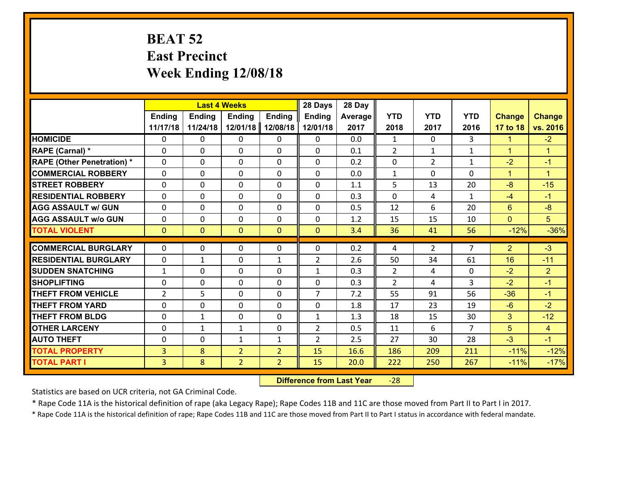#### **BEAT 52 East Precinct Week Ending 12/08/18**

|                                   |                | <b>Last 4 Weeks</b> |                |                |                | 28 Day     |                |                |                |                      |                      |
|-----------------------------------|----------------|---------------------|----------------|----------------|----------------|------------|----------------|----------------|----------------|----------------------|----------------------|
|                                   | Ending         | <b>Ending</b>       | <b>Ending</b>  | Ending         | <b>Ending</b>  | Average    | <b>YTD</b>     | <b>YTD</b>     | <b>YTD</b>     | <b>Change</b>        | <b>Change</b>        |
|                                   | 11/17/18       | 11/24/18            | 12/01/18       | 12/08/18       | 12/01/18       | 2017       | 2018           | 2017           | 2016           | 17 to 18             | vs. 2016             |
| <b>HOMICIDE</b>                   | $\Omega$       | 0                   | 0              | $\Omega$       | 0              | 0.0        | $\mathbf{1}$   | $\Omega$       | 3              | $\blacktriangleleft$ | $-2$                 |
| RAPE (Carnal) *                   | $\mathbf{0}$   | 0                   | $\mathbf{0}$   | 0              | $\Omega$       | 0.1        | 2              | $\mathbf{1}$   | $\mathbf{1}$   | $\mathbf{1}$         | $\mathbf{1}$         |
| <b>RAPE (Other Penetration) *</b> | $\Omega$       | 0                   | $\mathbf{0}$   | $\Omega$       | $\Omega$       | 0.2        | $\Omega$       | $\overline{2}$ | $\mathbf{1}$   | $-2$                 | $-1$                 |
| <b>COMMERCIAL ROBBERY</b>         | 0              | 0                   | 0              | 0              | 0              | 0.0        | $\mathbf{1}$   | $\Omega$       | 0              | $\mathbf{1}$         | $\blacktriangleleft$ |
| <b>STREET ROBBERY</b>             | $\Omega$       | 0                   | 0              | 0              | 0              | 1.1        | 5              | 13             | 20             | $-8$                 | $-15$                |
| <b>RESIDENTIAL ROBBERY</b>        | $\Omega$       | 0                   | 0              | $\Omega$       | 0              | 0.3        | $\Omega$       | 4              | $\mathbf{1}$   | $-4$                 | $-1$                 |
| <b>AGG ASSAULT w/ GUN</b>         | $\Omega$       | 0                   | 0              | 0              | 0              | 0.5        | 12             | 6              | 20             | 6                    | $-8$                 |
| <b>AGG ASSAULT w/o GUN</b>        | 0              | 0                   | 0              | 0              | 0              | 1.2        | 15             | 15             | 10             | $\mathbf{0}$         | 5 <sup>5</sup>       |
| <b>TOTAL VIOLENT</b>              | $\overline{0}$ | $\mathbf{0}$        | $\mathbf{0}$   | $\overline{0}$ | $\overline{0}$ | 3.4        | 36             | 41             | 56             | $-12%$               | $-36%$               |
| <b>COMMERCIAL BURGLARY</b>        | $\Omega$       | 0                   | $\mathbf{0}$   | $\Omega$       | $\Omega$       | 0.2        | 4              | $\overline{2}$ | $\overline{7}$ | $\overline{2}$       | $-3$                 |
|                                   |                |                     |                |                |                |            |                |                |                |                      |                      |
| <b>RESIDENTIAL BURGLARY</b>       | 0              | $\mathbf{1}$        | 0              | $\mathbf{1}$   | $\overline{2}$ | 2.6        | 50             | 34             | 61             | 16                   | $-11$                |
| <b>SUDDEN SNATCHING</b>           | $\mathbf{1}$   | 0                   | 0              | 0              | $\mathbf{1}$   | 0.3<br>0.3 | $\overline{2}$ | 4              | 0<br>3         | $-2$<br>$-2$         | $\overline{2}$       |
| <b>SHOPLIFTING</b>                | 0              | 0                   | 0              | 0              | 0              |            | $\overline{2}$ | 4              |                |                      | $-1$                 |
| <b>THEFT FROM VEHICLE</b>         | $\overline{2}$ | 5                   | $\mathbf{0}$   | 0              | $\overline{7}$ | 7.2        | 55             | 91             | 56             | $-36$                | $-1$                 |
| <b>THEFT FROM YARD</b>            | $\mathbf 0$    | 0                   | 0              | 0              | 0              | 1.8        | 17             | 23             | 19             | $-6$                 | $-2$                 |
| <b>THEFT FROM BLDG</b>            | 0              | $\mathbf{1}$        | 0              | 0              | 1              | 1.3        | 18             | 15             | 30             | 3                    | $-12$                |
| <b>OTHER LARCENY</b>              | 0              | $\mathbf{1}$        | $\mathbf{1}$   | 0              | $\overline{2}$ | 0.5        | 11             | 6              | $\overline{7}$ | 5                    | $\overline{4}$       |
| <b>AUTO THEFT</b>                 | 0              | 0                   | $\mathbf{1}$   | $\mathbf{1}$   | $\overline{2}$ | 2.5        | 27             | 30             | 28             | $-3$                 | $-1$                 |
| <b>TOTAL PROPERTY</b>             | $\overline{3}$ | 8                   | $\overline{2}$ | $\overline{2}$ | 15             | 16.6       | 186            | 209            | 211            | $-11%$               | $-12%$               |
| <b>TOTAL PART I</b>               | $\overline{3}$ | 8                   | $\overline{2}$ | $\overline{2}$ | 15             | 20.0       | 222            | 250            | 267            | $-11%$               | $-17%$               |

 **Difference from Last Year**‐28

Statistics are based on UCR criteria, not GA Criminal Code.

\* Rape Code 11A is the historical definition of rape (aka Legacy Rape); Rape Codes 11B and 11C are those moved from Part II to Part I in 2017.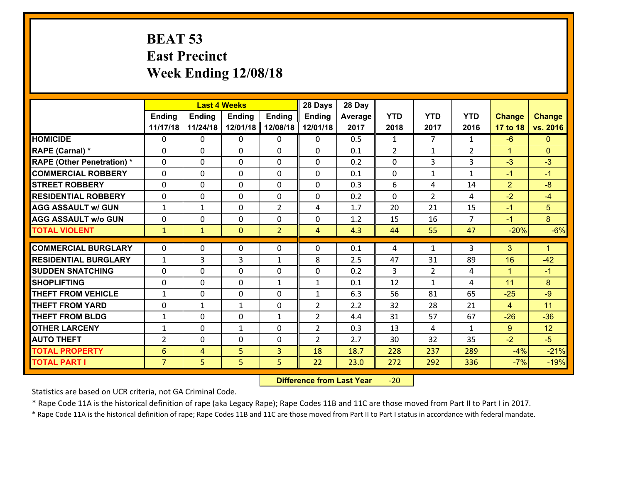#### **BEAT 53 East Precinct Week Ending 12/08/18**

|                                   | <b>Last 4 Weeks</b> |               |               |                | 28 Days        | 28 Day         |                |                |                |                |                |
|-----------------------------------|---------------------|---------------|---------------|----------------|----------------|----------------|----------------|----------------|----------------|----------------|----------------|
|                                   | Ending              | <b>Ending</b> | <b>Ending</b> | <b>Ending</b>  | <b>Ending</b>  | <b>Average</b> | <b>YTD</b>     | <b>YTD</b>     | <b>YTD</b>     | <b>Change</b>  | <b>Change</b>  |
|                                   | 11/17/18            | 11/24/18      | 12/01/18      | 12/08/18       | 12/01/18       | 2017           | 2018           | 2017           | 2016           | 17 to 18       | vs. 2016       |
| <b>HOMICIDE</b>                   | $\Omega$            | 0             | 0             | $\Omega$       | 0              | 0.5            | $\mathbf{1}$   | $\overline{7}$ | $\mathbf{1}$   | $-6$           | $\Omega$       |
| RAPE (Carnal) *                   | $\Omega$            | 0             | $\Omega$      | $\Omega$       | $\Omega$       | 0.1            | $\mathcal{L}$  | $\mathbf{1}$   | $\overline{2}$ | $\mathbf{1}$   | $\Omega$       |
| <b>RAPE (Other Penetration) *</b> | $\Omega$            | 0             | 0             | 0              | 0              | 0.2            | $\mathbf 0$    | 3              | 3              | $-3$           | $-3$           |
| <b>COMMERCIAL ROBBERY</b>         | 0                   | 0             | $\mathbf 0$   | 0              | 0              | 0.1            | $\mathbf 0$    | $\mathbf{1}$   | $\mathbf{1}$   | $-1$           | $-1$           |
| <b>STREET ROBBERY</b>             | 0                   | 0             | 0             | 0              | 0              | 0.3            | 6              | 4              | 14             | $\overline{2}$ | $-8$           |
| <b>RESIDENTIAL ROBBERY</b>        | 0                   | 0             | $\mathbf{0}$  | 0              | 0              | 0.2            | $\mathbf{0}$   | $\overline{2}$ | 4              | $-2$           | $-4$           |
| <b>AGG ASSAULT w/ GUN</b>         | $\mathbf{1}$        | $\mathbf{1}$  | 0             | $\overline{2}$ | 4              | 1.7            | 20             | 21             | 15             | $-1$           | 5 <sup>5</sup> |
| <b>AGG ASSAULT W/o GUN</b>        | 0                   | 0             | $\mathbf{0}$  | 0              | 0              | 1.2            | 15             | 16             | $\overline{7}$ | $-1$           | 8              |
| <b>TOTAL VIOLENT</b>              | $\mathbf{1}$        | $\mathbf{1}$  | $\mathbf{0}$  | $\overline{2}$ | $\overline{4}$ | 4.3            | 44             | 55             | 47             | $-20%$         | $-6%$          |
|                                   |                     |               |               |                |                |                |                |                |                |                |                |
| <b>COMMERCIAL BURGLARY</b>        | $\Omega$            | 0             | $\mathbf{0}$  | $\mathbf{0}$   | $\Omega$       | 0.1            | 4              | $\mathbf{1}$   | 3              | 3              | $\mathbf{1}$   |
| <b>RESIDENTIAL BURGLARY</b>       | $\mathbf{1}$        | 3             | 3             | $\mathbf{1}$   | 8              | 2.5            | 47             | 31             | 89             | 16             | $-42$          |
| <b>SUDDEN SNATCHING</b>           | 0                   | 0             | $\mathbf 0$   | 0              | 0              | 0.2            | $\overline{3}$ | $\overline{2}$ | 4              | $\mathbf{1}$   | $-1$           |
| <b>SHOPLIFTING</b>                | 0                   | 0             | 0             | $\mathbf{1}$   | $\mathbf{1}$   | 0.1            | 12             | $\mathbf{1}$   | 4              | 11             | 8              |
| <b>THEFT FROM VEHICLE</b>         | $\mathbf{1}$        | 0             | 0             | 0              | $\mathbf{1}$   | 6.3            | 56             | 81             | 65             | $-25$          | $-9$           |
| <b>THEFT FROM YARD</b>            | 0                   | $\mathbf{1}$  | $\mathbf{1}$  | 0              | $\overline{2}$ | 2.2            | 32             | 28             | 21             | $\overline{4}$ | 11             |
| <b>THEFT FROM BLDG</b>            | $\mathbf{1}$        | 0             | 0             | $\mathbf{1}$   | $\overline{2}$ | 4.4            | 31             | 57             | 67             | $-26$          | $-36$          |
| <b>OTHER LARCENY</b>              | $\mathbf{1}$        | 0             | $\mathbf{1}$  | 0              | $\overline{2}$ | 0.3            | 13             | 4              | $\mathbf{1}$   | 9 <sup>°</sup> | 12             |
| <b>AUTO THEFT</b>                 | $\overline{2}$      | 0             | 0             | 0              | $\overline{2}$ | 2.7            | 30             | 32             | 35             | $-2$           | $-5$           |
| <b>TOTAL PROPERTY</b>             | 6                   | 4             | 5             | 3              | 18             | 18.7           | 228            | 237            | 289            | $-4%$          | $-21%$         |
| <b>TOTAL PART I</b>               | $\overline{7}$      | 5             | 5             | 5              | 22             | 23.0           | 272            | 292            | 336            | $-7%$          | $-19%$         |

 **Difference from Last Year**‐20

Statistics are based on UCR criteria, not GA Criminal Code.

\* Rape Code 11A is the historical definition of rape (aka Legacy Rape); Rape Codes 11B and 11C are those moved from Part II to Part I in 2017.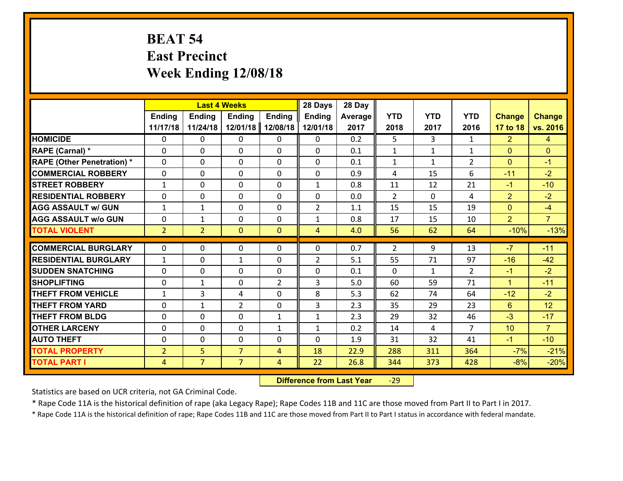# **BEAT 54 East Precinct Week Ending 12/08/18**

|                                   | <b>Last 4 Weeks</b> |                |                  |                | 28 Days        | 28 Day  |              |              |                |                |                |
|-----------------------------------|---------------------|----------------|------------------|----------------|----------------|---------|--------------|--------------|----------------|----------------|----------------|
|                                   | <b>Ending</b>       | <b>Ending</b>  | <b>Ending</b>    | <b>Ending</b>  | <b>Ending</b>  | Average | <b>YTD</b>   | <b>YTD</b>   | <b>YTD</b>     | <b>Change</b>  | <b>Change</b>  |
|                                   | 11/17/18            | 11/24/18       | 12/01/18         | 12/08/18       | 12/01/18       | 2017    | 2018         | 2017         | 2016           | 17 to 18       | vs. 2016       |
| <b>HOMICIDE</b>                   | 0                   | 0              | 0                | 0              | 0              | 0.2     | 5            | 3            | $\mathbf{1}$   | $\overline{2}$ | 4              |
| RAPE (Carnal) *                   | $\Omega$            | 0              | $\mathbf{0}$     | $\Omega$       | $\Omega$       | 0.1     | $\mathbf{1}$ | $\mathbf{1}$ | $\mathbf{1}$   | $\Omega$       | $\mathbf{0}$   |
| <b>RAPE (Other Penetration) *</b> | 0                   | 0              | $\mathbf 0$      | 0              | 0              | 0.1     | $\mathbf{1}$ | $\mathbf{1}$ | $\overline{2}$ | $\mathbf{0}$   | $-1$           |
| <b>COMMERCIAL ROBBERY</b>         | 0                   | 0              | $\mathbf 0$      | 0              | 0              | 0.9     | 4            | 15           | 6              | $-11$          | $-2$           |
| <b>STREET ROBBERY</b>             | $\mathbf{1}$        | 0              | $\mathbf 0$      | 0              | $\mathbf{1}$   | 0.8     | 11           | 12           | 21             | $-1$           | $-10$          |
| <b>RESIDENTIAL ROBBERY</b>        | 0                   | 0              | $\mathbf 0$      | 0              | 0              | 0.0     | 2            | $\mathbf{0}$ | 4              | $\overline{2}$ | $-2$           |
| <b>AGG ASSAULT w/ GUN</b>         | $\mathbf{1}$        | $\mathbf 1$    | $\mathbf 0$      | 0              | $\overline{2}$ | 1.1     | 15           | 15           | 19             | $\overline{0}$ | $-4$           |
| <b>AGG ASSAULT w/o GUN</b>        | 0                   | 1              | $\mathbf 0$      | $\Omega$       | $\mathbf{1}$   | 0.8     | 17           | 15           | 10             | $\overline{2}$ | $\overline{7}$ |
| <b>TOTAL VIOLENT</b>              | $\overline{2}$      | $\overline{2}$ | $\mathbf{0}$     | $\mathbf{0}$   | $\overline{4}$ | 4.0     | 56           | 62           | 64             | $-10%$         | $-13%$         |
| <b>COMMERCIAL BURGLARY</b>        | $\Omega$            | 0              | $\mathbf{0}$     | 0              | $\Omega$       | 0.7     | 2            | 9            | 13             | $-7$           | $-11$          |
| <b>RESIDENTIAL BURGLARY</b>       |                     |                |                  | 0              | $\overline{2}$ | 5.1     | 55           | 71           | 97             | $-16$          | $-42$          |
| <b>SUDDEN SNATCHING</b>           | $\mathbf{1}$<br>0   | 0<br>0         | 1<br>$\mathbf 0$ | 0              | 0              | 0.1     | $\mathbf{0}$ | $\mathbf{1}$ | $\overline{2}$ | $-1$           | $-2$           |
| <b>SHOPLIFTING</b>                | 0                   | $\mathbf 1$    | $\mathbf 0$      | $\overline{2}$ | 3              | 5.0     | 60           | 59           | 71             | $\mathbf{1}$   | $-11$          |
| <b>THEFT FROM VEHICLE</b>         | $\mathbf{1}$        | 3              | 4                | 0              | 8              | 5.3     | 62           | 74           | 64             | $-12$          | $-2$           |
| <b>THEFT FROM YARD</b>            | $\mathbf 0$         | $\mathbf 1$    | $\overline{2}$   | 0              | 3              | 2.3     | 35           | 29           | 23             | $6\phantom{1}$ | 12             |
| <b>THEFT FROM BLDG</b>            | 0                   | 0              | $\mathbf 0$      | $\mathbf{1}$   | $\mathbf{1}$   | 2.3     | 29           | 32           | 46             | $-3$           | $-17$          |
| <b>OTHER LARCENY</b>              | 0                   | 0              | $\mathbf 0$      | $\mathbf{1}$   | $\mathbf{1}$   | 0.2     | 14           | 4            | $\overline{7}$ | 10             | $\overline{7}$ |
| <b>AUTO THEFT</b>                 | 0                   | 0              | $\mathbf 0$      | 0              | 0              | 1.9     | 31           | 32           | 41             | $-1$           | $-10$          |
| <b>TOTAL PROPERTY</b>             | $\overline{2}$      | 5              | $\overline{7}$   | $\overline{4}$ | 18             | 22.9    | 288          | 311          | 364            | $-7%$          |                |
|                                   |                     | $\overline{7}$ | $\overline{7}$   |                |                |         |              |              |                |                | $-21%$         |
| <b>TOTAL PART I</b>               | $\overline{4}$      |                |                  | 4              | 22             | 26.8    | 344          | 373          | 428            | $-8%$          | $-20%$         |

 **Difference from Last Year**r -29

Statistics are based on UCR criteria, not GA Criminal Code.

\* Rape Code 11A is the historical definition of rape (aka Legacy Rape); Rape Codes 11B and 11C are those moved from Part II to Part I in 2017.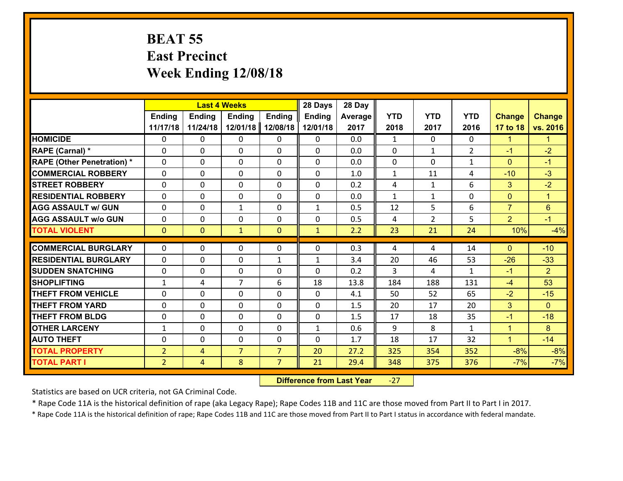#### **BEAT 55 East Precinct Week Ending 12/08/18**

|                                   |                |                | <b>Last 4 Weeks</b> |                | 28 Days       | 28 Day  |              |                |                |                |                      |
|-----------------------------------|----------------|----------------|---------------------|----------------|---------------|---------|--------------|----------------|----------------|----------------|----------------------|
|                                   | <b>Ending</b>  | <b>Ending</b>  | <b>Ending</b>       | <b>Ending</b>  | <b>Ending</b> | Average | <b>YTD</b>   | <b>YTD</b>     | <b>YTD</b>     | <b>Change</b>  | <b>Change</b>        |
|                                   | 11/17/18       | 11/24/18       | 12/01/18            | 12/08/18       | 12/01/18      | 2017    | 2018         | 2017           | 2016           | 17 to 18       | vs. 2016             |
| <b>HOMICIDE</b>                   | $\Omega$       | 0              | $\Omega$            | 0              | $\Omega$      | 0.0     | $\mathbf{1}$ | $\Omega$       | 0              | $\mathbf{1}$   | $\mathbf{1}$         |
| <b>RAPE (Carnal)*</b>             | 0              | 0              | $\mathbf{0}$        | 0              | $\Omega$      | 0.0     | $\mathbf{0}$ | $\mathbf{1}$   | $\overline{2}$ | $-1$           | $-2$                 |
| <b>RAPE (Other Penetration) *</b> | $\Omega$       | 0              | $\mathbf{0}$        | $\Omega$       | $\Omega$      | 0.0     | 0            | $\Omega$       | $\mathbf{1}$   | $\mathbf{0}$   | $-1$                 |
| <b>COMMERCIAL ROBBERY</b>         | 0              | 0              | 0                   | 0              | $\Omega$      | 1.0     | $\mathbf{1}$ | 11             | 4              | $-10$          | $-3$                 |
| <b>STREET ROBBERY</b>             | $\Omega$       | 0              | $\mathbf 0$         | 0              | 0             | 0.2     | 4            | $\mathbf{1}$   | 6              | 3              | $-2$                 |
| <b>RESIDENTIAL ROBBERY</b>        | $\Omega$       | $\Omega$       | $\mathbf 0$         | $\Omega$       | 0             | 0.0     | $\mathbf{1}$ | $\mathbf{1}$   | $\Omega$       | $\mathbf{0}$   | $\blacktriangleleft$ |
| <b>AGG ASSAULT w/ GUN</b>         | $\Omega$       | 0              | $\mathbf{1}$        | 0              | $\mathbf{1}$  | 0.5     | 12           | 5              | 6              | $\overline{7}$ | $6\phantom{1}$       |
| <b>AGG ASSAULT w/o GUN</b>        | 0              | 0              | $\mathbf 0$         | 0              | 0             | 0.5     | 4            | $\overline{2}$ | 5              | $\overline{2}$ | $-1$                 |
| <b>TOTAL VIOLENT</b>              | $\mathbf{0}$   | $\overline{0}$ | $\mathbf{1}$        | $\mathbf{0}$   | $\mathbf{1}$  | 2.2     | 23           | 21             | 24             | 10%            | $-4%$                |
| <b>COMMERCIAL BURGLARY</b>        | $\Omega$       | 0              | $\mathbf{0}$        | $\Omega$       | $\Omega$      | 0.3     | 4            | 4              | 14             | $\Omega$       | $-10$                |
| <b>RESIDENTIAL BURGLARY</b>       | 0              | 0              | $\mathbf 0$         | $\mathbf{1}$   | $\mathbf{1}$  | 3.4     | 20           | 46             | 53             | $-26$          | $-33$                |
| <b>SUDDEN SNATCHING</b>           | 0              | 0              | $\mathbf 0$         | 0              | 0             | 0.2     | 3            | 4              | $\mathbf{1}$   | $-1$           | $\overline{2}$       |
| <b>SHOPLIFTING</b>                | $\mathbf{1}$   | 4              | $\overline{7}$      | 6              | 18            | 13.8    | 184          | 188            | 131            | $-4$           | 53                   |
| <b>THEFT FROM VEHICLE</b>         | $\Omega$       | 0              | $\mathbf 0$         | 0              | 0             | 4.1     | 50           | 52             | 65             | $-2$           | $-15$                |
| <b>THEFT FROM YARD</b>            | 0              | 0              | $\mathbf 0$         | 0              | 0             | 1.5     | 20           | 17             | 20             | 3              | $\overline{0}$       |
| <b>THEFT FROM BLDG</b>            | 0              | 0              | $\mathbf 0$         | 0              | 0             | 1.5     | 17           | 18             | 35             | $-1$           | $-18$                |
| <b>OTHER LARCENY</b>              | $\mathbf{1}$   | 0              | $\mathbf 0$         | 0              | $\mathbf{1}$  | 0.6     | 9            | 8              | $\mathbf{1}$   | $\mathbf{1}$   | 8                    |
| <b>AUTO THEFT</b>                 | 0              | 0              | $\mathbf{0}$        | 0              | 0             | 1.7     | 18           | 17             | 32             | $\mathbf{1}$   | $-14$                |
| <b>TOTAL PROPERTY</b>             | $\overline{2}$ | 4              | $\overline{7}$      | $\overline{7}$ | 20            | 27.2    | 325          | 354            | 352            | $-8%$          | $-8%$                |
| <b>TOTAL PART I</b>               | $\overline{2}$ | $\overline{4}$ | 8                   | $\overline{7}$ | 21            | 29.4    | 348          | 375            | 376            | $-7%$          | $-7%$                |
|                                   |                |                |                     |                |               |         |              |                |                |                |                      |

 **Difference from Last Year**‐27

Statistics are based on UCR criteria, not GA Criminal Code.

\* Rape Code 11A is the historical definition of rape (aka Legacy Rape); Rape Codes 11B and 11C are those moved from Part II to Part I in 2017.